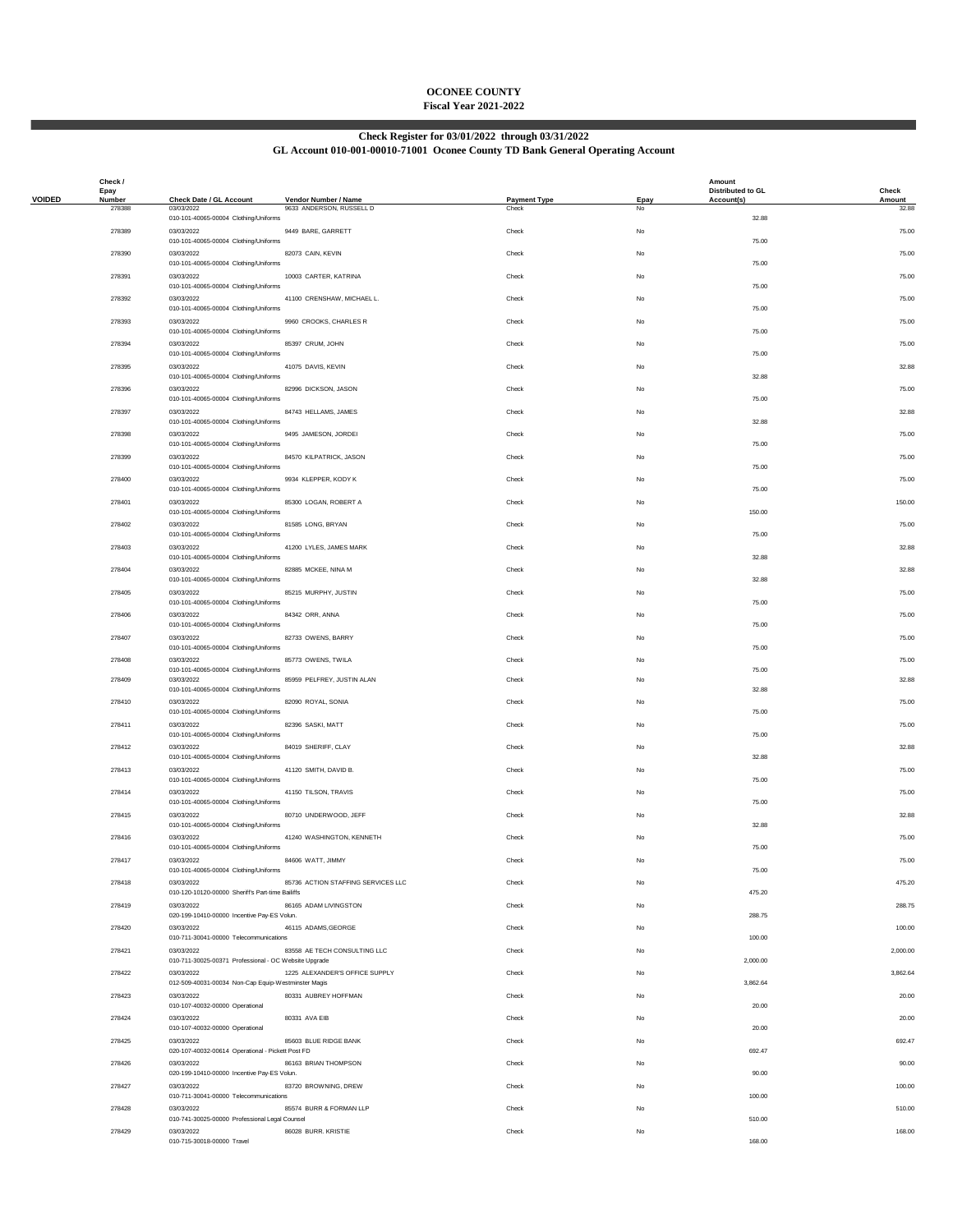# **OCONEE COUNTY Fiscal Year 2021-2022**

# **Check Register for 03/01/2022 through 03/31/2022**

### **GL Account 010-001-00010-71001 Oconee County TD Bank General Operating Account**

|               | Check /<br>Epay  |                                                                     |                                                  |                              |            | Amount<br><b>Distributed to GL</b> | Check           |
|---------------|------------------|---------------------------------------------------------------------|--------------------------------------------------|------------------------------|------------|------------------------------------|-----------------|
| <b>VOIDED</b> | Number<br>278388 | Check Date / GL Account<br>03/03/2022                               | Vendor Number / Name<br>9633 ANDERSON, RUSSELL D | <b>Payment Type</b><br>Check | Epay<br>No | Account(s)                         | Amount<br>32.88 |
|               | 278389           | 010-101-40065-00004 Clothing/Uniforms<br>03/03/2022                 | 9449 BARE, GARRETT                               | Check                        | No         | 32.88                              | 75.00           |
|               | 278390           | 010-101-40065-00004 Clothing/Uniforms<br>03/03/2022                 | 82073 CAIN, KEVIN                                | Check                        | No         | 75.00                              | 75.00           |
|               | 278391           | 010-101-40065-00004 Clothing/Uniforms<br>03/03/2022                 | 10003 CARTER, KATRINA                            | Check                        | No         | 75.00                              | 75.00           |
|               |                  | 010-101-40065-00004 Clothing/Uniforms                               |                                                  |                              |            | 75.00                              |                 |
|               | 278392           | 03/03/2022<br>010-101-40065-00004 Clothing/Uniforms                 | 41100 CRENSHAW, MICHAEL L.                       | Check                        | No         | 75.00                              | 75.00           |
|               | 278393           | 03/03/2022<br>010-101-40065-00004 Clothing/Uniforms                 | 9960 CROOKS, CHARLES R                           | Check                        | No         | 75.00                              | 75.00           |
|               | 278394           | 03/03/2022<br>010-101-40065-00004 Clothing/Uniforms                 | 85397 CRUM, JOHN                                 | Check                        | No         | 75.00                              | 75.00           |
|               | 278395           | 03/03/2022<br>010-101-40065-00004 Clothing/Uniforms                 | 41075 DAVIS, KEVIN                               | Check                        | No         | 32.88                              | 32.88           |
|               | 278396           | 03/03/2022<br>010-101-40065-00004 Clothing/Uniforms                 | 82996 DICKSON, JASON                             | Check                        | No         | 75.00                              | 75.00           |
|               | 278397           | 03/03/2022<br>010-101-40065-00004 Clothing/Uniforms                 | 84743 HELLAMS, JAMES                             | Check                        | No         | 32.88                              | 32.88           |
|               | 278398           | 03/03/2022<br>010-101-40065-00004 Clothing/Uniforms                 | 9495 JAMESON, JORDEI                             | Check                        | No         | 75.00                              | 75.00           |
|               | 278399           | 03/03/2022                                                          | 84570 KILPATRICK, JASON                          | Check                        | No         |                                    | 75.00           |
|               | 278400           | 010-101-40065-00004 Clothing/Uniforms<br>03/03/2022                 | 9934 KLEPPER, KODY K                             | Check                        | No         | 75.00                              | 75.00           |
|               |                  | 010-101-40065-00004 Clothing/Uniforms                               |                                                  |                              |            | 75.00                              |                 |
|               | 278401           | 03/03/2022<br>010-101-40065-00004 Clothing/Uniforms                 | 85300 LOGAN, ROBERT A                            | Check                        | No         | 150.00                             | 150.00          |
|               | 278402           | 03/03/2022<br>010-101-40065-00004 Clothing/Uniforms                 | 81585 LONG, BRYAN                                | Check                        | No         | 75.00                              | 75.00           |
|               | 278403           | 03/03/2022<br>010-101-40065-00004 Clothing/Uniforms                 | 41200 LYLES, JAMES MARK                          | Check                        | No         | 32.88                              | 32.88           |
|               | 278404           | 03/03/2022<br>010-101-40065-00004 Clothing/Uniforms                 | 82885 MCKEE, NINA M                              | Check                        | No         | 32.88                              | 32.88           |
|               | 278405           | 03/03/2022<br>010-101-40065-00004 Clothing/Uniforms                 | 85215 MURPHY, JUSTIN                             | Check                        | No         | 75.00                              | 75.00           |
|               | 278406           | 03/03/2022                                                          | 84342 ORR, ANNA                                  | Check                        | No         |                                    | 75.00           |
|               | 278407           | 010-101-40065-00004 Clothing/Uniforms<br>03/03/2022                 | 82733 OWENS, BARRY                               | Check                        | No         | 75.00                              | 75.00           |
|               | 278408           | 010-101-40065-00004 Clothing/Uniforms<br>03/03/2022                 | 85773 OWENS, TWILA                               | Check                        | No         | 75.00                              | 75.00           |
|               | 278409           | 010-101-40065-00004 Clothing/Uniforms<br>03/03/2022                 | 85959 PELFREY, JUSTIN ALAN                       | Check                        | No         | 75.00                              | 32.88           |
|               | 278410           | 010-101-40065-00004 Clothing/Uniforms<br>03/03/2022                 | 82090 ROYAL, SONIA                               | Check                        | No         | 32.88                              | 75.00           |
|               | 278411           | 010-101-40065-00004 Clothing/Uniforms<br>03/03/2022                 | 82396 SASKI, MATT                                | Check                        | No         | 75.00                              | 75.00           |
|               | 278412           | 010-101-40065-00004 Clothing/Uniforms<br>03/03/2022                 | 84019 SHERIFF, CLAY                              | Check                        | No         | 75.00                              | 32.88           |
|               |                  | 010-101-40065-00004 Clothing/Uniforms                               |                                                  |                              |            | 32.88                              |                 |
|               | 278413           | 03/03/2022<br>010-101-40065-00004 Clothing/Uniforms                 | 41120 SMITH, DAVID B.                            | Check                        | No         | 75.00                              | 75.00           |
|               | 278414           | 03/03/2022<br>010-101-40065-00004 Clothing/Uniforms                 | 41150 TILSON, TRAVIS                             | Check                        | No         | 75.00                              | 75.00           |
|               | 278415           | 03/03/2022<br>010-101-40065-00004 Clothing/Uniforms                 | 80710 UNDERWOOD, JEFF                            | Check                        | No         | 32.88                              | 32.88           |
|               | 278416           | 03/03/2022<br>010-101-40065-00004 Clothing/Uniforms                 | 41240 WASHINGTON, KENNETH                        | Check                        | No         | 75.00                              | 75.00           |
|               | 278417           | 03/03/2022<br>010-101-40065-00004 Clothing/Uniforms                 | 84606 WATT, JIMMY                                | Check                        | No         | 75.00                              | 75.00           |
|               | 278418           | 03/03/2022<br>010-120-10120-00000 Sheriff's Part-time Bailiffs      | 85736 ACTION STAFFING SERVICES LLC               | Check                        | No         | 475.20                             | 475.20          |
|               | 278419           | 03/03/2022<br>020-199-10410-00000 Incentive Pay-ES Volun.           | 86165 ADAM LIVINGSTON                            | Check                        | No         | 288.75                             | 288.75          |
|               | 278420           | 03/03/2022                                                          | 46115 ADAMS, GEORGE                              | Check                        | No         |                                    | 100.00          |
|               | 278421           | 010-711-30041-00000 Telecommunications<br>03/03/2022                | 83558 AE TECH CONSULTING LLC                     | Check                        | No         | 100.00                             | 2,000.00        |
|               | 278422           | 010-711-30025-00371 Professional - OC Website Upgrade<br>03/03/2022 | 1225 ALEXANDER'S OFFICE SUPPLY                   | Check                        | No         | 2,000.00                           | 3,862.64        |
|               | 278423           | 012-509-40031-00034 Non-Cap Equip-Westminster Magis<br>03/03/2022   | 80331 AUBREY HOFFMAN                             | Check                        | No         | 3,862.64                           | 20.00           |
|               | 278424           | 010-107-40032-00000 Operational<br>03/03/2022                       | 80331 AVA EIB                                    | Check                        | No         | 20.00                              | 20.00           |
|               | 278425           | 010-107-40032-00000 Operational<br>03/03/2022                       | 85603 BLUE RIDGE BANK                            | Check                        | No         | 20.00                              | 692.47          |
|               | 278426           | 020-107-40032-00614 Operational - Pickett Post FD<br>03/03/2022     | 86163 BRIAN THOMPSON                             | Check                        | No         | 692.47                             | 90.00           |
|               |                  | 020-199-10410-00000 Incentive Pay-ES Volun.                         |                                                  |                              |            | 90.00                              |                 |
|               | 278427           | 03/03/2022<br>010-711-30041-00000 Telecommunications                | 83720 BROWNING, DREW                             | Check                        | No         | 100.00                             | 100.00          |
|               | 278428           | 03/03/2022<br>010-741-30025-00000 Professional Legal Counsel        | 85574 BURR & FORMAN LLP                          | Check                        | No         | 510.00                             | 510.00          |
|               | 278429           | 03/03/2022<br>010-715-30018-00000 Travel                            | 86028 BURR. KRISTIE                              | Check                        | No         | 168.00                             | 168.00          |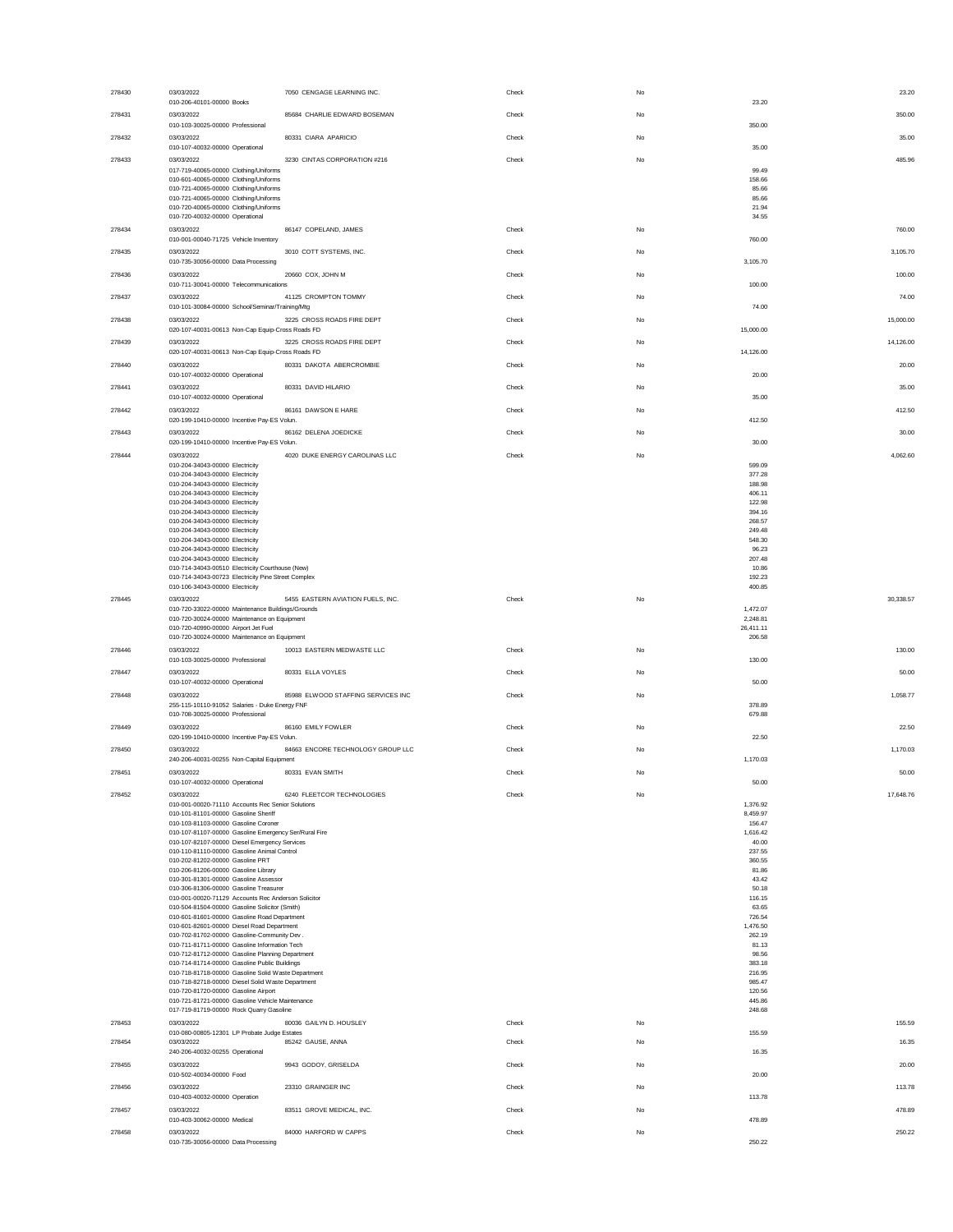| 278430 | 03/03/2022                                                                                               | 7050 CENGAGE LEARNING INC.         | Check | No |                        | 23.20  |
|--------|----------------------------------------------------------------------------------------------------------|------------------------------------|-------|----|------------------------|--------|
|        | 010-206-40101-00000 Books                                                                                |                                    |       |    | 23.20                  |        |
| 278431 | 03/03/2022<br>010-103-30025-00000 Professional                                                           | 85684 CHARLIE EDWARD BOSEMAN       | Check | No | 350.00                 | 350.00 |
| 278432 | 03/03/2022                                                                                               | 80331 CIARA APARICIO               | Check | No |                        | 35.00  |
|        | 010-107-40032-00000 Operational                                                                          |                                    |       |    | 35.00                  |        |
| 278433 | 03/03/2022<br>017-719-40065-00000 Clothing/Uniforms                                                      | 3230 CINTAS CORPORATION #216       | Check | No | 485.96<br>99.49        |        |
|        | 010-601-40065-00000 Clothing/Uniforms                                                                    |                                    |       |    | 158.66                 |        |
|        | 010-721-40065-00000 Clothing/Uniforms<br>010-721-40065-00000 Clothing/Uniforms                           |                                    |       |    | 85.66<br>85.66         |        |
|        | 010-720-40065-00000 Clothing/Uniforms                                                                    |                                    |       |    | 21.94                  |        |
| 278434 | 010-720-40032-00000 Operational<br>03/03/2022                                                            | 86147 COPELAND, JAMES              | Check | No | 34.55                  | 760.00 |
|        | 010-001-00040-71725 Vehicle Inventory                                                                    |                                    |       |    | 760.00                 |        |
| 278435 | 03/03/2022                                                                                               | 3010 COTT SYSTEMS, INC.            | Check | No | 3,105.70               |        |
|        | 010-735-30056-00000 Data Processing                                                                      |                                    |       |    | 3,105.70               |        |
| 278436 | 03/03/2022<br>010-711-30041-00000 Telecommunications                                                     | 20660 COX, JOHN M                  | Check | No | 100.00<br>100.00       |        |
| 278437 | 03/03/2022                                                                                               | 41125 CROMPTON TOMMY               | Check | No |                        | 74.00  |
|        | 010-101-30084-00000 School/Seminar/Training/Mtg                                                          |                                    |       |    | 74.00                  |        |
| 278438 | 03/03/2022<br>020-107-40031-00613 Non-Cap Equip-Cross Roads FD                                           | 3225 CROSS ROADS FIRE DEPT         | Check | No | 15,000.00<br>15,000.00 |        |
| 278439 | 03/03/2022                                                                                               | 3225 CROSS ROADS FIRE DEPT         | Check | No | 14,126.00              |        |
|        | 020-107-40031-00613 Non-Cap Equip-Cross Roads FD                                                         |                                    |       |    | 14,126.00              |        |
| 278440 | 03/03/2022                                                                                               | 80331 DAKOTA ABERCROMBIE           | Check | No |                        | 20.00  |
|        | 010-107-40032-00000 Operational<br>03/03/2022                                                            |                                    |       |    | 20.00                  |        |
| 278441 | 010-107-40032-00000 Operational                                                                          | 80331 DAVID HILARIO                | Check | No | 35.00                  | 35.00  |
| 278442 | 03/03/2022                                                                                               | 86161 DAWSON E HARE                | Check | No | 412.50                 |        |
|        | 020-199-10410-00000 Incentive Pay-ES Volun.                                                              |                                    |       |    | 412.50                 |        |
| 278443 | 03/03/2022<br>020-199-10410-00000 Incentive Pay-ES Volun.                                                | 86162 DELENA JOEDICKE              | Check | No | 30.00                  | 30.00  |
| 278444 | 03/03/2022                                                                                               | 4020 DUKE ENERGY CAROLINAS LLC     | Check | No | 4,062.60               |        |
|        | 010-204-34043-00000 Electricity                                                                          |                                    |       |    | 599.09                 |        |
|        | 010-204-34043-00000 Electricity<br>010-204-34043-00000 Electricity                                       |                                    |       |    | 377.28<br>188,98       |        |
|        | 010-204-34043-00000 Electricity                                                                          |                                    |       |    | 406.11                 |        |
|        | 010-204-34043-00000 Electricity<br>010-204-34043-00000 Electricity                                       |                                    |       |    | 122.98<br>394.16       |        |
|        | 010-204-34043-00000 Electricity                                                                          |                                    |       |    | 268,57                 |        |
|        | 010-204-34043-00000 Electricity<br>010-204-34043-00000 Electricity                                       |                                    |       |    | 249.48<br>548.30       |        |
|        | 010-204-34043-00000 Electricity                                                                          |                                    |       |    | 96.23<br>207.48        |        |
|        | 010-204-34043-00000 Electricity<br>010-714-34043-00510 Electricity Courthouse (New)                      |                                    |       |    | 10.86                  |        |
|        | 010-714-34043-00723 Electricity Pine Street Complex<br>010-106-34043-00000 Electricity                   |                                    |       |    | 192.23                 |        |
| 278445 | 03/03/2022                                                                                               | 5455 EASTERN AVIATION FUELS, INC.  | Check | No | 400.85<br>30.338.57    |        |
|        | 010-720-33022-00000 Maintenance Buildings/Grounds                                                        |                                    |       |    | 1,472.07               |        |
|        |                                                                                                          |                                    |       |    |                        |        |
|        | 010-720-30024-00000 Maintenance on Equipment                                                             |                                    |       |    | 2,248.81               |        |
|        | 010-720-40990-00000 Airport Jet Fuel<br>010-720-30024-00000 Maintenance on Equipment                     |                                    |       |    | 26,411.11<br>206.58    |        |
| 278446 | 03/03/2022                                                                                               | 10013 EASTERN MEDWASTE LLC         | Check | No |                        | 130.00 |
|        | 010-103-30025-00000 Professional                                                                         |                                    |       |    | 130.00                 |        |
| 278447 | 03/03/2022<br>010-107-40032-00000 Operational                                                            | 80331 ELLA VOYLES                  | Check | No | 50.00                  | 50.00  |
| 278448 | 03/03/2022                                                                                               | 85988 ELWOOD STAFFING SERVICES INC | Check | No | 1,058.77               |        |
|        | 255-115-10110-91052 Salaries - Duke Energy FNF                                                           |                                    |       |    | 378.89                 |        |
| 278449 | 010-708-30025-00000 Professional                                                                         |                                    | Check | No | 679.88                 |        |
|        | 03/03/2022<br>020-199-10410-00000 Incentive Pay-ES Volun.                                                | 86160 EMILY FOWLER                 |       |    | 22.50                  | 22.50  |
| 278450 | 03/03/2022                                                                                               | 84663 ENCORE TECHNOLOGY GROUP LLC  | Check | No | 1,170.03               |        |
|        | 240-206-40031-00255 Non-Capital Equipment                                                                |                                    |       |    | 1,170.03               |        |
| 278451 | 03/03/2022<br>010-107-40032-00000 Operational                                                            | 80331 EVAN SMITH                   | Check | No | 50.00                  | 50.00  |
| 278452 | 03/03/2022                                                                                               | 6240 FLEETCOR TECHNOLOGIES         | Check | No | 17.648.76              |        |
|        | 010-001-00020-71110 Accounts Rec Senior Solutions                                                        |                                    |       |    | 1,376.92               |        |
|        | 010-101-81101-00000 Gasoline Sheriff<br>010-103-81103-00000 Gasoline Coroner                             |                                    |       |    | 8,459.97<br>156.47     |        |
|        | 010-107-81107-00000 Gasoline Emergency Ser/Rural Fire                                                    |                                    |       |    | 1,616.42               |        |
|        | 010-107-82107-00000 Diesel Emergency Services<br>010-110-81110-00000 Gasoline Animal Control             |                                    |       |    | 40.00<br>237.55        |        |
|        | 010-202-81202-00000 Gasoline PRT                                                                         |                                    |       |    | 360.55                 |        |
|        | 010-206-81206-00000 Gasoline Library<br>010-301-81301-00000 Gasoline Assessor                            |                                    |       |    | 81.86<br>43.42         |        |
|        | 010-306-81306-00000 Gasoline Treasurer<br>010-001-00020-71129 Accounts Rec Anderson Solicitor            |                                    |       |    | 50.18                  |        |
|        | 010-504-81504-00000 Gasoline Solicitor (Smith)                                                           |                                    |       |    | 116.15<br>63.65        |        |
|        | 010-601-81601-00000 Gasoline Road Department<br>010-601-82601-00000 Diesel Road Department               |                                    |       |    | 726.54<br>1,476.50     |        |
|        | 010-702-81702-00000 Gasoline-Community Dev.                                                              |                                    |       |    | 262.19                 |        |
|        | 010-711-81711-00000 Gasoline Information Tech<br>010-712-81712-00000 Gasoline Planning Department        |                                    |       |    | 81.13<br>98.56         |        |
|        | 010-714-81714-00000 Gasoline Public Buildings                                                            |                                    |       |    | 383.18                 |        |
|        | 010-718-81718-00000 Gasoline Solid Waste Department<br>010-718-82718-00000 Diesel Solid Waste Department |                                    |       |    | 216.95<br>985.47       |        |
|        | 010-720-81720-00000 Gasoline Airport                                                                     |                                    |       |    | 120.56                 |        |
|        | 010-721-81721-00000 Gasoline Vehicle Maintenance<br>017-719-81719-00000 Rock Quarry Gasoline             |                                    |       |    | 445.86<br>248.68       |        |
| 278453 | 03/03/2022                                                                                               | 80036 GAILYN D. HOUSLEY            | Check | No |                        | 155.59 |
| 278454 | 010-080-00805-12301 LP Probate Judge Estates<br>03/03/2022                                               | 85242 GAUSE, ANNA                  | Check | No | 155.59                 | 16.35  |
|        | 240-206-40032-00255 Operational                                                                          |                                    |       |    | 16.35                  |        |
| 278455 | 03/03/2022                                                                                               | 9943 GODOY, GRISELDA               | Check | No |                        | 20.00  |
|        | 010-502-40034-00000 Food                                                                                 |                                    |       |    | 20.00                  |        |
| 278456 | 03/03/2022<br>010-403-40032-00000 Operation                                                              | 23310 GRAINGER INC                 | Check | No | 113.78                 | 113.78 |
| 278457 | 03/03/2022                                                                                               | 83511 GROVE MEDICAL, INC.          | Check | No | 478.89                 |        |
| 278458 | 010-403-30062-00000 Medical<br>03/03/2022                                                                | 84000 HARFORD W CAPPS              | Check | No | 478.89                 | 250.22 |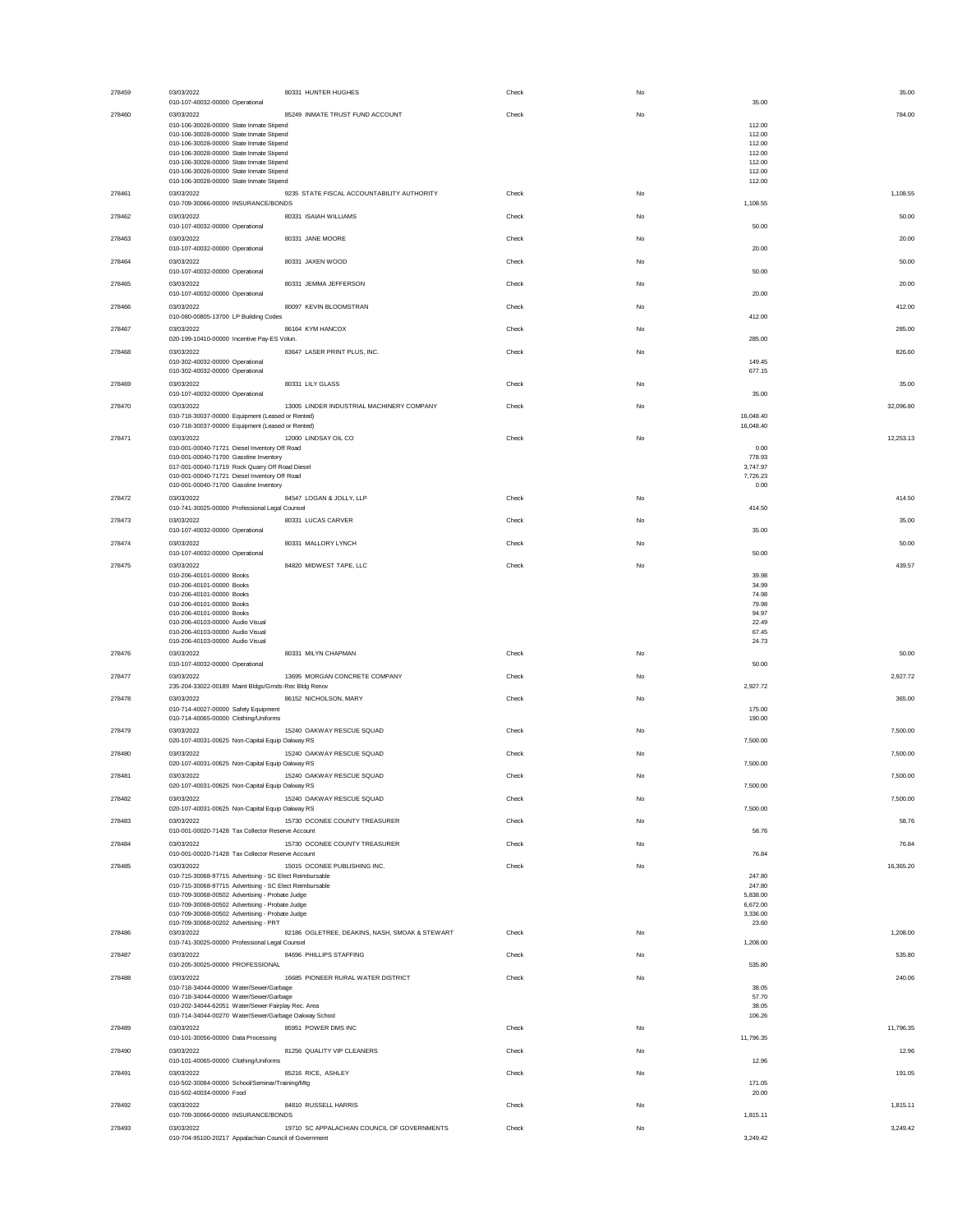| 278459 | 03/03/2022<br>010-107-40032-00000 Operational                                                                                               | 80331 HUNTER HUGHES                            | Check | No        | 35.00<br>35.00                |
|--------|---------------------------------------------------------------------------------------------------------------------------------------------|------------------------------------------------|-------|-----------|-------------------------------|
| 278460 | 03/03/2022                                                                                                                                  | 85249 INMATE TRUST FUND ACCOUNT                | Check | No        | 784.00                        |
|        | 010-106-30028-00000 State Inmate Stipend<br>010-106-30028-00000 State Inmate Stipend                                                        |                                                |       |           | 112.00<br>112.00              |
|        | 010-106-30028-00000 State Inmate Stipend<br>010-106-30028-00000 State Inmate Stipend                                                        |                                                |       |           | 112.00<br>112.00              |
|        | 010-106-30028-00000 State Inmate Stipend<br>010-106-30028-00000 State Inmate Stipend                                                        |                                                |       |           | 112.00<br>112.00              |
| 278461 | 010-106-30028-00000 State Inmate Stipend<br>03/03/2022                                                                                      | 9235 STATE FISCAL ACCOUNTABILITY AUTHORITY     | Check | No        | 112.00<br>1,108.55            |
| 278462 | 010-709-30066-00000 INSURANCE/BONDS<br>03/03/2022                                                                                           | 80331 ISAIAH WILLIAMS                          | Check | No        | 1,108.55<br>50.00             |
|        | 010-107-40032-00000 Operational                                                                                                             |                                                |       |           | 50.00                         |
| 278463 | 03/03/2022<br>010-107-40032-00000 Operational                                                                                               | 80331 JANE MOORE                               | Check | No        | 20.00<br>20.00                |
| 278464 | 03/03/2022<br>010-107-40032-00000 Operational                                                                                               | 80331 JAXEN WOOD                               | Check | No        | 50.00<br>50.00                |
| 278465 | 03/03/2022<br>010-107-40032-00000 Operational                                                                                               | 80331 JEMMA JEFFERSON                          | Check | No        | 20.00<br>20.00                |
| 278466 | 03/03/2022                                                                                                                                  | 80097 KEVIN BLOOMSTRAN                         | Check | No        | 412.00                        |
| 278467 | 010-080-00805-13700 LP Building Codes<br>03/03/2022                                                                                         | 86164 KYM HANCOX                               | Check | No        | 412.00<br>285.00              |
| 278468 | 020-199-10410-00000 Incentive Pay-ES Volun.<br>03/03/2022                                                                                   | 83647 LASER PRINT PLUS, INC.                   | Check | No        | 285.00<br>826.60              |
|        | 010-302-40032-00000 Operational                                                                                                             |                                                |       |           | 149.45<br>677.15              |
| 278469 | 010-302-40032-00000 Operational<br>03/03/2022                                                                                               | 80331 LILY GLASS                               | Check | No        | 35.00                         |
| 278470 | 010-107-40032-00000 Operational<br>03/03/2022                                                                                               | 13005 LINDER INDUSTRIAL MACHINERY COMPANY      | Check | No        | 35.00<br>32,096.80            |
|        | 010-718-30037-00000 Equipment (Leased or Rented)<br>010-718-30037-00000 Equipment (Leased or Rented)                                        |                                                |       |           | 16,048.40<br>16,048.40        |
| 278471 | 03/03/2022                                                                                                                                  | 12000 LINDSAY OIL CO                           | Check | No        | 12.253.13                     |
|        | 010-001-00040-71721 Diesel Inventory Off Road<br>010-001-00040-71700 Gasoline Inventory                                                     |                                                |       |           | 0.00<br>778.93                |
|        | 017-001-00040-71719 Rock Quarry Off Road Diesel<br>010-001-00040-71721 Diesel Inventory Off Road                                            |                                                |       |           | 3,747.97<br>7,726.23<br>0.00  |
| 278472 | 010-001-00040-71700 Gasoline Inventory<br>03/03/2022                                                                                        | 84547 LOGAN & JOLLY, LLP                       | Check | No        | 414.50                        |
| 278473 | 010-741-30025-00000 Professional Legal Counsel<br>03/03/2022                                                                                | 80331 LUCAS CARVER                             | Check | No        | 414.50<br>35.00               |
|        | 010-107-40032-00000 Operational                                                                                                             |                                                |       |           | 35.00                         |
| 278474 | 03/03/2022<br>010-107-40032-00000 Operational                                                                                               | 80331 MALLORY LYNCH                            | Check | No        | 50.00<br>50.00                |
| 278475 | 03/03/2022<br>010-206-40101-00000 Books                                                                                                     | 84820 MIDWEST TAPE, LLC                        | Check | <b>No</b> | 439.57<br>39.98               |
|        | 010-206-40101-00000 Books<br>010-206-40101-00000 Books                                                                                      |                                                |       |           | 34.99<br>74.98                |
|        | 010-206-40101-00000 Books<br>010-206-40101-00000 Books                                                                                      |                                                |       |           | 79.98<br>94.97                |
|        | 010-206-40103-00000 Audio Visual<br>010-206-40103-00000 Audio Visual                                                                        |                                                |       |           | 22.49<br>67.45                |
| 278476 | 010-206-40103-00000 Audio Visual<br>03/03/2022                                                                                              | 80331 MILYN CHAPMAN                            | Check | No        | 24.73<br>50.00                |
|        | 010-107-40032-00000 Operational                                                                                                             | 13695 MORGAN CONCRETE COMPANY                  |       |           | 50.00                         |
| 278477 | 03/03/2022<br>235-204-33022-00189 Maint Bldgs/Grnds-Rec Bldg Renov                                                                          |                                                | Check | No        | 2,927.72<br>2,927.72          |
| 278478 | 03/03/2022<br>010-714-40027-00000 Safety Equipment                                                                                          | 86152 NICHOLSON, MARY                          | Check | No        | 365.00<br>175.00              |
| 278479 | 010-714-40065-00000 Clothing/Uniforms<br>03/03/2022                                                                                         | 15240 OAKWAY RESCUE SQUAD                      | Check | No        | 190.00<br>7,500.00            |
|        | 020-107-40031-00625 Non-Capital Equip Oakway RS                                                                                             |                                                |       | No        | 7,500.00                      |
| 278480 | 03/03/2022<br>020-107-40031-00625 Non-Capital Equip Oakway RS                                                                               | 15240 OAKWAY RESCUE SQUAD                      | Check |           | 7,500.00<br>7,500.00          |
| 278481 | 03/03/2022<br>020-107-40031-00625 Non-Capital Equip Oakway RS                                                                               | 15240 OAKWAY RESCUE SQUAD                      | Check | No        | 7,500.00<br>7,500.00          |
| 278482 | 03/03/2022<br>020-107-40031-00625 Non-Capital Equip Oakway RS                                                                               | 15240 OAKWAY RESCUE SQUAD                      | Check | No        | 7,500.00<br>7,500.00          |
| 278483 | 03/03/2022                                                                                                                                  | 15730 OCONEE COUNTY TREASURER                  | Check | No        | 58.76                         |
| 278484 | 010-001-00020-71428 Tax Collector Reserve Account<br>03/03/2022                                                                             | 15730 OCONEE COUNTY TREASURER                  | Check | No        | 58.76<br>76.84                |
| 278485 | 010-001-00020-71428 Tax Collector Reserve Account<br>03/03/2022                                                                             |                                                |       |           | 76.84                         |
|        |                                                                                                                                             |                                                |       |           |                               |
|        | 010-715-30068-97715 Advertising - SC Elect Reimbursable                                                                                     | 15015 OCONEE PUBLISHING INC.                   | Check | No        | 16,365.20<br>247.80           |
|        | 010-715-30068-97715 Advertising - SC Elect Reimbursable<br>010-709-30068-00502 Advertising - Probate Judge                                  |                                                |       |           | 247.80<br>5,838.00            |
|        | 010-709-30068-00502 Advertising - Probate Judge<br>010-709-30068-00502 Advertising - Probate Judge<br>010-709-30068-00202 Advertising - PRT |                                                |       |           | 6,672.00<br>3,336.00<br>23.60 |
| 278486 | 03/03/2022                                                                                                                                  | 82186 OGLETREE, DEAKINS, NASH, SMOAK & STEWART | Check | No        | 1,208.00<br>1,208.00          |
| 278487 | 010-741-30025-00000 Professional Legal Counsel<br>03/03/2022                                                                                | 84696 PHILLIPS STAFFING                        | Check | No        | 535.80                        |
| 278488 | 010-205-30025-00000 PROFESSIONAL<br>03/03/2022                                                                                              | 16685 PIONEER RURAL WATER DISTRICT             | Check | No        | 535.80<br>240.06              |
|        | 010-718-34044-00000 Water/Sewer/Garbage<br>010-718-34044-00000 Water/Sewer/Garbage                                                          |                                                |       |           | 38.05<br>57.70                |
|        | 010-202-34044-62051 Water/Sewer-Fairplay Rec. Area<br>010-714-34044-00270 Water/Sewer/Garbage Oakway School                                 |                                                |       |           | 38.05<br>106.26               |
| 278489 | 03/03/2022<br>010-101-30056-00000 Data Processing                                                                                           | 85951 POWER DMS INC                            | Check | No        | 11,796.35<br>11,796.35        |
| 278490 | 03/03/2022                                                                                                                                  | 81256 QUALITY VIP CLEANERS                     | Check | No        | 12.96                         |
| 278491 | 010-101-40065-00000 Clothing/Uniforms<br>03/03/2022                                                                                         | 85216 RICE, ASHLEY                             | Check | No        | 12.96<br>191.05               |
|        | 010-502-30084-00000 School/Seminar/Training/Mtg<br>010-502-40034-00000 Food                                                                 |                                                |       |           | 171.05<br>20.00               |
| 278492 | 03/03/2022<br>010-709-30066-00000 INSURANCE/BONDS                                                                                           | 84810 RUSSELL HARRIS                           | Check | No        | 1,815.11<br>1,815.11          |
| 278493 | 03/03/2022<br>010-704-95100-20217 Appalachian Council of Government                                                                         | 19710 SC APPALACHIAN COUNCIL OF GOVERNMENTS    | Check | No        | 3,249.42<br>3,249.42          |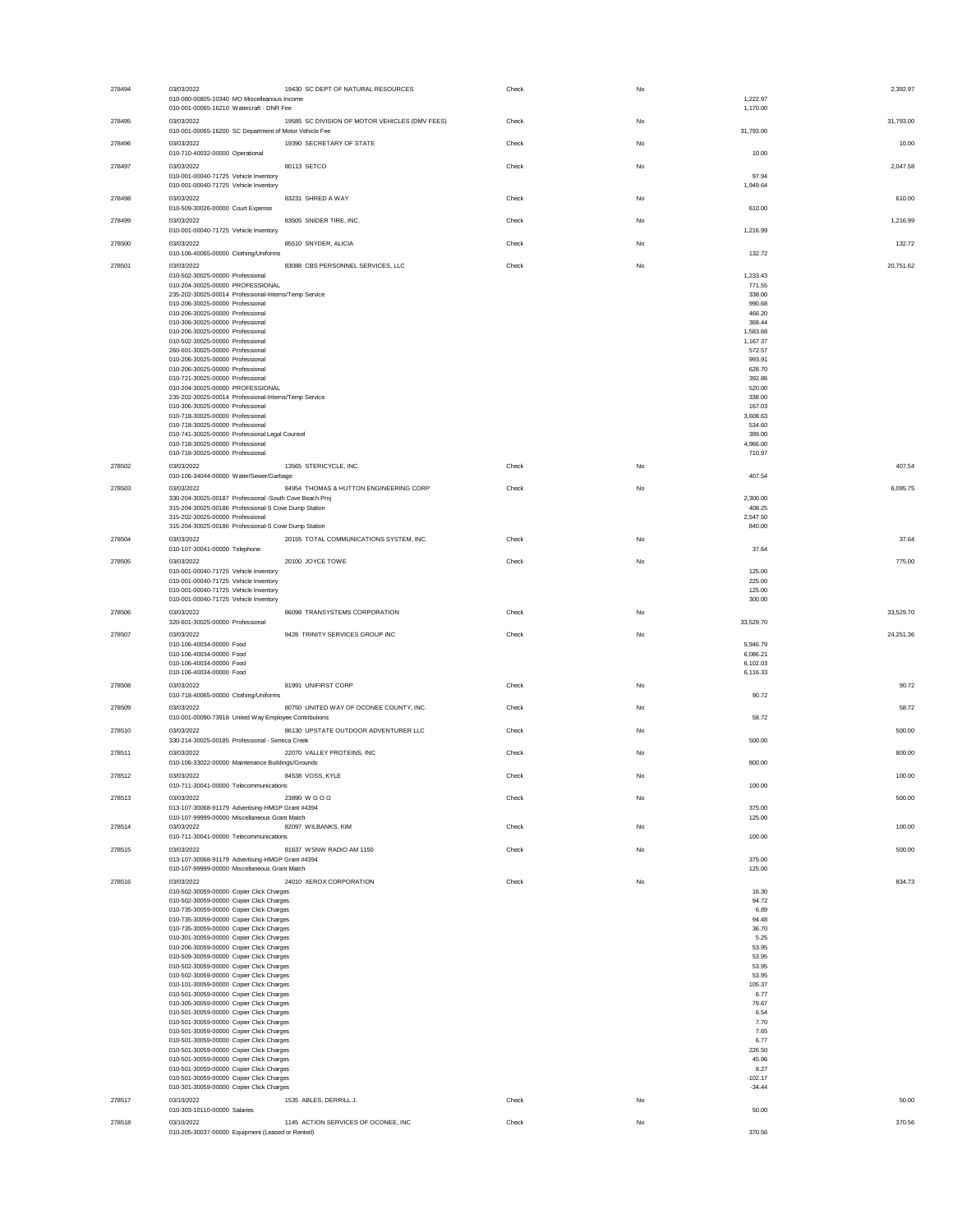| 278494 | 03/03/2022                                                                                | 19430 SC DEPT OF NATURAL RESOURCES             | Check | No |                    | 2,392.97  |
|--------|-------------------------------------------------------------------------------------------|------------------------------------------------|-------|----|--------------------|-----------|
|        | 010-080-00805-10340 MO Miscelleanous Income                                               |                                                |       |    | 1,222.97           |           |
|        | 010-001-00065-16210 Watercraft - DNR Fee                                                  |                                                |       |    | 1,170.00           |           |
| 278495 | 03/03/2022                                                                                | 19585 SC DIVISION OF MOTOR VEHICLES (DMV FEES) | Check | No |                    | 31,793.00 |
|        | 010-001-00065-16200 SC Department of Motor Vehicle Fee                                    |                                                |       |    | 31,793.00          |           |
| 278496 | 03/03/2022                                                                                | 19390 SECRETARY OF STATE                       | Check | No |                    | 10.00     |
|        | 010-710-40032-00000 Operational                                                           |                                                |       |    | 10.00              |           |
| 278497 | 03/03/2022                                                                                | 80113 SETCO                                    | Check | No |                    | 2,047.58  |
|        | 010-001-00040-71725 Vehicle Inventory                                                     |                                                |       |    | 97.94              |           |
|        | 010-001-00040-71725 Vehicle Inventory                                                     |                                                |       |    | 1,949.64           |           |
| 278498 | 03/03/2022                                                                                | 83231 SHRED A WAY                              | Check | No |                    | 610.00    |
|        | 010-509-30026-00000 Court Expense                                                         |                                                |       |    | 610.00             |           |
| 278499 | 03/03/2022                                                                                | 83505 SNIDER TIRE, INC.                        | Check | No |                    | 1,216.99  |
|        | 010-001-00040-71725 Vehicle Inventory                                                     |                                                |       |    | 1,216.99           |           |
| 278500 | 03/03/2022                                                                                | 85510 SNYDER, ALICIA                           | Check | No |                    | 132.72    |
|        | 010-106-40065-00000 Clothing/Uniforms                                                     |                                                |       |    | 132.72             |           |
| 278501 | 03/03/2022                                                                                | 83088 CBS PERSONNEL SERVICES, LLC              | Check | No |                    | 20,751.62 |
|        | 010-502-30025-00000 Professional                                                          |                                                |       |    | 1,233.43           |           |
|        | 010-204-30025-00000 PROFESSIONAL<br>235-202-30025-00014 Professional-Interns/Temp Service |                                                |       |    | 771.55<br>338.00   |           |
|        | 010-206-30025-00000 Professional                                                          |                                                |       |    | 990.68             |           |
|        | 010-206-30025-00000 Professional                                                          |                                                |       |    | 466.20             |           |
|        | 010-306-30025-00000 Professional                                                          |                                                |       |    | 368,44             |           |
|        | 010-206-30025-00000 Professional                                                          |                                                |       |    | 1.583.68           |           |
|        | 010-502-30025-00000 Professional<br>260-601-30025-00000 Professional                      |                                                |       |    | 1,167.37<br>572.57 |           |
|        | 010-206-30025-00000 Professional                                                          |                                                |       |    | 993.91             |           |
|        | 010-206-30025-00000 Professional                                                          |                                                |       |    | 628.70             |           |
|        | 010-721-30025-00000 Professional                                                          |                                                |       |    | 392.86             |           |
|        | 010-204-30025-00000 PROFESSIONAL                                                          |                                                |       |    | 520.00             |           |
|        | 235-202-30025-00014 Professional-Interns/Temp Service<br>010-306-30025-00000 Professional |                                                |       |    | 338.00<br>167.03   |           |
|        | 010-718-30025-00000 Professional                                                          |                                                |       |    | 3,608.63           |           |
|        | 010-718-30025-00000 Professional                                                          |                                                |       |    | 534.60             |           |
|        | 010-741-30025-00000 Professional Legal Counsel                                            |                                                |       |    | 399,00             |           |
|        | 010-718-30025-00000 Professional                                                          |                                                |       |    | 4.966.00           |           |
|        | 010-718-30025-00000 Professional                                                          |                                                |       |    | 710.97             |           |
| 278502 | 03/03/2022                                                                                | 13565 STERICYCLE, INC.                         | Check | No |                    | 407.54    |
|        | 010-106-34044-00000 Water/Sewer/Garbage                                                   |                                                |       |    | 407.54             |           |
| 278503 | 03/03/2022                                                                                | 84954 THOMAS & HUTTON ENGINEERING CORP         | Check | No |                    | 6,095.75  |
|        | 330-204-30025-00187 Professional -South Cove Beach Proj                                   |                                                |       |    | 2,300.00           |           |
|        | 315-204-30025-00186 Professional-S Cove Dump Station                                      |                                                |       |    | 408.25             |           |
|        | 315-202-30025-00000 Professional<br>315-204-30025-00186 Professional-S Cove Dump Station  |                                                |       |    | 2,547.50<br>840.00 |           |
|        |                                                                                           |                                                |       |    |                    |           |
| 278504 | 03/03/2022<br>010-107-30041-00000 Telephone                                               | 20155 TOTAL COMMUNICATIONS SYSTEM, INC.        | Check | No | 37.64              | 37.64     |
|        |                                                                                           |                                                |       |    |                    |           |
| 278505 | 03/03/2022                                                                                | 20100 JOYCE TOWE                               | Check | No |                    | 775.00    |
|        | 010-001-00040-71725 Vehicle Inventory<br>010-001-00040-71725 Vehicle Inventory            |                                                |       |    | 125.00<br>225.00   |           |
|        | 010-001-00040-71725 Vehicle Inventory                                                     |                                                |       |    | 125.00             |           |
|        | 010-001-00040-71725 Vehicle Inventory                                                     |                                                |       |    | 300.00             |           |
|        |                                                                                           |                                                |       |    |                    |           |
|        |                                                                                           |                                                | Check | No |                    | 33.529.70 |
| 278506 | 03/03/2022<br>320-601-30025-00000 Professional                                            | 86098 TRANSYSTEMS CORPORATION                  |       |    | 33,529.70          |           |
| 278507 | 03/03/2022                                                                                | 9428 TRINITY SERVICES GROUP INC                | Check | No |                    | 24,251.36 |
|        | 010-106-40034-00000 Food                                                                  |                                                |       |    | 5,946.79           |           |
|        | 010-106-40034-00000 Food                                                                  |                                                |       |    | 6.086.21           |           |
|        | 010-106-40034-00000 Food                                                                  |                                                |       |    | 6.102.03           |           |
|        | 010-106-40034-00000 Food                                                                  |                                                |       |    | 6,116.33           |           |
| 278508 | 03/03/2022                                                                                | 81991 UNIFIRST CORP                            | Check | No |                    | 90.72     |
|        | 010-718-40065-00000 Clothing/Uniforms                                                     |                                                |       |    | 90.72              |           |
| 278509 | 03/03/2022                                                                                | 80750 UNITED WAY OF OCONEE COUNTY, INC.        | Check | No |                    | 58.72     |
|        | 010-001-00090-73918 United Way Employee Contributions                                     |                                                |       |    | 58.72              |           |
| 278510 | 03/03/2022                                                                                | 86130 UPSTATE OUTDOOR ADVENTURER LLC           | Check | No |                    | 500.00    |
|        | 330-214-30025-00185 Professional - Seneca Creek                                           |                                                |       |    | 500.00             |           |
| 278511 | 03/03/2022                                                                                | 22070 VALLEY PROTEINS, INC                     | Check | No |                    | 800.00    |
|        | 010-106-33022-00000 Maintenance Buildings/Grounds                                         |                                                |       |    | 800.00             |           |
| 278512 | 03/03/2022                                                                                | 84538 VOSS, KYLE                               | Check | No |                    | 100.00    |
|        | 010-711-30041-00000 Telecommunications                                                    |                                                |       |    | 100.00             |           |
| 278513 | 03/03/2022                                                                                | 23890 W G O G                                  | Check | No |                    | 500.00    |
|        | 013-107-30068-91179 Advertising-HMGP Grant #4394                                          |                                                |       |    | 375.00             |           |
|        | 010-107-99999-00000 Miscellaneous Grant Match                                             |                                                |       |    | 125.00             |           |
| 278514 | 03/03/2022                                                                                | 82097 WILBANKS, KIM                            | Check | No |                    | 100.00    |
|        | 010-711-30041-00000 Telecommunications                                                    |                                                |       |    | 100.00             |           |
| 278515 | 03/03/2022                                                                                | 81637 WSNW RADIO AM 1150                       | Check | No |                    | 500.00    |
|        | 013-107-30068-91179 Advertising-HMGP Grant #4394                                          |                                                |       |    | 375.00             |           |
|        | 010-107-99999-00000 Miscellaneous Grant Match                                             |                                                |       |    | 125.00             |           |
| 278516 | 03/03/2022                                                                                | 24010 XEROX CORPORATION                        | Check | No |                    | 834.73    |
|        | 010-502-30059-00000 Copier Click Charges                                                  |                                                |       |    | 16.30              |           |
|        | 010-502-30059-00000 Copier Click Charges<br>010-735-30059-00000 Copier Click Charges      |                                                |       |    | 94.72<br>6.89      |           |
|        | 010-735-30059-00000 Copier Click Charges                                                  |                                                |       |    | 94.48              |           |
|        | 010-735-30059-00000 Copier Click Charges                                                  |                                                |       |    | 36.70              |           |
|        | 010-301-30059-00000 Copier Click Charges                                                  |                                                |       |    | 5.25               |           |
|        | 010-206-30059-00000 Copier Click Charges<br>010-509-30059-00000 Copier Click Charges      |                                                |       |    | 53.95<br>53.95     |           |
|        | 010-502-30059-00000 Copier Click Charges                                                  |                                                |       |    | 53.95              |           |
|        | 010-502-30059-00000 Copier Click Charges                                                  |                                                |       |    | 53.95              |           |
|        | 010-101-30059-00000 Copier Click Charges                                                  |                                                |       |    | 105.37             |           |
|        | 010-501-30059-00000 Copier Click Charges                                                  |                                                |       |    | 6.77               |           |
|        | 010-305-30059-00000 Copier Click Charges                                                  |                                                |       |    | 79.67              |           |
|        | 010-501-30059-00000 Copier Click Charges<br>010-501-30059-00000 Copier Click Charges      |                                                |       |    | 6.54<br>7.70       |           |
|        | 010-501-30059-00000 Copier Click Charges                                                  |                                                |       |    | 7.65               |           |
|        | 010-501-30059-00000 Copier Click Charges                                                  |                                                |       |    | 6.77               |           |
|        | 010-501-30059-00000 Copier Click Charges                                                  |                                                |       |    | 226.50             |           |
|        | 010-501-30059-00000 Copier Click Charges                                                  |                                                |       |    | 45.96              |           |
|        | 010-501-30059-00000 Copier Click Charges<br>010-501-30059-00000 Copier Click Charges      |                                                |       |    | 8.27<br>$-102.17$  |           |
|        | 010-301-30059-00000 Copier Click Charges                                                  |                                                |       |    | $-34.44$           |           |
| 278517 | 03/10/2022                                                                                | 1535 ABLES, DERRILL J.                         |       | No |                    | 50.00     |
|        | 010-303-10110-00000 Salaries                                                              |                                                | Check |    | 50.00              |           |
| 278518 | 03/10/2022                                                                                | 1145 ACTION SERVICES OF OCONEE, INC            | Check | No |                    | 370.56    |
|        | 010-205-30037-00000 Equipment (Leased or Rented)                                          |                                                |       |    | 370.56             |           |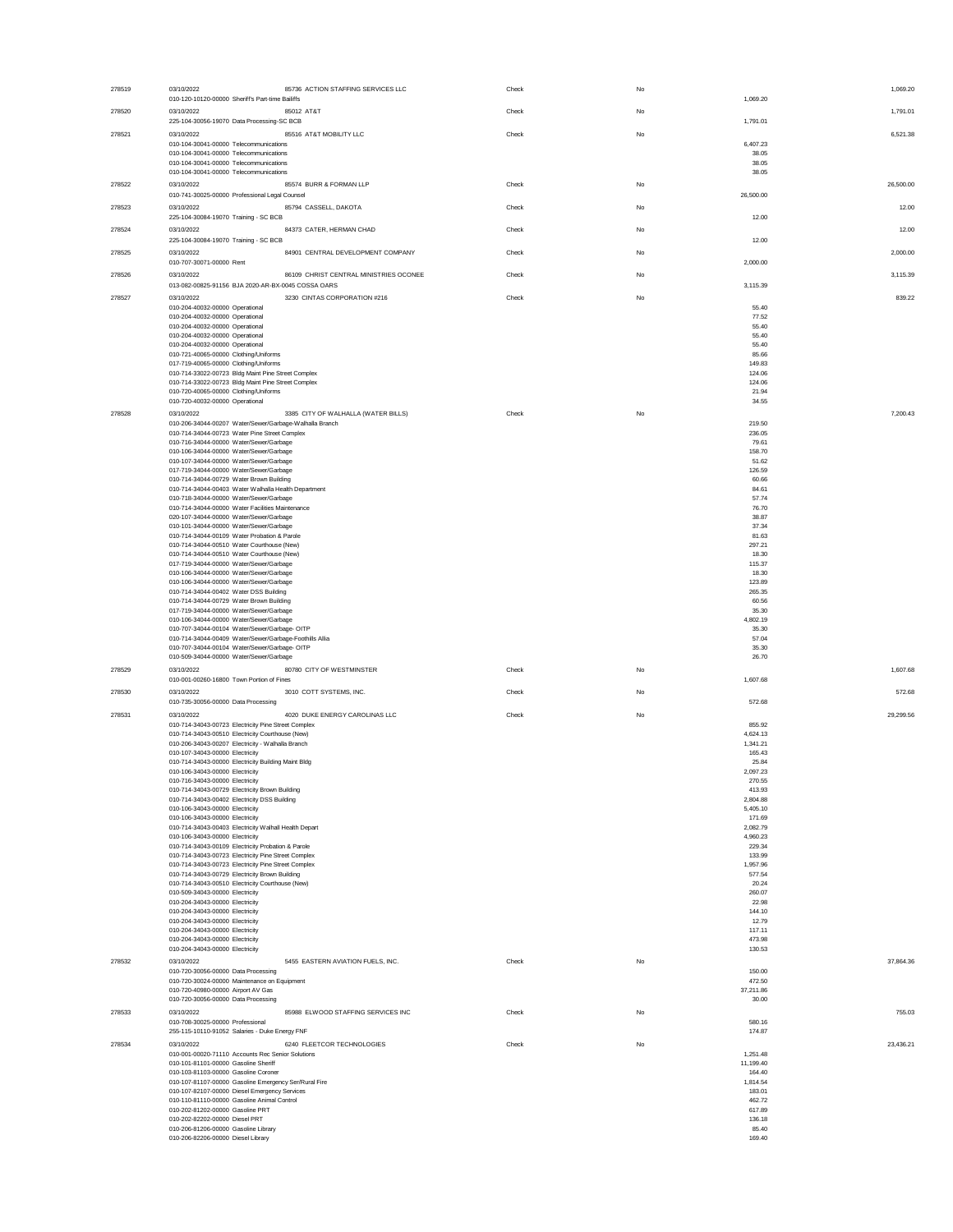| 278519 | 03/10/2022<br>010-120-10120-00000 Sheriff's Part-time Bailiffs                                             | 85736 ACTION STAFFING SERVICES LLC     | Check | No | 1.069.20             | 1,069.20  |
|--------|------------------------------------------------------------------------------------------------------------|----------------------------------------|-------|----|----------------------|-----------|
| 278520 | 03/10/2022<br>85012 AT&T<br>225-104-30056-19070 Data Processing-SC BCB                                     |                                        | Check | No |                      | 1,791.01  |
| 278521 | 03/10/2022                                                                                                 | 85516 AT&T MOBILITY LLC                | Check | No | 1,791.01             | 6,521.38  |
|        | 010-104-30041-00000 Telecommunications<br>010-104-30041-00000 Telecommunications                           |                                        |       |    | 6,407.23<br>38.05    |           |
|        | 010-104-30041-00000 Telecommunications<br>010-104-30041-00000 Telecommunications                           |                                        |       |    | 38.05<br>38.05       |           |
| 278522 | 03/10/2022<br>010-741-30025-00000 Professional Legal Counsel                                               | 85574 BURR & FORMAN LLP                | Check | No | 26,500.00            | 26,500.00 |
| 278523 | 03/10/2022                                                                                                 | 85794 CASSELL, DAKOTA                  | Check | No |                      | 12.00     |
| 278524 | 225-104-30084-19070 Training - SC BCB<br>03/10/2022                                                        | 84373 CATER, HERMAN CHAD               | Check | No | 12.00                | 12.00     |
| 278525 | 225-104-30084-19070 Training - SC BCB<br>03/10/2022                                                        | 84901 CENTRAL DEVELOPMENT COMPANY      | Check | No | 12.00                | 2,000.00  |
|        | 010-707-30071-00000 Rent                                                                                   |                                        |       |    | 2,000.00             |           |
| 278526 | 03/10/2022<br>013-082-00825-91156 BJA 2020-AR-BX-0045 COSSA OARS                                           | 86109 CHRIST CENTRAL MINISTRIES OCONEE | Check | No | 3,115.39             | 3,115.39  |
| 278527 | 03/10/2022<br>010-204-40032-00000 Operational                                                              | 3230 CINTAS CORPORATION #216           | Check | No | 55.40                | 839.22    |
|        | 010-204-40032-00000 Operational<br>010-204-40032-00000 Operational                                         |                                        |       |    | 77.52<br>55.40       |           |
|        | 010-204-40032-00000 Operational<br>010-204-40032-00000 Operational                                         |                                        |       |    | 55.40<br>55.40       |           |
|        | 010-721-40065-00000 Clothing/Uniforms                                                                      |                                        |       |    | 85.66                |           |
|        | 017-719-40065-00000 Clothing/Uniforms<br>010-714-33022-00723 Bldg Maint Pine Street Complex                |                                        |       |    | 149.83<br>124.06     |           |
|        | 010-714-33022-00723 Bldg Maint Pine Street Complex                                                         |                                        |       |    | 124.06               |           |
|        | 010-720-40065-00000 Clothing/Uniforms<br>010-720-40032-00000 Operational                                   |                                        |       |    | 21.94<br>34.55       |           |
| 278528 | 03/10/2022                                                                                                 | 3385 CITY OF WALHALLA (WATER BILLS)    | Check | No |                      | 7,200.43  |
|        | 010-206-34044-00207 Water/Sewer/Garbage-Walhalla Branch<br>010-714-34044-00723 Water Pine Street Complex   |                                        |       |    | 219.50<br>236.05     |           |
|        | 010-716-34044-00000 Water/Sewer/Garbage                                                                    |                                        |       |    | 79.61                |           |
|        | 010-106-34044-00000 Water/Sewer/Garbage<br>010-107-34044-00000 Water/Sewer/Garbage                         |                                        |       |    | 158,70<br>51.62      |           |
|        | 017-719-34044-00000 Water/Sewer/Garbage                                                                    |                                        |       |    | 126.59               |           |
|        | 010-714-34044-00729 Water Brown Building<br>010-714-34044-00403 Water Walhalla Health Department           |                                        |       |    | 60.66<br>84.61       |           |
|        | 010-718-34044-00000 Water/Sewer/Garbage                                                                    |                                        |       |    | 57.74                |           |
|        | 010-714-34044-00000 Water Facilities Maintenance<br>020-107-34044-00000 Water/Sewer/Garbage                |                                        |       |    | 76.70<br>38.87       |           |
|        | 010-101-34044-00000 Water/Sewer/Garbage                                                                    |                                        |       |    | 37.34                |           |
|        | 010-714-34044-00109 Water Probation & Parole<br>010-714-34044-00510 Water Courthouse (New)                 |                                        |       |    | 81.63<br>297.21      |           |
|        | 010-714-34044-00510 Water Courthouse (New)<br>017-719-34044-00000 Water/Sewer/Garbage                      |                                        |       |    | 18.30<br>115.37      |           |
|        | 010-106-34044-00000 Water/Sewer/Garbage                                                                    |                                        |       |    | 18.30                |           |
|        | 010-106-34044-00000 Water/Sewer/Garbage<br>010-714-34044-00402 Water DSS Building                          |                                        |       |    | 123.89<br>265.35     |           |
|        | 010-714-34044-00729 Water Brown Building                                                                   |                                        |       |    | 60.56                |           |
|        | 017-719-34044-00000 Water/Sewer/Garbage<br>010-106-34044-00000 Water/Sewer/Garbage                         |                                        |       |    | 35.30<br>4.802.19    |           |
|        | 010-707-34044-00104 Water/Sewer/Garbage- OITP                                                              |                                        |       |    | 35.30                |           |
|        | 010-714-34044-00409 Water/Sewer/Garbage-Foothills Allia<br>010-707-34044-00104 Water/Sewer/Garbage- OITP   |                                        |       |    | 57.04<br>35.30       |           |
|        | 010-509-34044-00000 Water/Sewer/Garbage                                                                    |                                        |       |    | 26.70                |           |
| 278529 | 03/10/2022<br>010-001-00260-16800 Town Portion of Fines                                                    | 80780 CITY OF WESTMINSTER              | Check | No | 1,607.68             | 1,607.68  |
| 278530 | 03/10/2022<br>010-735-30056-00000 Data Processing                                                          | 3010 COTT SYSTEMS, INC.                | Check | No | 572.68               | 572.68    |
| 278531 | 03/10/2022                                                                                                 | 4020 DUKE ENERGY CAROLINAS LLC         | Check | No |                      | 29,299.56 |
|        | 010-714-34043-00723 Electricity Pine Street Complex<br>010-714-34043-00510 Electricity Courthouse (New)    |                                        |       |    | 855.92<br>4,624.13   |           |
|        | 010-206-34043-00207 Electricity - Walhalla Branch                                                          |                                        |       |    | 1,341.21             |           |
|        | 010-107-34043-00000 Electricity<br>010-714-34043-00000 Electricity Building Maint Bldg                     |                                        |       |    | 165.43<br>25.84      |           |
|        | 010-106-34043-00000 Electricity                                                                            |                                        |       |    | 2,097.23             |           |
|        | 010-716-34043-00000 Electricity<br>010-714-34043-00729 Electricity Brown Building                          |                                        |       |    | 270.55<br>413.93     |           |
|        | 010-714-34043-00402 Electricity DSS Building<br>010-106-34043-00000 Electricity                            |                                        |       |    | 2,804.88<br>5,405.10 |           |
|        | 010-106-34043-00000 Electricity                                                                            |                                        |       |    | 171.69               |           |
|        | 010-714-34043-00403 Electricity Walhall Health Depart<br>010-106-34043-00000 Electricity                   |                                        |       |    | 2,082.79<br>4,960.23 |           |
|        | 010-714-34043-00109 Electricity Probation & Parole                                                         |                                        |       |    | 229.34               |           |
|        | 010-714-34043-00723 Electricity Pine Street Complex<br>010-714-34043-00723 Electricity Pine Street Complex |                                        |       |    | 133.99<br>1,957.96   |           |
|        | 010-714-34043-00729 Electricity Brown Building                                                             |                                        |       |    | 577.54               |           |
|        | 010-714-34043-00510 Electricity Courthouse (New)<br>010-509-34043-00000 Electricity                        |                                        |       |    | 20.24<br>260.07      |           |
|        | 010-204-34043-00000 Electricity<br>010-204-34043-00000 Electricity                                         |                                        |       |    | 22.98<br>144.10      |           |
|        | 010-204-34043-00000 Electricity                                                                            |                                        |       |    | 12.79                |           |
|        | 010-204-34043-00000 Electricity<br>010-204-34043-00000 Electricity                                         |                                        |       |    | 117.11<br>473.98     |           |
|        | 010-204-34043-00000 Electricity                                                                            |                                        |       |    | 130.53               |           |
| 278532 | 03/10/2022<br>010-720-30056-00000 Data Processing                                                          | 5455 EASTERN AVIATION FUELS, INC.      | Check | No | 150.00               | 37,864.36 |
|        | 010-720-30024-00000 Maintenance on Equipment                                                               |                                        |       |    | 472.50               |           |
|        | 010-720-40980-00000 Airport AV Gas<br>010-720-30056-00000 Data Processing                                  |                                        |       |    | 37,211.86<br>30.00   |           |
| 278533 | 03/10/2022                                                                                                 | 85988 ELWOOD STAFFING SERVICES INC     | Check | No |                      | 755.03    |
|        | 010-708-30025-00000 Professional                                                                           |                                        |       |    | 580.16               |           |
| 278534 | 255-115-10110-91052 Salaries - Duke Energy FNF<br>03/10/2022                                               | 6240 FLEETCOR TECHNOLOGIES             | Check | No | 174.87               | 23,436.21 |
|        | 010-001-00020-71110 Accounts Rec Senior Solutions                                                          |                                        |       |    | 1,251.48             |           |
|        | 010-101-81101-00000 Gasoline Sheriff<br>010-103-81103-00000 Gasoline Coroner                               |                                        |       |    | 11,199.40<br>164.40  |           |
|        | 010-107-81107-00000 Gasoline Emergency Ser/Rural Fire                                                      |                                        |       |    | 1,814.54             |           |
|        | 010-107-82107-00000 Diesel Emergency Services<br>010-110-81110-00000 Gasoline Animal Control               |                                        |       |    | 183.01<br>462.72     |           |
|        | 010-202-81202-00000 Gasoline PRT                                                                           |                                        |       |    | 617.89               |           |
|        | 010-202-82202-00000 Diesel PRT<br>010-206-81206-00000 Gasoline Library                                     |                                        |       |    | 136.18<br>85.40      |           |
|        | 010-206-82206-00000 Diesel Library                                                                         |                                        |       |    | 169.40               |           |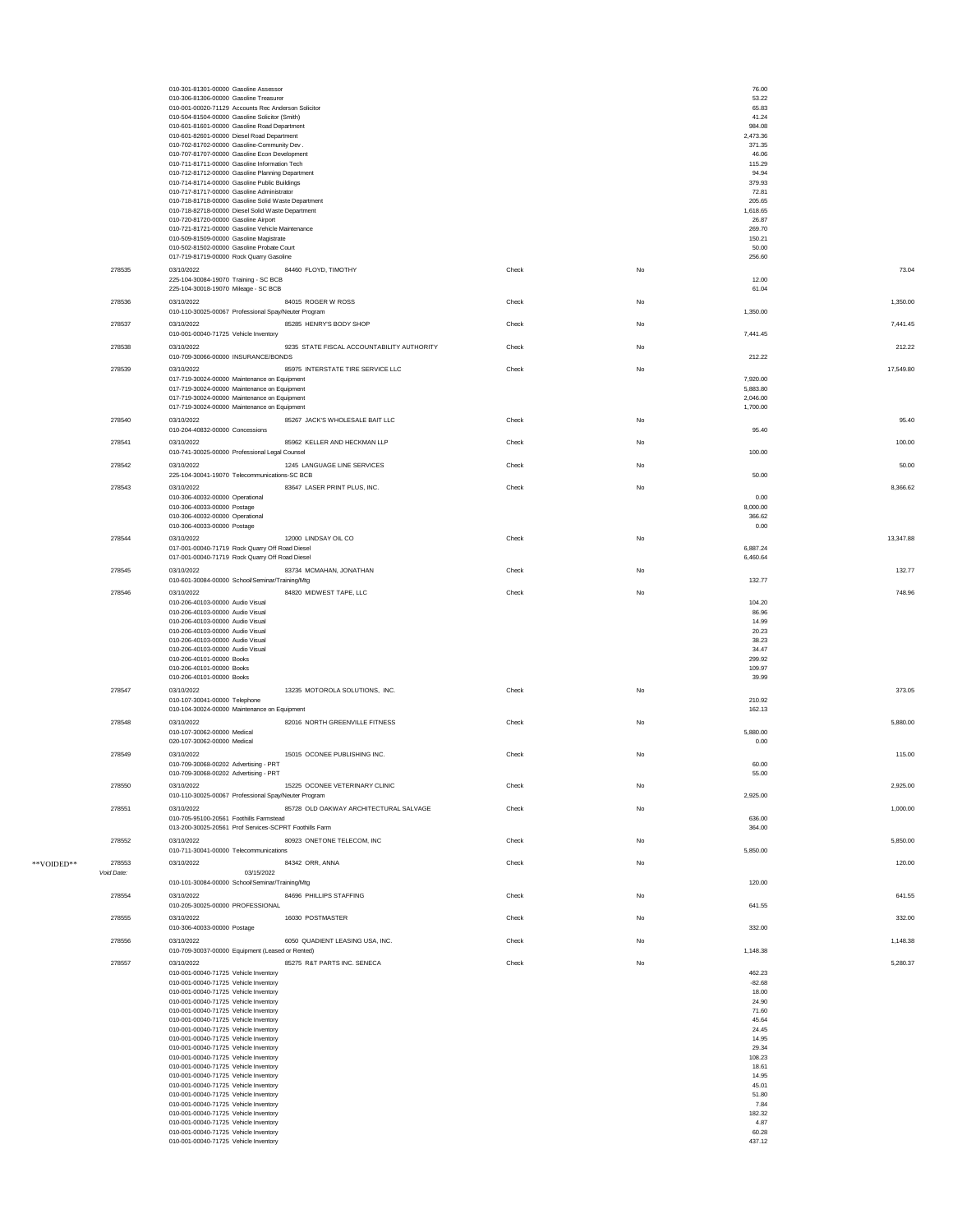|            |            | 010-301-81301-00000 Gasoline Assessor                                                          |                                            |       |    | 76.00                |           |
|------------|------------|------------------------------------------------------------------------------------------------|--------------------------------------------|-------|----|----------------------|-----------|
|            |            | 010-306-81306-00000 Gasoline Treasurer<br>010-001-00020-71129 Accounts Rec Anderson Solicitor  |                                            |       |    | 53.22<br>65.83       |           |
|            |            | 010-504-81504-00000 Gasoline Solicitor (Smith)                                                 |                                            |       |    | 41.24                |           |
|            |            | 010-601-81601-00000 Gasoline Road Department<br>010-601-82601-00000 Diesel Road Department     |                                            |       |    | 984.08<br>2,473.36   |           |
|            |            | 010-702-81702-00000 Gasoline-Community Dev.                                                    |                                            |       |    | 371.35               |           |
|            |            | 010-707-81707-00000 Gasoline Econ Development<br>010-711-81711-00000 Gasoline Information Tech |                                            |       |    | 46.06<br>115.29      |           |
|            |            | 010-712-81712-00000 Gasoline Planning Department                                               |                                            |       |    | 94.94                |           |
|            |            | 010-714-81714-00000 Gasoline Public Buildings<br>010-717-81717-00000 Gasoline Administrator    |                                            |       |    | 379.93<br>72.81      |           |
|            |            | 010-718-81718-00000 Gasoline Solid Waste Department                                            |                                            |       |    | 205.65               |           |
|            |            | 010-718-82718-00000 Diesel Solid Waste Department<br>010-720-81720-00000 Gasoline Airport      |                                            |       |    | 1,618.65<br>26.87    |           |
|            |            | 010-721-81721-00000 Gasoline Vehicle Maintenance                                               |                                            |       |    | 269.70               |           |
|            |            | 010-509-81509-00000 Gasoline Magistrate<br>010-502-81502-00000 Gasoline Probate Court          |                                            |       |    | 150.21<br>50.00      |           |
|            |            | 017-719-81719-00000 Rock Quarry Gasoline                                                       |                                            |       |    | 256.60               |           |
|            | 278535     | 03/10/2022                                                                                     | 84460 FLOYD, TIMOTHY                       | Check | No |                      | 73.04     |
|            |            | 225-104-30084-19070 Training - SC BCB<br>225-104-30018-19070 Mileage - SC BCB                  |                                            |       |    | 12.00<br>61.04       |           |
|            | 278536     | 03/10/2022                                                                                     | 84015 ROGER W ROSS                         | Check | No |                      | 1,350.00  |
|            |            | 010-110-30025-00067 Professional Spay/Neuter Program                                           |                                            |       |    | 1,350.00             |           |
|            | 278537     | 03/10/2022                                                                                     | 85285 HENRY'S BODY SHOP                    | Check | No |                      | 7,441.45  |
|            |            | 010-001-00040-71725 Vehicle Inventory                                                          |                                            |       |    | 7,441.45             |           |
|            | 278538     | 03/10/2022<br>010-709-30066-00000 INSURANCE/BONDS                                              | 9235 STATE FISCAL ACCOUNTABILITY AUTHORITY | Check | No | 212.22               | 212.22    |
|            | 278539     | 03/10/2022                                                                                     | 85975 INTERSTATE TIRE SERVICE LLC          | Check | No |                      | 17,549.80 |
|            |            | 017-719-30024-00000 Maintenance on Equipment                                                   |                                            |       |    | 7,920.00             |           |
|            |            | 017-719-30024-00000 Maintenance on Equipment<br>017-719-30024-00000 Maintenance on Equipment   |                                            |       |    | 5,883.80<br>2,046.00 |           |
|            |            | 017-719-30024-00000 Maintenance on Equipment                                                   |                                            |       |    | 1,700.00             |           |
|            | 278540     | 03/10/2022                                                                                     | 85267 JACK'S WHOLESALE BAIT LLC            | Check | No |                      | 95.40     |
|            |            | 010-204-40832-00000 Concessions                                                                |                                            |       |    | 95.40                |           |
|            | 278541     | 03/10/2022<br>010-741-30025-00000 Professional Legal Counsel                                   | 85962 KELLER AND HECKMAN LLP               | Check | No | 100.00               | 100.00    |
|            | 278542     | 03/10/2022                                                                                     | 1245 LANGUAGE LINE SERVICES                | Check | No |                      | 50.00     |
|            |            | 225-104-30041-19070 Telecommunications-SC BCB                                                  |                                            |       |    | 50.00                |           |
|            | 278543     | 03/10/2022                                                                                     | 83647 LASER PRINT PLUS, INC.               | Check | No |                      | 8,366.62  |
|            |            | 010-306-40032-00000 Operational<br>010-306-40033-00000 Postage                                 |                                            |       |    | 0.00<br>8,000.00     |           |
|            |            | 010-306-40032-00000 Operational                                                                |                                            |       |    | 366.62               |           |
|            |            | 010-306-40033-00000 Postage                                                                    |                                            |       |    | 0.00                 |           |
|            | 278544     | 03/10/2022<br>017-001-00040-71719 Rock Quarry Off Road Diesel                                  | 12000 LINDSAY OIL CO                       | Check | No | 6,887.24             | 13,347.88 |
|            |            | 017-001-00040-71719 Rock Quarry Off Road Diesel                                                |                                            |       |    | 6,460.64             |           |
|            | 278545     | 03/10/2022                                                                                     | 83734 MCMAHAN, JONATHAN                    | Check | No |                      | 132.77    |
|            |            | 010-601-30084-00000 School/Seminar/Training/Mtg                                                |                                            |       |    | 132.77               |           |
|            | 278546     | 03/10/2022<br>010-206-40103-00000 Audio Visual                                                 | 84820 MIDWEST TAPE, LLC                    | Check | No | 104.20               | 748.96    |
|            |            | 010-206-40103-00000 Audio Visual                                                               |                                            |       |    | 86.96                |           |
|            |            | 010-206-40103-00000 Audio Visual<br>010-206-40103-00000 Audio Visual                           |                                            |       |    | 14.99<br>20.23       |           |
|            |            | 010-206-40103-00000 Audio Visual                                                               |                                            |       |    | 38.23                |           |
|            |            | 010-206-40103-00000 Audio Visual                                                               |                                            |       |    | 34.47                |           |
|            |            | 010-206-40101-00000 Books<br>010-206-40101-00000 Books                                         |                                            |       |    | 299.92<br>109.97     |           |
|            |            | 010-206-40101-00000 Books                                                                      |                                            |       |    | 39.99                |           |
|            | 278547     | 03/10/2022                                                                                     | 13235 MOTOROLA SOLUTIONS, INC.             | Check | No |                      | 373.05    |
|            |            | 010-107-30041-00000 Telephone<br>010-104-30024-00000 Maintenance on Equipment                  |                                            |       |    | 210.92<br>162.13     |           |
|            | 278548     | 03/10/2022                                                                                     | 82016 NORTH GREENVILLE FITNESS             | Check | No |                      | 5,880.00  |
|            |            | 010-107-30062-00000 Medical                                                                    |                                            |       |    | 5,880.00             |           |
|            | 278549     | 020-107-30062-00000 Medical<br>03/10/2022                                                      | 15015 OCONEE PUBLISHING INC.               | Check | No | 0.00                 | 115.00    |
|            |            | 010-709-30068-00202 Advertising - PRT                                                          |                                            |       |    | 60.00                |           |
|            |            | 010-709-30068-00202 Advertising - PRT                                                          |                                            |       |    | 55.00                |           |
|            | 278550     | 03/10/2022                                                                                     | 15225 OCONEE VETERINARY CLINIC             | Check | No |                      | 2,925.00  |
|            | 278551     | 010-110-30025-00067 Professional Spay/Neuter Program<br>03/10/2022                             | 85728 OLD OAKWAY ARCHITECTURAL SALVAGE     | Check | No | 2,925.00             | 1,000.00  |
|            |            | 010-705-95100-20561 Foothills Farmstead                                                        |                                            |       |    | 636.00               |           |
|            |            | 013-200-30025-20561 Prof Services-SCPRT Foothills Farm                                         |                                            |       |    | 364.00               |           |
|            | 278552     | 03/10/2022<br>010-711-30041-00000 Telecommunications                                           | 80923 ONETONE TELECOM, INC                 | Check | No | 5,850.00             | 5,850.00  |
| **VOIDED** | 278553     | 03/10/2022                                                                                     | 84342 ORR, ANNA                            | Check | No |                      | 120.00    |
|            | Void Date: | 03/15/2022                                                                                     |                                            |       |    |                      |           |
|            |            | 010-101-30084-00000 School/Seminar/Training/Mtg                                                |                                            |       |    | 120.00               |           |
|            | 278554     |                                                                                                | 84696 PHILLIPS STAFFING                    | Check | No |                      | 641.55    |
|            |            | 03/10/2022                                                                                     |                                            |       |    |                      |           |
|            |            | 010-205-30025-00000 PROFESSIONAL                                                               |                                            |       |    | 641.55               |           |
|            | 278555     | 03/10/2022<br>010-306-40033-00000 Postage                                                      | 16030 POSTMASTER                           | Check | No | 332.00               | 332.00    |
|            | 278556     | 03/10/2022                                                                                     | 6050 QUADIENT LEASING USA, INC.            | Check | No |                      | 1,148.38  |
|            |            | 010-709-30037-00000 Equipment (Leased or Rented)                                               |                                            |       |    | 1,148.38             |           |
|            | 278557     | 03/10/2022                                                                                     | 85275 R&T PARTS INC. SENECA                | Check | No |                      | 5,280.37  |
|            |            | 010-001-00040-71725 Vehicle Inventory<br>010-001-00040-71725 Vehicle Inventory                 |                                            |       |    | 462.23<br>$-82.68$   |           |
|            |            | 010-001-00040-71725 Vehicle Inventory                                                          |                                            |       |    | 18.00                |           |
|            |            | 010-001-00040-71725 Vehicle Inventory<br>010-001-00040-71725 Vehicle Inventory                 |                                            |       |    | 24.90<br>71.60       |           |
|            |            | 010-001-00040-71725 Vehicle Inventory                                                          |                                            |       |    | 45.64                |           |
|            |            | 010-001-00040-71725 Vehicle Inventory                                                          |                                            |       |    | 24.45<br>14.95       |           |
|            |            | 010-001-00040-71725 Vehicle Inventory<br>010-001-00040-71725 Vehicle Inventory                 |                                            |       |    | 29.34                |           |
|            |            | 010-001-00040-71725 Vehicle Inventory                                                          |                                            |       |    | 108.23               |           |
|            |            | 010-001-00040-71725 Vehicle Inventory<br>010-001-00040-71725 Vehicle Inventory                 |                                            |       |    | 18.61<br>14.95       |           |
|            |            | 010-001-00040-71725 Vehicle Inventory                                                          |                                            |       |    | 45.01                |           |
|            |            | 010-001-00040-71725 Vehicle Inventory<br>010-001-00040-71725 Vehicle Inventory                 |                                            |       |    | 51.80<br>7.84        |           |
|            |            | 010-001-00040-71725 Vehicle Inventory                                                          |                                            |       |    | 182.32               |           |
|            |            | 010-001-00040-71725 Vehicle Inventory<br>010-001-00040-71725 Vehicle Inventory                 |                                            |       |    | 4.87<br>60.28        |           |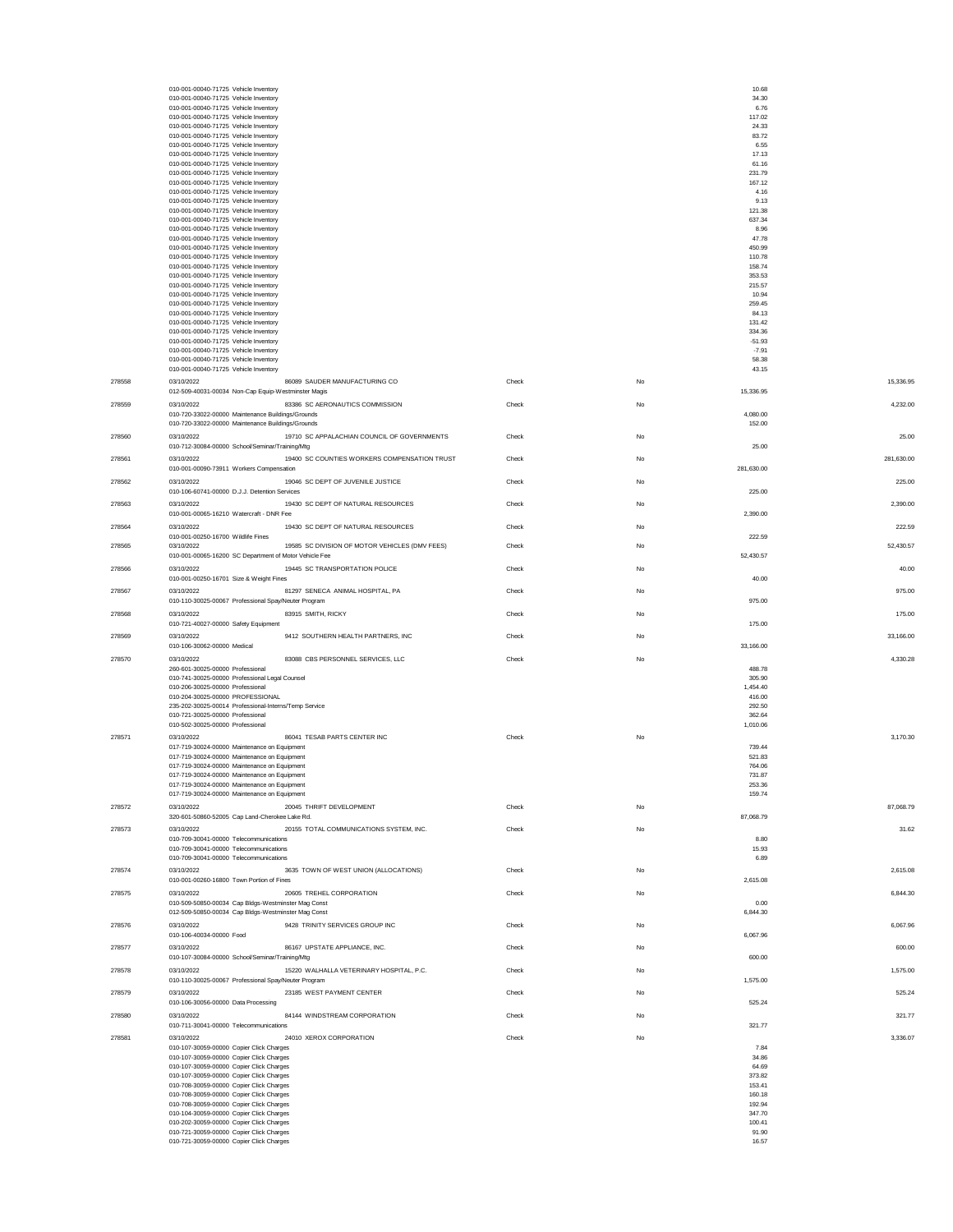|        | 010-001-00040-71725 Vehicle Inventory                                                                                  |       |    | 10.68              |            |
|--------|------------------------------------------------------------------------------------------------------------------------|-------|----|--------------------|------------|
|        | 010-001-00040-71725 Vehicle Inventory<br>010-001-00040-71725 Vehicle Inventory                                         |       |    | 34.30<br>6.76      |            |
|        | 010-001-00040-71725 Vehicle Inventory                                                                                  |       |    | 117.02             |            |
|        | 010-001-00040-71725 Vehicle Inventory<br>010-001-00040-71725 Vehicle Inventory                                         |       |    | 24.33<br>83.72     |            |
|        | 010-001-00040-71725 Vehicle Inventory                                                                                  |       |    | 6.55               |            |
|        | 010-001-00040-71725 Vehicle Inventory                                                                                  |       |    | 17.13              |            |
|        | 010-001-00040-71725 Vehicle Inventory<br>010-001-00040-71725 Vehicle Inventory                                         |       |    | 61.16<br>231.79    |            |
|        | 010-001-00040-71725 Vehicle Inventory                                                                                  |       |    | 167.12             |            |
|        | 010-001-00040-71725 Vehicle Inventory                                                                                  |       |    | 4.16<br>9.13       |            |
|        | 010-001-00040-71725 Vehicle Inventory<br>010-001-00040-71725 Vehicle Inventory                                         |       |    | 121.38             |            |
|        | 010-001-00040-71725 Vehicle Inventory                                                                                  |       |    | 637.34             |            |
|        | 010-001-00040-71725 Vehicle Inventory                                                                                  |       |    | 8.96<br>47.78      |            |
|        | 010-001-00040-71725 Vehicle Inventory<br>010-001-00040-71725 Vehicle Inventory                                         |       |    | 450.99             |            |
|        | 010-001-00040-71725 Vehicle Inventory                                                                                  |       |    | 110.78             |            |
|        | 010-001-00040-71725 Vehicle Inventory<br>010-001-00040-71725 Vehicle Inventory                                         |       |    | 158.74<br>353.53   |            |
|        | 010-001-00040-71725 Vehicle Inventory                                                                                  |       |    | 215.57             |            |
|        | 010-001-00040-71725 Vehicle Inventory                                                                                  |       |    | 10.94              |            |
|        | 010-001-00040-71725 Vehicle Inventory<br>010-001-00040-71725 Vehicle Inventory                                         |       |    | 259.45<br>84.13    |            |
|        | 010-001-00040-71725 Vehicle Inventory                                                                                  |       |    | 131.42             |            |
|        | 010-001-00040-71725 Vehicle Inventory<br>010-001-00040-71725 Vehicle Inventory                                         |       |    | 334.36<br>$-51.93$ |            |
|        | 010-001-00040-71725 Vehicle Inventory                                                                                  |       |    | $-7.91$            |            |
|        | 010-001-00040-71725 Vehicle Inventory                                                                                  |       |    | 58.38              |            |
|        | 010-001-00040-71725 Vehicle Inventory                                                                                  |       |    | 43.15              |            |
| 278558 | 03/10/2022<br>86089 SAUDER MANUFACTURING CO<br>012-509-40031-00034 Non-Cap Equip-Westminster Magis                     | Check | No | 15,336.95          | 15,336.95  |
| 278559 | 03/10/2022<br>83386 SC AERONAUTICS COMMISSION                                                                          | Check | No |                    | 4,232.00   |
|        | 010-720-33022-00000 Maintenance Buildings/Grounds                                                                      |       |    | 4,080.00           |            |
|        | 010-720-33022-00000 Maintenance Buildings/Grounds                                                                      |       |    | 152.00             |            |
| 278560 | 19710 SC APPALACHIAN COUNCIL OF GOVERNMENTS<br>03/10/2022                                                              | Check | No |                    | 25.00      |
|        | 010-712-30084-00000 School/Seminar/Training/Mtg                                                                        |       |    | 25.00              |            |
| 278561 | 03/10/2022<br>19400 SC COUNTIES WORKERS COMPENSATION TRUST                                                             | Check | No |                    | 281,630.00 |
|        | 010-001-00090-73911 Workers Compensation                                                                               |       |    | 281,630.00         |            |
| 278562 | 19046 SC DEPT OF JUVENILE JUSTICE<br>03/10/2022<br>010-106-60741-00000 D.J.J. Detention Services                       | Check | No | 225.00             | 225.00     |
| 278563 | 19430 SC DEPT OF NATURAL RESOURCES<br>03/10/2022                                                                       | Check | No |                    | 2,390.00   |
|        | 010-001-00065-16210 Watercraft - DNR Fee                                                                               |       |    | 2,390.00           |            |
| 278564 | 03/10/2022<br>19430 SC DEPT OF NATURAL RESOURCES                                                                       | Check | No |                    | 222.59     |
|        | 010-001-00250-16700 Wildlife Fines                                                                                     |       |    | 222.59             |            |
| 278565 | 19585 SC DIVISION OF MOTOR VEHICLES (DMV FEES)<br>03/10/2022<br>010-001-00065-16200 SC Department of Motor Vehicle Fee | Check | No | 52,430.57          | 52,430.57  |
| 278566 | 03/10/2022<br>19445 SC TRANSPORTATION POLICE                                                                           | Check | No |                    | 40.00      |
|        | 010-001-00250-16701 Size & Weight Fines                                                                                |       |    | 40.00              |            |
| 278567 | 03/10/2022<br>81297 SENECA ANIMAL HOSPITAL, PA                                                                         | Check | No |                    | 975.00     |
|        | 010-110-30025-00067 Professional Spay/Neuter Program                                                                   |       |    | 975.00             |            |
| 278568 | 03/10/2022<br>83915 SMITH, RICKY                                                                                       | Check | No |                    | 175.00     |
|        | 010-721-40027-00000 Safety Equipment                                                                                   |       |    | 175.00             |            |
| 278569 | 03/10/2022<br>9412 SOUTHERN HEALTH PARTNERS, INC<br>010-106-30062-00000 Medical                                        | Check | No |                    | 33,166.00  |
| 278570 | 83088 CBS PERSONNEL SERVICES, LLC<br>03/10/2022                                                                        | Check | No | 33,166.00          | 4,330.28   |
|        | 260-601-30025-00000 Professional                                                                                       |       |    | 488.78             |            |
|        | 010-741-30025-00000 Professional Legal Counsel                                                                         |       |    | 305.90             |            |
|        | 010-206-30025-00000 Professional<br>010-204-30025-00000 PROFESSIONAL                                                   |       |    | 1,454.40<br>416.00 |            |
|        | 235-202-30025-00014 Professional-Interns/Temp Service                                                                  |       |    | 292.50             |            |
|        | 010-721-30025-00000 Professional                                                                                       |       |    | 362.64             |            |
|        | 010-502-30025-00000 Professional                                                                                       |       |    | 1,010.06           |            |
| 278571 | 86041 TESAB PARTS CENTER INC<br>03/10/2022<br>017-719-30024-00000 Maintenance on Equipment                             | Check | No | 739.44             | 3,170.30   |
|        | 017-719-30024-00000 Maintenance on Equipment                                                                           |       |    | 521.83             |            |
|        | 017-719-30024-00000 Maintenance on Equipmen                                                                            |       |    | 764.06             |            |
|        | 017-719-30024-00000 Maintenance on Equipment<br>017-719-30024-00000 Maintenance on Equipment                           |       |    | 731.87<br>253.36   |            |
|        | 017-719-30024-00000 Maintenance on Equipment                                                                           |       |    | 159.74             |            |
| 278572 | 20045 THRIFT DEVELOPMENT<br>03/10/2022                                                                                 | Check | No |                    | 87,068.79  |
|        | 320-601-50860-52005 Cap Land-Cherokee Lake Rd.                                                                         |       |    | 87,068.79          |            |
| 278573 | 03/10/2022<br>20155 TOTAL COMMUNICATIONS SYSTEM, INC.                                                                  | Check | No |                    | 31.62      |
|        | 010-709-30041-00000 Telecommunications<br>010-709-30041-00000 Telecommunications                                       |       |    | 8.80<br>15.93      |            |
|        | 010-709-30041-00000 Telecommunications                                                                                 |       |    | 6.89               |            |
| 278574 | 03/10/2022<br>3635 TOWN OF WEST UNION (ALLOCATIONS)                                                                    | Check | No |                    | 2,615.08   |
|        | 010-001-00260-16800 Town Portion of Fines                                                                              |       |    | 2,615.08           |            |
| 278575 | 20605 TREHEL CORPORATION<br>03/10/2022                                                                                 | Check | No |                    | 6,844.30   |
|        | 010-509-50850-00034 Cap Bldgs-Westminster Mag Const<br>012-509-50850-00034 Cap Bldgs-Westminster Mag Const             |       |    | 0.00<br>6,844.30   |            |
| 278576 | 9428 TRINITY SERVICES GROUP INC<br>03/10/2022                                                                          | Check | No |                    | 6.067.96   |
|        | 010-106-40034-00000 Food                                                                                               |       |    | 6,067.96           |            |
| 278577 | 03/10/2022<br>86167 UPSTATE APPLIANCE, INC.                                                                            | Check | No |                    | 600.00     |
|        | 010-107-30084-00000 School/Seminar/Training/Mtg                                                                        |       |    | 600.00             |            |
| 278578 | 15220 WALHALLA VETERINARY HOSPITAL, P.C.<br>03/10/2022                                                                 | Check | No |                    | 1,575.00   |
|        | 010-110-30025-00067 Professional Spay/Neuter Program                                                                   |       |    | 1,575.00           |            |
| 278579 | 23185 WEST PAYMENT CENTER<br>03/10/2022<br>010-106-30056-00000 Data Processing                                         | Check | No | 525.24             | 525.24     |
|        |                                                                                                                        |       |    |                    |            |
| 278580 | 03/10/2022<br>84144 WINDSTREAM CORPORATION<br>010-711-30041-00000 Telecommunications                                   | Check | No | 321.77             | 321.77     |
| 278581 | 24010 XEROX CORPORATION<br>03/10/2022                                                                                  | Check | No |                    | 3,336.07   |
|        | 010-107-30059-00000 Copier Click Charges                                                                               |       |    | 7.84               |            |
|        | 010-107-30059-00000 Copier Click Charges                                                                               |       |    | 34.86              |            |
|        | 010-107-30059-00000 Copier Click Charges<br>010-107-30059-00000 Copier Click Charges                                   |       |    | 64.69<br>373.82    |            |
|        | 010-708-30059-00000 Copier Click Charges                                                                               |       |    | 153.41             |            |
|        | 010-708-30059-00000 Copier Click Charges                                                                               |       |    | 160.18<br>192.94   |            |
|        | 010-708-30059-00000 Copier Click Charges<br>010-104-30059-00000 Copier Click Charges                                   |       |    | 347.70             |            |
|        | 010-202-30059-00000 Copier Click Charges                                                                               |       |    | 100.41             |            |
|        | 010-721-30059-00000 Copier Click Charges<br>010-721-30059-00000 Copier Click Charges                                   |       |    | 91.90<br>16.57     |            |
|        |                                                                                                                        |       |    |                    |            |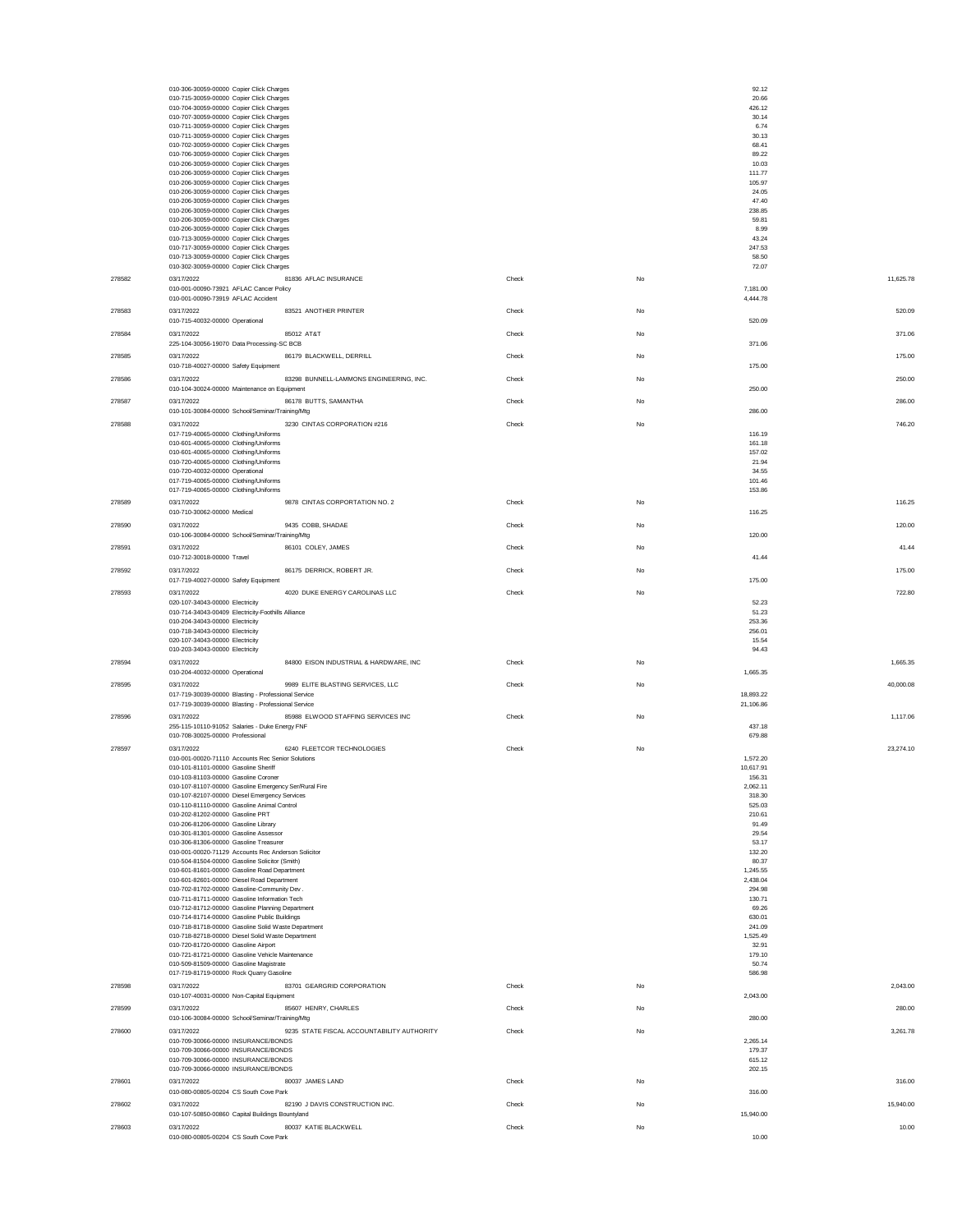|        | 010-306-30059-00000 Copier Click Charges                                                                   |                                            |       |    | 92.12                  |           |
|--------|------------------------------------------------------------------------------------------------------------|--------------------------------------------|-------|----|------------------------|-----------|
|        | 010-715-30059-00000 Copier Click Charges                                                                   |                                            |       |    | 20.66                  |           |
|        | 010-704-30059-00000 Copier Click Charges                                                                   |                                            |       |    | 426.12                 |           |
|        | 010-707-30059-00000 Copier Click Charges<br>010-711-30059-00000 Copier Click Charges                       |                                            |       |    | 30.14<br>6.74          |           |
|        | 010-711-30059-00000 Copier Click Charges                                                                   |                                            |       |    | 30.13                  |           |
|        | 010-702-30059-00000 Copier Click Charges                                                                   |                                            |       |    | 68.41                  |           |
|        | 010-706-30059-00000 Copier Click Charges<br>010-206-30059-00000 Copier Click Charges                       |                                            |       |    | 89.22<br>10.03         |           |
|        | 010-206-30059-00000 Copier Click Charges                                                                   |                                            |       |    | 111.77                 |           |
|        | 010-206-30059-00000 Copier Click Charges                                                                   |                                            |       |    | 105.97                 |           |
|        | 010-206-30059-00000 Copier Click Charges<br>010-206-30059-00000 Copier Click Charges                       |                                            |       |    | 24.05<br>47.40         |           |
|        | 010-206-30059-00000 Copier Click Charges                                                                   |                                            |       |    | 238.85                 |           |
|        | 010-206-30059-00000 Copier Click Charges                                                                   |                                            |       |    | 59.81                  |           |
|        | 010-206-30059-00000 Copier Click Charges<br>010-713-30059-00000 Copier Click Charges                       |                                            |       |    | 8.99<br>43.24          |           |
|        | 010-717-30059-00000 Copier Click Charges                                                                   |                                            |       |    | 247.53                 |           |
|        | 010-713-30059-00000 Copier Click Charges                                                                   |                                            |       |    | 58.50                  |           |
|        | 010-302-30059-00000 Copier Click Charges<br>03/17/2022                                                     | 81836 AFLAC INSURANCE                      |       |    | 72.07                  | 11.625.78 |
| 278582 | 010-001-00090-73921 AFLAC Cancer Policy                                                                    |                                            | Check | No | 7,181.00               |           |
|        | 010-001-00090-73919 AFLAC Accident                                                                         |                                            |       |    | 4,444.78               |           |
| 278583 | 03/17/2022                                                                                                 | 83521 ANOTHER PRINTER                      | Check | No |                        | 520.09    |
|        | 010-715-40032-00000 Operational                                                                            |                                            |       |    | 520.09                 |           |
| 278584 | 03/17/2022                                                                                                 | 85012 AT&T                                 | Check | No |                        | 371.06    |
|        | 225-104-30056-19070 Data Processing-SC BCB                                                                 |                                            |       |    | 371.06                 |           |
| 278585 | 03/17/2022<br>010-718-40027-00000 Safety Equipment                                                         | 86179 BLACKWELL, DERRILL                   | Check | No | 175.00                 | 175.00    |
| 278586 | 03/17/2022                                                                                                 | 83298 BUNNELL-LAMMONS ENGINEERING, INC.    | Check | No |                        | 250.00    |
|        | 010-104-30024-00000 Maintenance on Equipment                                                               |                                            |       |    | 250.00                 |           |
| 278587 | 03/17/2022                                                                                                 | 86178 BUTTS, SAMANTHA                      | Check | No |                        | 286.00    |
|        | 010-101-30084-00000 School/Seminar/Training/Mtg                                                            |                                            |       |    | 286.00                 |           |
| 278588 | 03/17/2022                                                                                                 | 3230 CINTAS CORPORATION #216               | Check | No |                        | 746.20    |
|        | 017-719-40065-00000 Clothing/Uniforms<br>010-601-40065-00000 Clothing/Uniforms                             |                                            |       |    | 116.19                 |           |
|        | 010-601-40065-00000 Clothing/Uniforms                                                                      |                                            |       |    | 161.18<br>157.02       |           |
|        | 010-720-40065-00000 Clothing/Uniforms                                                                      |                                            |       |    | 21.94                  |           |
|        | 010-720-40032-00000 Operational<br>017-719-40065-00000 Clothing/Uniforms                                   |                                            |       |    | 34.55<br>101.46        |           |
|        | 017-719-40065-00000 Clothing/Uniforms                                                                      |                                            |       |    | 153.86                 |           |
| 278589 | 03/17/2022                                                                                                 | 9878 CINTAS CORPORTATION NO. 2             | Check | No |                        | 116.25    |
|        | 010-710-30062-00000 Medical                                                                                |                                            |       |    | 116.25                 |           |
| 278590 | 03/17/2022                                                                                                 | 9435 COBB, SHADAE                          | Check | No |                        | 120.00    |
|        | 010-106-30084-00000 School/Seminar/Training/Mtg                                                            |                                            |       |    | 120.00                 |           |
| 278591 | 03/17/2022                                                                                                 | 86101 COLEY, JAMES                         | Check | No |                        | 41.44     |
|        | 010-712-30018-00000 Travel                                                                                 |                                            |       |    | 41.44                  |           |
| 278592 | 03/17/2022<br>017-719-40027-00000 Safety Equipment                                                         | 86175 DERRICK, ROBERT JR.                  | Check | No | 175.00                 | 175.00    |
| 278593 | 03/17/2022                                                                                                 | 4020 DUKE ENERGY CAROLINAS LLC             | Check | No |                        | 722.80    |
|        | 020-107-34043-00000 Electricity                                                                            |                                            |       |    | 52.23                  |           |
|        | 010-714-34043-00409 Electricity-Foothills Alliance                                                         |                                            |       |    | 51.23                  |           |
|        | 010-204-34043-00000 Electricity                                                                            |                                            |       |    | 253.36<br>256.01       |           |
|        | 010-718-34043-00000 Electricity<br>020-107-34043-00000 Electricity                                         |                                            |       |    | 15.54                  |           |
|        | 010-203-34043-00000 Electricity                                                                            |                                            |       |    | 94.43                  |           |
| 278594 | 03/17/2022                                                                                                 | 84800 EISON INDUSTRIAL & HARDWARE, INC     | Check | No |                        | 1.665.35  |
|        | 010-204-40032-00000 Operational                                                                            |                                            |       |    | 1,665.35               |           |
| 278595 | 03/17/2022                                                                                                 | 9989 ELITE BLASTING SERVICES, LLC          | Check | No |                        | 40,000.08 |
|        | 017-719-30039-00000 Blasting - Professional Service<br>017-719-30039-00000 Blasting - Professional Service |                                            |       |    | 18,893.22<br>21,106.86 |           |
| 278596 | 03/17/2022                                                                                                 | 85988 ELWOOD STAFFING SERVICES INC         | Check | No |                        | 1,117.06  |
|        | 255-115-10110-91052 Salaries - Duke Energy FNF                                                             |                                            |       |    | 437.18                 |           |
|        | 010-708-30025-00000 Professional                                                                           |                                            |       |    | 679.88                 |           |
| 278597 | 03/17/2022                                                                                                 | 6240 FLEETCOR TECHNOLOGIES                 | Check | No |                        | 23.274.10 |
|        | 010-001-00020-71110 Accounts Rec Senior Solutions<br>010-101-81101-00000 Gasoline Sheriff                  |                                            |       |    | 1,572.20<br>10,617.91  |           |
|        | 010-103-81103-00000 Gasoline Coroner                                                                       |                                            |       |    | 156.31                 |           |
|        | 010-107-81107-00000 Gasoline Emergency Ser/Rural Fire                                                      |                                            |       |    | 2,062.11               |           |
|        | 010-107-82107-00000 Diesel Emergency Services<br>010-110-81110-00000 Gasoline Animal Control               |                                            |       |    | 318.30<br>525.03       |           |
|        | 010-202-81202-00000 Gasoline PRT                                                                           |                                            |       |    | 210.61                 |           |
|        | 010-206-81206-00000 Gasoline Library                                                                       |                                            |       |    | 91.49                  |           |
|        | 010-301-81301-00000 Gasoline Assessor<br>010-306-81306-00000 Gasoline Treasurer                            |                                            |       |    | 29.54<br>53.17         |           |
|        | 010-001-00020-71129 Accounts Rec Anderson Solicitor                                                        |                                            |       |    | 132.20                 |           |
|        | 010-504-81504-00000 Gasoline Solicitor (Smith)                                                             |                                            |       |    | 80.37                  |           |
|        | 010-601-81601-00000 Gasoline Road Department<br>010-601-82601-00000 Diesel Road Department                 |                                            |       |    | 1,245.55<br>2,438.04   |           |
|        | 010-702-81702-00000 Gasoline-Community Dev.                                                                |                                            |       |    | 294.98                 |           |
|        | 010-711-81711-00000 Gasoline Information Tech                                                              |                                            |       |    | 130.71                 |           |
|        | 010-712-81712-00000 Gasoline Planning Department<br>010-714-81714-00000 Gasoline Public Buildings          |                                            |       |    | 69.26<br>630.01        |           |
|        | 010-718-81718-00000 Gasoline Solid Waste Department                                                        |                                            |       |    | 241.09                 |           |
|        | 010-718-82718-00000 Diesel Solid Waste Department                                                          |                                            |       |    | 1,525.49               |           |
|        | 010-720-81720-00000 Gasoline Airport<br>010-721-81721-00000 Gasoline Vehicle Maintenance                   |                                            |       |    | 32.91<br>179.10        |           |
|        | 010-509-81509-00000 Gasoline Magistrate                                                                    |                                            |       |    | 50.74                  |           |
|        | 017-719-81719-00000 Rock Quarry Gasoline                                                                   |                                            |       |    | 586.98                 |           |
| 278598 | 03/17/2022                                                                                                 | 83701 GEARGRID CORPORATION                 | Check | No | 2,043.00               | 2,043.00  |
|        | 010-107-40031-00000 Non-Capital Equipment<br>03/17/2022                                                    | 85607 HENRY, CHARLES                       |       |    |                        |           |
| 278599 | 010-106-30084-00000 School/Seminar/Training/Mtg                                                            |                                            | Check | No | 280.00                 | 280.00    |
| 278600 | 03/17/2022                                                                                                 | 9235 STATE FISCAL ACCOUNTABILITY AUTHORITY | Check | No |                        | 3,261.78  |
|        | 010-709-30066-00000 INSURANCE/BONDS                                                                        |                                            |       |    | 2,265.14               |           |
|        | 010-709-30066-00000 INSURANCE/BONDS                                                                        |                                            |       |    | 179.37                 |           |
|        | 010-709-30066-00000 INSURANCE/BONDS<br>010-709-30066-00000 INSURANCE/BONDS                                 |                                            |       |    | 615.12<br>202.15       |           |
| 278601 | 03/17/2022                                                                                                 | 80037 JAMES LAND                           | Check | No |                        | 316.00    |
|        | 010-080-00805-00204 CS South Cove Park                                                                     |                                            |       |    | 316.00                 |           |
| 278602 | 03/17/2022                                                                                                 | 82190 J DAVIS CONSTRUCTION INC.            | Check | No |                        | 15,940.00 |
|        | 010-107-50850-00860 Capital Buildings Bountyland                                                           |                                            |       |    | 15,940.00              |           |
|        | 03/17/2022                                                                                                 | 80037 KATIE BLACKWELL                      | Check | No |                        | 10.00     |
| 278603 | 010-080-00805-00204 CS South Cove Park                                                                     |                                            |       |    | 10.00                  |           |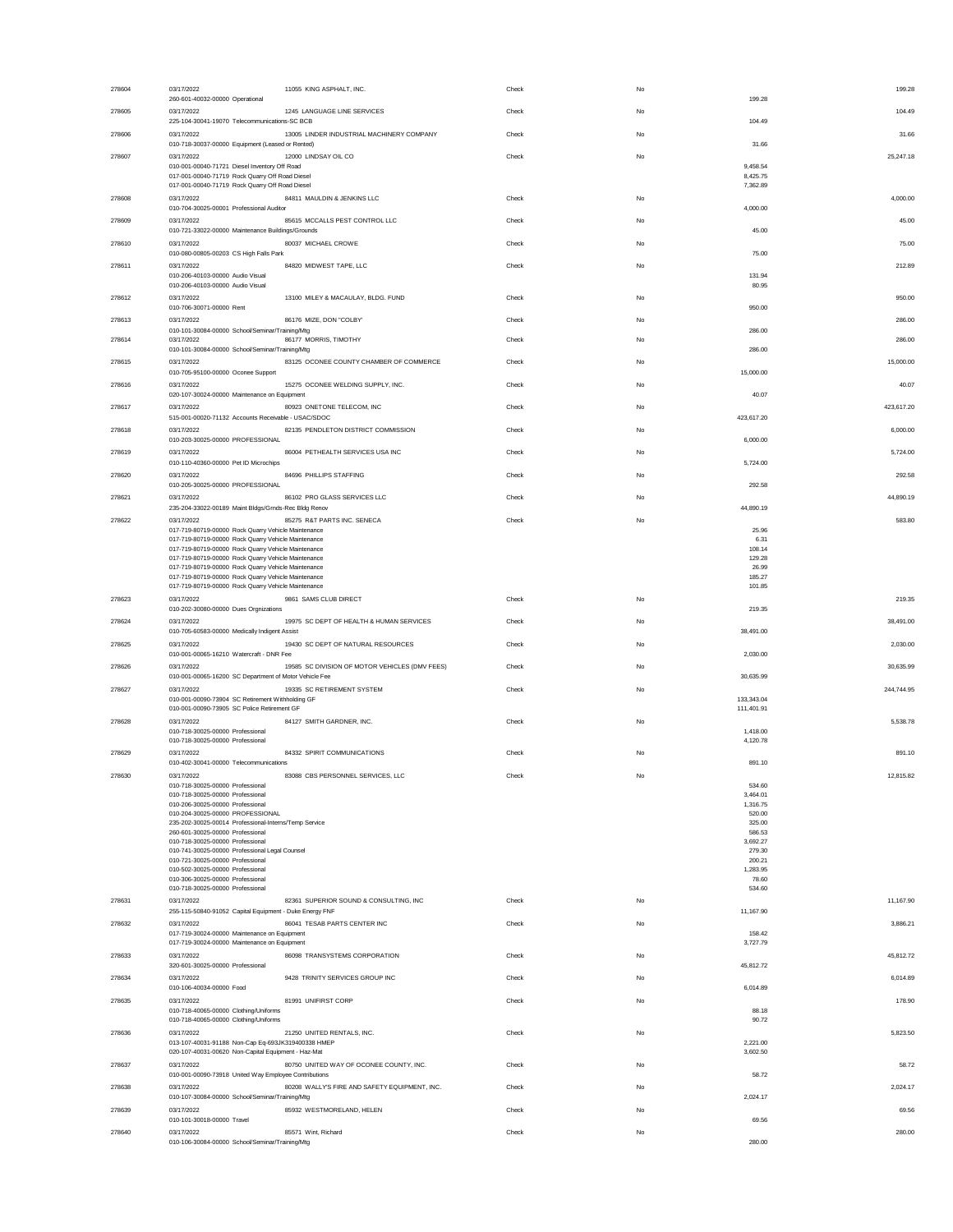| 278604 | 03/17/2022                                                                                                 | 11055 KING ASPHALT, INC.                       | Check | No | 199.28                   |
|--------|------------------------------------------------------------------------------------------------------------|------------------------------------------------|-------|----|--------------------------|
| 278605 | 260-601-40032-00000 Operational<br>03/17/2022                                                              | 1245 LANGUAGE LINE SERVICES                    | Check | No | 199.28<br>104.49         |
|        | 225-104-30041-19070 Telecommunications-SC BCB                                                              |                                                |       |    | 104.49                   |
| 278606 | 03/17/2022<br>010-718-30037-00000 Equipment (Leased or Rented)                                             | 13005 LINDER INDUSTRIAL MACHINERY COMPANY      | Check | No | 31.66<br>31.66           |
| 278607 | 03/17/2022                                                                                                 | 12000 LINDSAY OIL CO                           | Check | No | 25,247.18                |
|        | 010-001-00040-71721 Diesel Inventory Off Road<br>017-001-00040-71719 Rock Quarry Off Road Diesel           |                                                |       |    | 9.458.54<br>8,425.75     |
| 278608 | 017-001-00040-71719 Rock Quarry Off Road Diesel<br>03/17/2022                                              | 84811 MAULDIN & JENKINS LLC                    | Check | No | 7,362.89<br>4,000.00     |
|        | 010-704-30025-00001 Professional Auditor                                                                   |                                                |       |    | 4,000.00                 |
| 278609 | 03/17/2022<br>010-721-33022-00000 Maintenance Buildings/Grounds                                            | 85615 MCCALLS PEST CONTROL LLC                 | Check | No | 45.00<br>45.00           |
| 278610 | 03/17/2022                                                                                                 | 80037 MICHAEL CROWE                            | Check | No | 75.00                    |
|        | 010-080-00805-00203 CS High Falls Park                                                                     |                                                |       |    | 75.00                    |
| 278611 | 03/17/2022<br>010-206-40103-00000 Audio Visual                                                             | 84820 MIDWEST TAPE, LLC                        | Check | No | 212.89<br>131.94         |
|        | 010-206-40103-00000 Audio Visual                                                                           |                                                |       |    | 80.95                    |
| 278612 | 03/17/2022<br>010-706-30071-00000 Rent                                                                     | 13100 MILEY & MACAULAY, BLDG. FUND             | Check | No | 950.00<br>950.00         |
| 278613 | 03/17/2022                                                                                                 | 86176 MIZE, DON "COLBY"                        | Check | No | 286.00                   |
| 278614 | 010-101-30084-00000 School/Seminar/Training/Mtg<br>03/17/2022                                              | 86177 MORRIS, TIMOTHY                          | Check | No | 286.00<br>286.00         |
|        | 010-101-30084-00000 School/Seminar/Training/Mtg                                                            |                                                |       |    | 286.00                   |
| 278615 | 03/17/2022<br>010-705-95100-00000 Oconee Support                                                           | 83125 OCONEE COUNTY CHAMBER OF COMMERCE        | Check | No | 15,000.00<br>15,000.00   |
| 278616 | 03/17/2022<br>020-107-30024-00000 Maintenance on Equipment                                                 | 15275 OCONEE WELDING SUPPLY, INC.              | Check | No | 40.07<br>40.07           |
| 278617 | 03/17/2022                                                                                                 | 80923 ONETONE TELECOM, INC                     | Check | No | 423,617.20               |
| 278618 | 515-001-00020-71132 Accounts Receivable - USAC/SDOC<br>03/17/2022                                          | 82135 PENDLETON DISTRICT COMMISSION            | Check | No | 423,617.20<br>6,000.00   |
|        | 010-203-30025-00000 PROFESSIONAL                                                                           |                                                |       |    | 6,000.00                 |
| 278619 | 03/17/2022                                                                                                 | 86004 PETHEALTH SERVICES USA INC               | Check | No | 5,724.00<br>5,724.00     |
| 278620 | 010-110-40360-00000 Pet ID Microchips<br>03/17/2022                                                        | 84696 PHILLIPS STAFFING                        | Check | No | 292.58                   |
|        | 010-205-30025-00000 PROFESSIONAL                                                                           |                                                |       |    | 292.58                   |
| 278621 | 03/17/2022<br>235-204-33022-00189 Maint Bldgs/Grnds-Rec Bldg Renov                                         | 86102 PRO GLASS SERVICES LLC                   | Check | No | 44,890.19<br>44,890.19   |
| 278622 | 03/17/2022                                                                                                 | 85275 R&T PARTS INC. SENECA                    | Check | No | 583.80                   |
|        | 017-719-80719-00000 Rock Quarry Vehicle Maintenance<br>017-719-80719-00000 Rock Quarry Vehicle Maintenance |                                                |       |    | 25.96<br>6.31            |
|        | 017-719-80719-00000 Rock Quarry Vehicle Maintenance                                                        |                                                |       |    | 108.14                   |
|        | 017-719-80719-00000 Rock Quarry Vehicle Maintenance<br>017-719-80719-00000 Rock Quarry Vehicle Maintenance |                                                |       |    | 129.28<br>26.99          |
|        | 017-719-80719-00000 Rock Quarry Vehicle Maintenance                                                        |                                                |       |    | 185.27                   |
| 278623 | 017-719-80719-00000 Rock Quarry Vehicle Maintenance<br>03/17/2022                                          | 9861 SAMS CLUB DIRECT                          | Check | No | 101.85<br>219.35         |
|        | 010-202-30080-00000 Dues Orgnizations                                                                      |                                                |       |    | 219.35                   |
| 278624 | 03/17/2022<br>010-705-60583-00000 Medically Indigent Assist                                                | 19975 SC DEPT OF HEALTH & HUMAN SERVICES       | Check | No | 38,491.00<br>38,491.00   |
| 278625 | 03/17/2022                                                                                                 | 19430 SC DEPT OF NATURAL RESOURCES             | Check | No | 2,030.00                 |
|        | 010-001-00065-16210 Watercraft - DNR Fee                                                                   |                                                |       |    | 2,030.00                 |
| 278626 | 03/17/2022<br>010-001-00065-16200 SC Department of Motor Vehicle Fee                                       | 19585 SC DIVISION OF MOTOR VEHICLES (DMV FEES) | Check | No | 30,635.99<br>30,635.99   |
| 278627 | 03/17/2022                                                                                                 | 19335 SC RETIREMENT SYSTEM                     | Check | No | 244.744.95               |
|        | 010-001-00090-73904 SC Retirement Withholding GF<br>010-001-00090-73905 SC Police Retirement GF            |                                                |       |    | 133,343.04<br>111,401.91 |
| 278628 | 03/17/2022                                                                                                 | 84127 SMITH GARDNER, INC.                      | Check | No | 5,538.78                 |
|        | 010-718-30025-00000 Professional<br>010-718-30025-00000 Professional                                       |                                                |       |    | 1.418.00<br>4.120.78     |
| 278629 | 03/17/2022                                                                                                 | 84332 SPIRIT COMMUNICATIONS                    | Check | No | 891.10                   |
| 278630 | 010-402-30041-00000 Telecommunications<br>03/17/2022                                                       | 83088 CBS PERSONNEL SERVICES, LLC              | Check | No | 891.10<br>12,815.82      |
|        | 010-718-30025-00000 Professional                                                                           |                                                |       |    | 534.60                   |
|        | 010-718-30025-00000 Professional<br>010-206-30025-00000 Professional                                       |                                                |       |    | 3,464.01<br>1,316.75     |
|        | 010-204-30025-00000 PROFESSIONAL                                                                           |                                                |       |    | 520.00                   |
|        | 235-202-30025-00014 Professional-Interns/Temp Service<br>260-601-30025-00000 Professional                  |                                                |       |    | 325.00<br>586.53         |
|        | 010-718-30025-00000 Professional                                                                           |                                                |       |    | 3,692.27                 |
|        | 010-741-30025-00000 Professional Legal Counsel                                                             |                                                |       |    | 279.30                   |
|        | 010-721-30025-00000 Professional<br>010-502-30025-00000 Professional                                       |                                                |       |    | 200.21<br>1,283.95       |
|        | 010-306-30025-00000 Professional                                                                           |                                                |       |    | 78.60                    |
|        | 010-718-30025-00000 Professional                                                                           |                                                |       |    | 534.60                   |
| 278631 | 03/17/2022<br>255-115-50840-91052 Capital Equipment - Duke Energy FNF                                      | 82361 SUPERIOR SOUND & CONSULTING, INC         | Check | No | 11,167.90<br>11,167.90   |
| 278632 | 03/17/2022                                                                                                 | 86041 TESAB PARTS CENTER INC                   | Check | No | 3,886.21                 |
|        | 017-719-30024-00000 Maintenance on Equipment<br>017-719-30024-00000 Maintenance on Equipment               |                                                |       |    | 158.42<br>3,727.79       |
| 278633 | 03/17/2022                                                                                                 | 86098 TRANSYSTEMS CORPORATION                  | Check | No | 45,812.72                |
|        | 320-601-30025-00000 Professional                                                                           |                                                |       |    | 45,812.72                |
| 278634 | 03/17/2022<br>010-106-40034-00000 Food                                                                     | 9428 TRINITY SERVICES GROUP INC                | Check | No | 6,014.89<br>6,014.89     |
| 278635 | 03/17/2022                                                                                                 | 81991 UNIFIRST CORP                            | Check | No | 178.90                   |
|        | 010-718-40065-00000 Clothing/Uniforms<br>010-718-40065-00000 Clothing/Uniforms                             |                                                |       |    | 88.18<br>90.72           |
| 278636 | 03/17/2022                                                                                                 | 21250 UNITED RENTALS, INC.                     | Check | No | 5.823.50                 |
|        | 013-107-40031-91188 Non-Cap Eq-693JK319400338 HMEP<br>020-107-40031-00620 Non-Capital Equipment - Haz-Mat  |                                                |       |    | 2,221.00<br>3,602.50     |
| 278637 | 03/17/2022                                                                                                 | 80750 UNITED WAY OF OCONEE COUNTY, INC.        | Check | No | 58.72                    |
|        | 010-001-00090-73918 United Way Employee Contributions                                                      |                                                |       |    | 58.72                    |
| 278638 | 03/17/2022<br>010-107-30084-00000 School/Seminar/Training/Mtg                                              | 80208 WALLY'S FIRE AND SAFETY EQUIPMENT, INC.  | Check | No | 2,024.17<br>2,024.17     |
| 278639 | 03/17/2022                                                                                                 | 85932 WESTMORELAND, HELEN                      | Check | No | 69.56                    |
| 278640 | 010-101-30018-00000 Travel<br>03/17/2022                                                                   | 85571 Wint, Richard                            | Check | No | 69.56<br>280.00          |
|        | 010-106-30084-00000 School/Seminar/Training/Mtg                                                            |                                                |       |    | 280.00                   |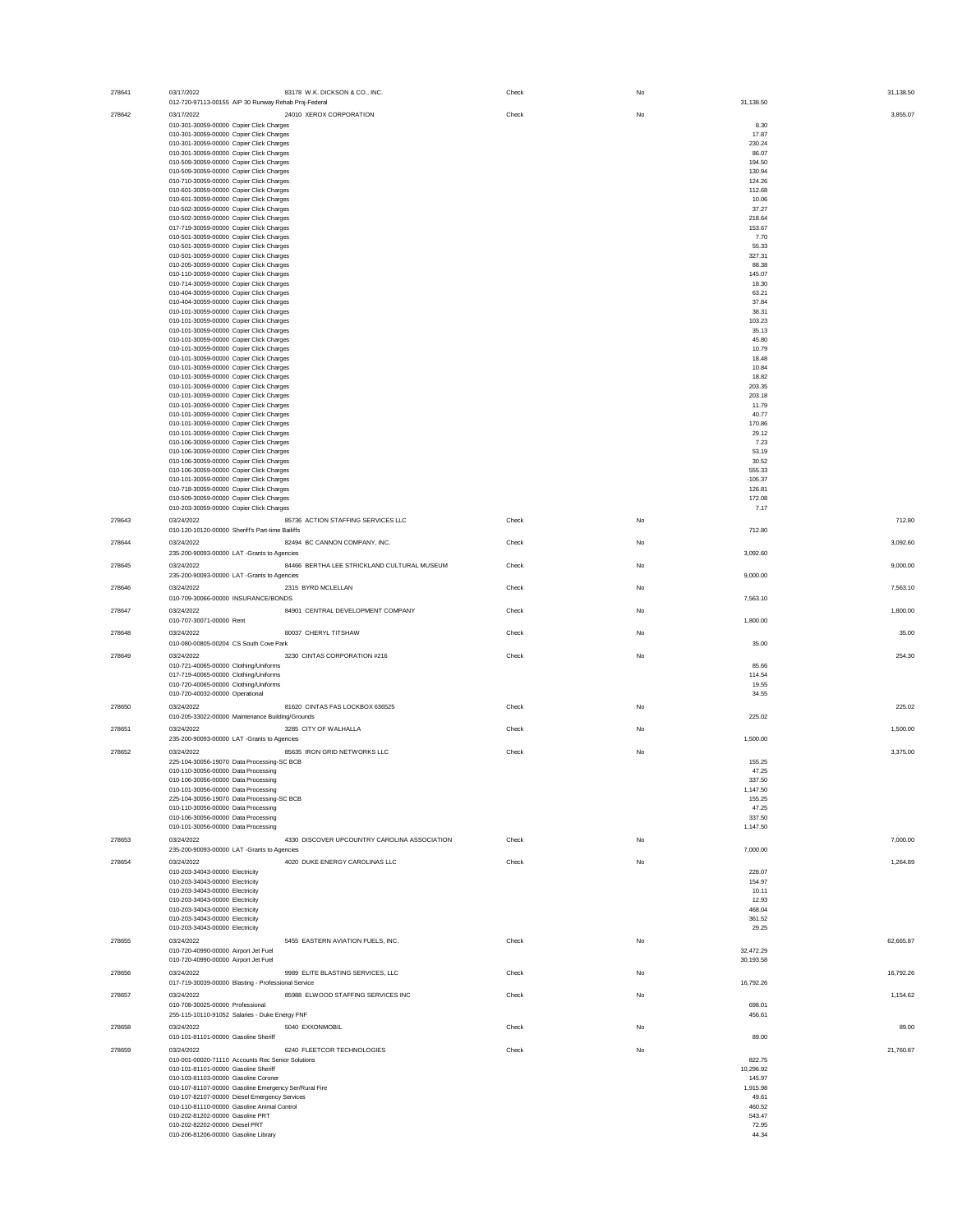| 278641 | 83178 W.K. DICKSON & CO., INC.<br>03/17/2022                                         | Check | No |                     | 31,138.50 |
|--------|--------------------------------------------------------------------------------------|-------|----|---------------------|-----------|
|        | 012-720-97113-00155 AIP 30 Runway Rehab Proj-Federal                                 |       |    | 31,138.50           |           |
| 278642 | 03/17/2022<br>24010 XEROX CORPORATION                                                | Check | No |                     | 3,855.07  |
|        | 010-301-30059-00000 Copier Click Charges                                             |       |    | 8.30                |           |
|        | 010-301-30059-00000 Copier Click Charges                                             |       |    | 17.87               |           |
|        | 010-301-30059-00000 Copier Click Charges                                             |       |    | 230.24              |           |
|        | 010-301-30059-00000 Copier Click Charges                                             |       |    | 86.07               |           |
|        | 010-509-30059-00000 Copier Click Charges                                             |       |    | 194.50              |           |
|        | 010-509-30059-00000 Copier Click Charges                                             |       |    | 130.94              |           |
|        | 010-710-30059-00000 Copier Click Charges                                             |       |    | 124.26              |           |
|        | 010-601-30059-00000 Copier Click Charges<br>010-601-30059-00000 Copier Click Charges |       |    | 112.68<br>10.06     |           |
|        | 010-502-30059-00000 Copier Click Charges                                             |       |    | 37.27               |           |
|        | 010-502-30059-00000 Copier Click Charges                                             |       |    | 218.64              |           |
|        | 017-719-30059-00000 Copier Click Charges                                             |       |    | 153.67              |           |
|        | 010-501-30059-00000 Copier Click Charges                                             |       |    | 7.70                |           |
|        | 010-501-30059-00000 Copier Click Charges                                             |       |    | 55.33               |           |
|        | 010-501-30059-00000 Copier Click Charges                                             |       |    | 327.31              |           |
|        | 010-205-30059-00000 Copier Click Charges                                             |       |    | 88.38               |           |
|        | 010-110-30059-00000 Copier Click Charges                                             |       |    | 145.07              |           |
|        | 010-714-30059-00000 Copier Click Charges                                             |       |    | 18.30               |           |
|        | 010-404-30059-00000 Copier Click Charges<br>010-404-30059-00000 Copier Click Charges |       |    | 63.21<br>37.84      |           |
|        | 010-101-30059-00000 Copier Click Charges                                             |       |    | 38.31               |           |
|        | 010-101-30059-00000 Copier Click Charges                                             |       |    | 103.23              |           |
|        | 010-101-30059-00000 Copier Click Charges                                             |       |    | 35.13               |           |
|        | 010-101-30059-00000 Copier Click Charges                                             |       |    | 45.80               |           |
|        | 010-101-30059-00000 Copier Click Charges                                             |       |    | 10.79               |           |
|        | 010-101-30059-00000 Copier Click Charges                                             |       |    | 18.48               |           |
|        | 010-101-30059-00000 Copier Click Charges                                             |       |    | 10.84               |           |
|        | 010-101-30059-00000 Copier Click Charges                                             |       |    | 18.82               |           |
|        | 010-101-30059-00000 Copier Click Charges                                             |       |    | 203.35              |           |
|        | 010-101-30059-00000 Copier Click Charges<br>010-101-30059-00000 Copier Click Charges |       |    | 203.18<br>11.79     |           |
|        | 010-101-30059-00000 Copier Click Charges                                             |       |    | 40.77               |           |
|        | 010-101-30059-00000 Copier Click Charges                                             |       |    | 170.86              |           |
|        | 010-101-30059-00000 Copier Click Charges                                             |       |    | 29.12               |           |
|        | 010-106-30059-00000 Copier Click Charges                                             |       |    | 7.23                |           |
|        | 010-106-30059-00000 Copier Click Charges                                             |       |    | 53.19               |           |
|        | 010-106-30059-00000 Copier Click Charges                                             |       |    | 30.52               |           |
|        | 010-106-30059-00000 Copier Click Charges                                             |       |    | 555.33              |           |
|        | 010-101-30059-00000 Copier Click Charges                                             |       |    | $-105.37$           |           |
|        | 010-718-30059-00000 Copier Click Charges                                             |       |    | 126.81              |           |
|        | 010-509-30059-00000 Copier Click Charges                                             |       |    | 172.08              |           |
|        | 010-203-30059-00000 Copier Click Charges                                             |       |    | 7.17                |           |
| 278643 | 85736 ACTION STAFFING SERVICES LLC<br>03/24/2022                                     | Check | No |                     | 712.80    |
|        | 010-120-10120-00000 Sheriff's Part-time Bailiffs                                     |       |    | 712.80              |           |
| 278644 | 03/24/2022<br>82494 BC CANNON COMPANY, INC.                                          | Check | No |                     | 3,092.60  |
|        | 235-200-90093-00000 LAT -Grants to Agencies                                          |       |    | 3,092.60            |           |
| 278645 | 84466 BERTHA LEE STRICKLAND CULTURAL MUSEUM<br>03/24/2022                            | Check | No |                     | 9,000.00  |
|        | 235-200-90093-00000 LAT -Grants to Agencies                                          |       |    | 9,000.00            |           |
| 278646 | 2315 BYRD MCLELLAN<br>03/24/2022                                                     | Check | No |                     | 7,563.10  |
|        | 010-709-30066-00000 INSURANCE/BONDS                                                  |       |    | 7,563.10            |           |
| 278647 | 03/24/2022<br>84901 CENTRAL DEVELOPMENT COMPANY                                      | Check | No |                     | 1,800.00  |
|        | 010-707-30071-00000 Rent                                                             |       |    | 1,800.00            |           |
| 278648 | 03/24/2022<br>80037 CHERYL TITSHAW                                                   | Check | No |                     | 35.00     |
|        | 010-080-00805-00204 CS South Cove Park                                               |       |    | 35.00               |           |
|        |                                                                                      |       |    |                     |           |
| 278649 | 03/24/2022<br>3230 CINTAS CORPORATION #216                                           | Check | No | 85.66               | 254.30    |
|        | 010-721-40065-00000 Clothing/Uniforms<br>017-719-40065-00000 Clothing/Uniforms       |       |    | 114.54              |           |
|        | 010-720-40065-00000 Clothing/Uniforms                                                |       |    | 19.55               |           |
|        | 010-720-40032-00000 Operational                                                      |       |    | 34.55               |           |
|        |                                                                                      |       |    |                     |           |
| 278650 | 03/24/2022<br>81620 CINTAS FAS LOCKBOX 636525                                        | Check | No |                     | 225.02    |
|        | 010-205-33022-00000 Maintenance Building/Grounds                                     |       |    | 225.02              |           |
| 278651 | 03/24/2022<br>3285 CITY OF WALHALLA                                                  | Check | No |                     | 1,500.00  |
|        | 235-200-90093-00000 LAT -Grants to Agencies                                          |       |    | 1,500.00            |           |
| 278652 | 03/24/2022<br>85635 IRON GRID NETWORKS LLC                                           | Check | No |                     | 3,375.00  |
|        | 225-104-30056-19070 Data Processing-SC BCB                                           |       |    | 155.25              |           |
|        | 010-110-30056-00000 Data Processing                                                  |       |    | 47.25               |           |
|        | 010-106-30056-00000 Data Processing                                                  |       |    | 337.50              |           |
|        | 010-101-30056-00000 Data Processing                                                  |       |    | 1,147.50            |           |
|        | 225-104-30056-19070 Data Processing-SC BCB                                           |       |    | 155.25              |           |
|        | 010-110-30056-00000 Data Processing<br>010-106-30056-00000 Data Processing           |       |    | 47.25<br>337.50     |           |
|        | 010-101-30056-00000 Data Processing                                                  |       |    | 1,147.50            |           |
|        | 03/24/2022<br>4330 DISCOVER UPCOUNTRY CAROLINA ASSOCIATION                           |       |    |                     |           |
| 278653 | 235-200-90093-00000 LAT -Grants to Agencies                                          | Check | No | 7,000.00            | 7,000.00  |
|        |                                                                                      |       |    |                     |           |
| 278654 | 4020 DUKE ENERGY CAROLINAS LLC<br>03/24/2022                                         | Check | No |                     | 1,264.89  |
|        | 010-203-34043-00000 Electricity                                                      |       |    | 228.07              |           |
|        | 010-203-34043-00000 Electricity<br>010-203-34043-00000 Electricity                   |       |    | 154.97<br>10.11     |           |
|        | 010-203-34043-00000 Electricity                                                      |       |    | 12.93               |           |
|        | 010-203-34043-00000 Electricity                                                      |       |    | 468.04              |           |
|        | 010-203-34043-00000 Electricity                                                      |       |    | 361.52              |           |
|        | 010-203-34043-00000 Electricity                                                      |       |    | 29.25               |           |
| 278655 | 03/24/2022<br>5455 EASTERN AVIATION FUELS. INC.                                      | Check | No |                     | 62,665.87 |
|        | 010-720-40990-00000 Airport Jet Fuel                                                 |       |    | 32,472.29           |           |
|        | 010-720-40990-00000 Airport Jet Fuel                                                 |       |    | 30,193.58           |           |
| 278656 | 03/24/2022<br>9989 ELITE BLASTING SERVICES, LLC                                      | Check | No |                     | 16,792.26 |
|        | 017-719-30039-00000 Blasting - Professional Service                                  |       |    | 16,792.26           |           |
| 278657 | 85988 ELWOOD STAFFING SERVICES INC<br>03/24/2022                                     | Check | No |                     | 1,154.62  |
|        | 010-708-30025-00000 Professional                                                     |       |    | 698.01              |           |
|        | 255-115-10110-91052 Salaries - Duke Energy FNF                                       |       |    | 456.61              |           |
| 278658 | 03/24/2022                                                                           | Check | No |                     | 89.00     |
|        | 5040 EXXONMOBIL<br>010-101-81101-00000 Gasoline Sheriff                              |       |    | 89.00               |           |
|        |                                                                                      |       |    |                     |           |
| 278659 | 03/24/2022<br>6240 FLEETCOR TECHNOLOGIES                                             | Check | No |                     | 21,760.87 |
|        | 010-001-00020-71110 Accounts Rec Senior Solutions                                    |       |    | 822.75              |           |
|        | 010-101-81101-00000 Gasoline Sheriff<br>010-103-81103-00000 Gasoline Coroner         |       |    | 10,296.92<br>145.97 |           |
|        | 010-107-81107-00000 Gasoline Emergency Ser/Rural Fire                                |       |    | 1,915.98            |           |
|        | 010-107-82107-00000 Diesel Emergency Services                                        |       |    | 49.61               |           |
|        | 010-110-81110-00000 Gasoline Animal Control                                          |       |    | 460.52              |           |
|        | 010-202-81202-00000 Gasoline PRT                                                     |       |    | 543.47              |           |
|        | 010-202-82202-00000 Diesel PRT                                                       |       |    | 72.95               |           |
|        | 010-206-81206-00000 Gasoline Library                                                 |       |    | 44.34               |           |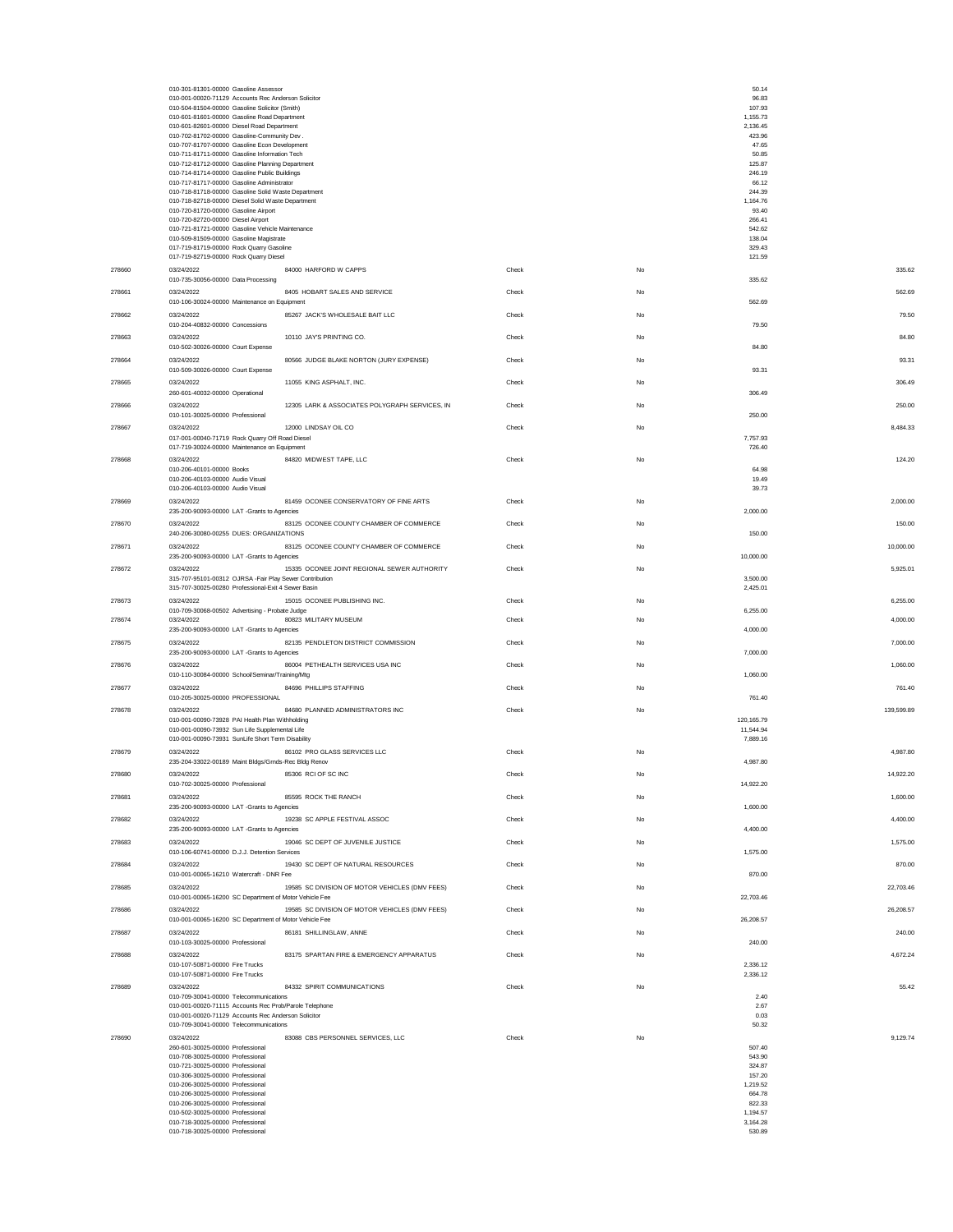|        | 010-301-81301-00000 Gasoline Assessor<br>010-001-00020-71129 Accounts Rec Anderson Solicitor<br>010-504-81504-00000 Gasoline Solicitor (Smith)<br>010-601-81601-00000 Gasoline Road Department<br>010-601-82601-00000 Diesel Road Department<br>010-702-81702-00000 Gasoline-Community Dev.<br>010-707-81707-00000 Gasoline Econ Development<br>010-711-81711-00000 Gasoline Information Tech<br>010-712-81712-00000 Gasoline Planning Department<br>010-714-81714-00000 Gasoline Public Buildings<br>010-717-81717-00000 Gasoline Administrator<br>010-718-81718-00000 Gasoline Solid Waste Department<br>010-718-82718-00000 Diesel Solid Waste Department<br>010-720-81720-00000 Gasoline Airport<br>010-720-82720-00000 Diesel Airport<br>010-721-81721-00000 Gasoline Vehicle Maintenance<br>010-509-81509-00000 Gasoline Magistrate<br>017-719-81719-00000 Rock Quarry Gasoline |       |    | 50.14<br>96.83<br>107.93<br>1,155.73<br>2,136.45<br>423.96<br>47.65<br>50.85<br>125.87<br>246.19<br>66.12<br>244.39<br>1,164.76<br>93.40<br>266.41<br>542.62<br>138.04<br>329.43 |            |
|--------|---------------------------------------------------------------------------------------------------------------------------------------------------------------------------------------------------------------------------------------------------------------------------------------------------------------------------------------------------------------------------------------------------------------------------------------------------------------------------------------------------------------------------------------------------------------------------------------------------------------------------------------------------------------------------------------------------------------------------------------------------------------------------------------------------------------------------------------------------------------------------------------|-------|----|----------------------------------------------------------------------------------------------------------------------------------------------------------------------------------|------------|
|        | 017-719-82719-00000 Rock Quarry Diesel                                                                                                                                                                                                                                                                                                                                                                                                                                                                                                                                                                                                                                                                                                                                                                                                                                                |       |    | 121.59                                                                                                                                                                           |            |
| 278660 | 03/24/2022<br>84000 HARFORD W CAPPS<br>010-735-30056-00000 Data Processing                                                                                                                                                                                                                                                                                                                                                                                                                                                                                                                                                                                                                                                                                                                                                                                                            | Check | No | 335.62                                                                                                                                                                           | 335.62     |
| 278661 | 03/24/2022<br>8405 HOBART SALES AND SERVICE<br>010-106-30024-00000 Maintenance on Equipment                                                                                                                                                                                                                                                                                                                                                                                                                                                                                                                                                                                                                                                                                                                                                                                           | Check | No |                                                                                                                                                                                  | 562.69     |
| 278662 | 85267 JACK'S WHOLESALE BAIT LLC<br>03/24/2022                                                                                                                                                                                                                                                                                                                                                                                                                                                                                                                                                                                                                                                                                                                                                                                                                                         | Check | No | 562.69                                                                                                                                                                           | 79.50      |
| 278663 | 010-204-40832-00000 Concessions<br>03/24/2022<br>10110 JAY'S PRINTING CO.                                                                                                                                                                                                                                                                                                                                                                                                                                                                                                                                                                                                                                                                                                                                                                                                             | Check | No | 79.50                                                                                                                                                                            | 84.80      |
| 278664 | 010-502-30026-00000 Court Expense<br>03/24/2022<br>80566 JUDGE BLAKE NORTON (JURY EXPENSE)                                                                                                                                                                                                                                                                                                                                                                                                                                                                                                                                                                                                                                                                                                                                                                                            | Check | No | 84.80                                                                                                                                                                            | 93.31      |
| 278665 | 010-509-30026-00000 Court Expense<br>03/24/2022<br>11055 KING ASPHALT, INC.                                                                                                                                                                                                                                                                                                                                                                                                                                                                                                                                                                                                                                                                                                                                                                                                           | Check | No | 93.31                                                                                                                                                                            | 306.49     |
| 278666 | 260-601-40032-00000 Operational<br>03/24/2022<br>12305 LARK & ASSOCIATES POLYGRAPH SERVICES. IN                                                                                                                                                                                                                                                                                                                                                                                                                                                                                                                                                                                                                                                                                                                                                                                       | Check | No | 306.49                                                                                                                                                                           | 250.00     |
|        | 010-101-30025-00000 Professional                                                                                                                                                                                                                                                                                                                                                                                                                                                                                                                                                                                                                                                                                                                                                                                                                                                      |       |    | 250.00                                                                                                                                                                           |            |
| 278667 | 12000 LINDSAY OIL CO<br>03/24/2022<br>017-001-00040-71719 Rock Quarry Off Road Diesel                                                                                                                                                                                                                                                                                                                                                                                                                                                                                                                                                                                                                                                                                                                                                                                                 | Check | No | 7,757.93                                                                                                                                                                         | 8,484.33   |
| 278668 | 017-719-30024-00000 Maintenance on Equipment<br>84820 MIDWEST TAPE, LLC<br>03/24/2022                                                                                                                                                                                                                                                                                                                                                                                                                                                                                                                                                                                                                                                                                                                                                                                                 | Check | No | 726.40                                                                                                                                                                           | 124.20     |
|        | 010-206-40101-00000 Books<br>010-206-40103-00000 Audio Visual                                                                                                                                                                                                                                                                                                                                                                                                                                                                                                                                                                                                                                                                                                                                                                                                                         |       |    | 64.98<br>19.49                                                                                                                                                                   |            |
| 278669 | 010-206-40103-00000 Audio Visual<br>03/24/2022<br>81459 OCONEE CONSERVATORY OF FINE ARTS                                                                                                                                                                                                                                                                                                                                                                                                                                                                                                                                                                                                                                                                                                                                                                                              | Check | No | 39.73                                                                                                                                                                            | 2,000.00   |
|        | 235-200-90093-00000 LAT -Grants to Agencies                                                                                                                                                                                                                                                                                                                                                                                                                                                                                                                                                                                                                                                                                                                                                                                                                                           |       |    | 2,000.00                                                                                                                                                                         |            |
| 278670 | 03/24/2022<br>83125 OCONEE COUNTY CHAMBER OF COMMERCE<br>240-206-30080-00255 DUES: ORGANIZATIONS                                                                                                                                                                                                                                                                                                                                                                                                                                                                                                                                                                                                                                                                                                                                                                                      | Check | No | 150.00                                                                                                                                                                           | 150.00     |
| 278671 | 03/24/2022<br>83125 OCONEE COUNTY CHAMBER OF COMMERCE<br>235-200-90093-00000 LAT -Grants to Agencies                                                                                                                                                                                                                                                                                                                                                                                                                                                                                                                                                                                                                                                                                                                                                                                  | Check | No | 10,000.00                                                                                                                                                                        | 10,000.00  |
| 278672 | 03/24/2022<br>15335 OCONEE JOINT REGIONAL SEWER AUTHORITY<br>315-707-95101-00312 OJRSA -Fair Play Sewer Contribution                                                                                                                                                                                                                                                                                                                                                                                                                                                                                                                                                                                                                                                                                                                                                                  | Check | No | 3,500.00                                                                                                                                                                         | 5,925.01   |
|        | 315-707-30025-00280 Professional-Exit 4 Sewer Basin                                                                                                                                                                                                                                                                                                                                                                                                                                                                                                                                                                                                                                                                                                                                                                                                                                   |       |    | 2,425.01                                                                                                                                                                         |            |
| 278673 | 15015 OCONEE PUBLISHING INC.<br>03/24/2022<br>010-709-30068-00502 Advertising - Probate Judge                                                                                                                                                                                                                                                                                                                                                                                                                                                                                                                                                                                                                                                                                                                                                                                         | Check | No | 6,255.00                                                                                                                                                                         | 6,255.00   |
| 278674 | 03/24/2022<br>80823 MILITARY MUSEUM<br>235-200-90093-00000 LAT -Grants to Agencies                                                                                                                                                                                                                                                                                                                                                                                                                                                                                                                                                                                                                                                                                                                                                                                                    | Check | No | 4,000.00                                                                                                                                                                         | 4,000.00   |
| 278675 | 03/24/2022<br>82135 PENDLETON DISTRICT COMMISSION<br>235-200-90093-00000 LAT -Grants to Agencies                                                                                                                                                                                                                                                                                                                                                                                                                                                                                                                                                                                                                                                                                                                                                                                      | Check | No | 7,000.00                                                                                                                                                                         | 7,000.00   |
| 278676 | 03/24/2022<br>86004 PETHEALTH SERVICES USA INC<br>010-110-30084-00000 School/Seminar/Training/Mtg                                                                                                                                                                                                                                                                                                                                                                                                                                                                                                                                                                                                                                                                                                                                                                                     | Check | No | 1,060.00                                                                                                                                                                         | 1,060.00   |
| 278677 | 03/24/2022<br>84696 PHILLIPS STAFFING                                                                                                                                                                                                                                                                                                                                                                                                                                                                                                                                                                                                                                                                                                                                                                                                                                                 | Check | No |                                                                                                                                                                                  | 761.40     |
| 278678 | 010-205-30025-00000 PROFESSIONAL<br>03/24/2022<br>84680 PLANNED ADMINISTRATORS INC                                                                                                                                                                                                                                                                                                                                                                                                                                                                                                                                                                                                                                                                                                                                                                                                    | Check | No | 761.40                                                                                                                                                                           | 139,599.89 |
|        | 010-001-00090-73928 PAI Health Plan Withholding<br>010-001-00090-73932 Sun Life Supplemental Life                                                                                                                                                                                                                                                                                                                                                                                                                                                                                                                                                                                                                                                                                                                                                                                     |       |    | 120.165.79<br>11.544.94                                                                                                                                                          |            |
| 278679 | 010-001-00090-73931 SunLife Short Term Disability<br>03/24/2022<br>86102 PRO GLASS SERVICES LLC                                                                                                                                                                                                                                                                                                                                                                                                                                                                                                                                                                                                                                                                                                                                                                                       | Check | No | 7,889.16                                                                                                                                                                         | 4,987.80   |
|        | 235-204-33022-00189 Maint Bldgs/Grnds-Rec Bldg Renov<br>85306 RCI OF SC INC                                                                                                                                                                                                                                                                                                                                                                                                                                                                                                                                                                                                                                                                                                                                                                                                           |       |    | 4,987.80                                                                                                                                                                         |            |
| 278680 | 03/24/2022<br>010-702-30025-00000 Professional                                                                                                                                                                                                                                                                                                                                                                                                                                                                                                                                                                                                                                                                                                                                                                                                                                        | Check | No | 14,922.20                                                                                                                                                                        | 14,922.20  |
| 278681 | 85595 ROCK THE RANCH<br>03/24/2022<br>235-200-90093-00000 LAT -Grants to Agencies                                                                                                                                                                                                                                                                                                                                                                                                                                                                                                                                                                                                                                                                                                                                                                                                     | Check | No | 1,600.00                                                                                                                                                                         | 1,600.00   |
| 278682 | 03/24/2022<br>19238 SC APPLE FESTIVAL ASSOC<br>235-200-90093-00000 LAT -Grants to Agencies                                                                                                                                                                                                                                                                                                                                                                                                                                                                                                                                                                                                                                                                                                                                                                                            | Check | No | 4,400.00                                                                                                                                                                         | 4,400.00   |
| 278683 | 03/24/2022<br>19046 SC DEPT OF JUVENILE JUSTICE                                                                                                                                                                                                                                                                                                                                                                                                                                                                                                                                                                                                                                                                                                                                                                                                                                       | Check | No |                                                                                                                                                                                  | 1,575.00   |
| 278684 | 010-106-60741-00000 D.J.J. Detention Services<br>03/24/2022<br>19430 SC DEPT OF NATURAL RESOURCES                                                                                                                                                                                                                                                                                                                                                                                                                                                                                                                                                                                                                                                                                                                                                                                     | Check | No | 1,575.00                                                                                                                                                                         | 870.00     |
| 278685 | 010-001-00065-16210 Watercraft - DNR Fee<br>03/24/2022<br>19585 SC DIVISION OF MOTOR VEHICLES (DMV FEES)                                                                                                                                                                                                                                                                                                                                                                                                                                                                                                                                                                                                                                                                                                                                                                              | Check | No | 870.00                                                                                                                                                                           | 22,703.46  |
| 278686 | 010-001-00065-16200 SC Department of Motor Vehicle Fee<br>19585 SC DIVISION OF MOTOR VEHICLES (DMV FEES)<br>03/24/2022                                                                                                                                                                                                                                                                                                                                                                                                                                                                                                                                                                                                                                                                                                                                                                | Check | No | 22,703.46                                                                                                                                                                        | 26,208.57  |
| 278687 | 010-001-00065-16200 SC Department of Motor Vehicle Fee<br>03/24/2022<br>86181 SHILLINGLAW, ANNE                                                                                                                                                                                                                                                                                                                                                                                                                                                                                                                                                                                                                                                                                                                                                                                       | Check | No | 26,208.57                                                                                                                                                                        | 240.00     |
| 278688 | 010-103-30025-00000 Professional<br>03/24/2022<br>83175 SPARTAN FIRE & EMERGENCY APPARATUS                                                                                                                                                                                                                                                                                                                                                                                                                                                                                                                                                                                                                                                                                                                                                                                            | Check | No | 240.00                                                                                                                                                                           | 4,672.24   |
|        | 010-107-50871-00000 Fire Trucks<br>010-107-50871-00000 Fire Trucks                                                                                                                                                                                                                                                                                                                                                                                                                                                                                                                                                                                                                                                                                                                                                                                                                    |       |    | 2,336.12<br>2,336.12                                                                                                                                                             |            |
| 278689 | 03/24/2022<br>84332 SPIRIT COMMUNICATIONS                                                                                                                                                                                                                                                                                                                                                                                                                                                                                                                                                                                                                                                                                                                                                                                                                                             | Check | No |                                                                                                                                                                                  | 55.42      |
|        | 010-709-30041-00000 Telecommunications<br>010-001-00020-71115 Accounts Rec Prob/Parole Telephone                                                                                                                                                                                                                                                                                                                                                                                                                                                                                                                                                                                                                                                                                                                                                                                      |       |    | 2.40<br>2.67                                                                                                                                                                     |            |
|        | 010-001-00020-71129 Accounts Rec Anderson Solicitor<br>010-709-30041-00000 Telecommunications                                                                                                                                                                                                                                                                                                                                                                                                                                                                                                                                                                                                                                                                                                                                                                                         |       |    | 0.03<br>50.32                                                                                                                                                                    |            |
| 278690 | 03/24/2022<br>83088 CBS PERSONNEL SERVICES, LLC<br>260-601-30025-00000 Professional                                                                                                                                                                                                                                                                                                                                                                                                                                                                                                                                                                                                                                                                                                                                                                                                   | Check | No | 507.40                                                                                                                                                                           | 9,129.74   |
|        | 010-708-30025-00000 Professional<br>010-721-30025-00000 Professional                                                                                                                                                                                                                                                                                                                                                                                                                                                                                                                                                                                                                                                                                                                                                                                                                  |       |    | 543.90<br>324.87                                                                                                                                                                 |            |
|        | 010-306-30025-00000 Professional<br>010-206-30025-00000 Professional                                                                                                                                                                                                                                                                                                                                                                                                                                                                                                                                                                                                                                                                                                                                                                                                                  |       |    | 157.20<br>1,219.52                                                                                                                                                               |            |
|        | 010-206-30025-00000 Professional                                                                                                                                                                                                                                                                                                                                                                                                                                                                                                                                                                                                                                                                                                                                                                                                                                                      |       |    | 664.78                                                                                                                                                                           |            |
|        | 010-206-30025-00000 Professional<br>010-502-30025-00000 Professional                                                                                                                                                                                                                                                                                                                                                                                                                                                                                                                                                                                                                                                                                                                                                                                                                  |       |    | 822.33<br>1,194.57                                                                                                                                                               |            |
|        | 010-718-30025-00000 Professional                                                                                                                                                                                                                                                                                                                                                                                                                                                                                                                                                                                                                                                                                                                                                                                                                                                      |       |    | 3,164.28                                                                                                                                                                         |            |
|        | 010-718-30025-00000 Professional                                                                                                                                                                                                                                                                                                                                                                                                                                                                                                                                                                                                                                                                                                                                                                                                                                                      |       |    | 530.89                                                                                                                                                                           |            |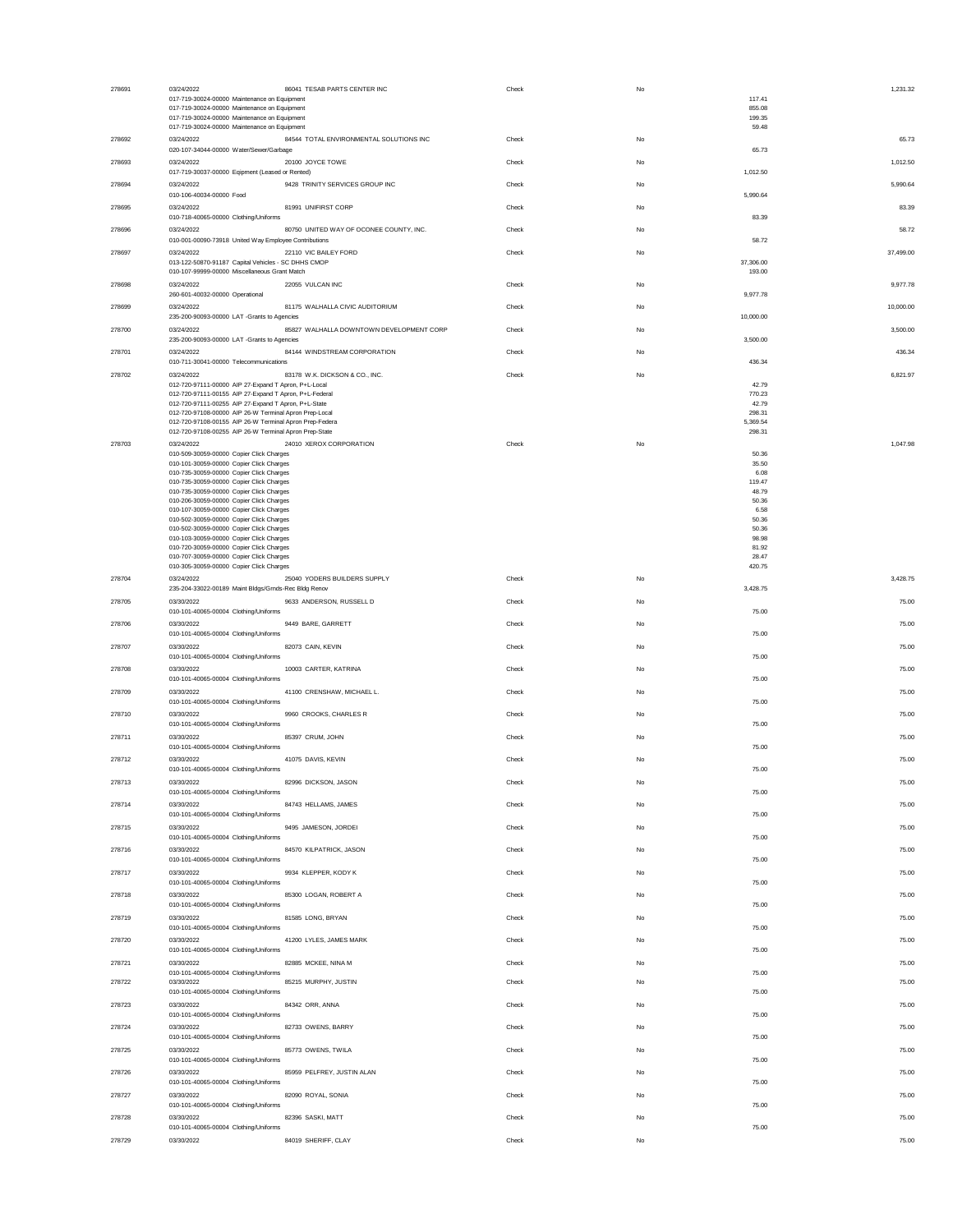| 278691 | 03/24/2022<br>86041 TESAB PARTS CENTER INC<br>017-719-30024-00000 Maintenance on Equipment<br>017-719-30024-00000 Maintenance on Equipment | Check          | No | 117.41<br>855.08    | 1,231.32       |
|--------|--------------------------------------------------------------------------------------------------------------------------------------------|----------------|----|---------------------|----------------|
|        | 017-719-30024-00000 Maintenance on Equipment<br>017-719-30024-00000 Maintenance on Equipment                                               |                |    | 199.35<br>59.48     |                |
| 278692 | 03/24/2022<br>84544 TOTAL ENVIRONMENTAL SOLUTIONS INC<br>020-107-34044-00000 Water/Sewer/Garbage                                           | Check          | No | 65.73               | 65.73          |
| 278693 | 03/24/2022<br>20100 JOYCE TOWE<br>017-719-30037-00000 Eqipment (Leased or Rented)                                                          | Check          | No | 1,012.50            | 1,012.50       |
| 278694 | 9428 TRINITY SERVICES GROUP INC<br>03/24/2022                                                                                              | Check          | No |                     | 5,990.64       |
| 278695 | 010-106-40034-00000 Food<br>03/24/2022<br>81991 UNIFIRST CORP                                                                              | Check          | No | 5,990.64            | 83.39          |
| 278696 | 010-718-40065-00000 Clothing/Uniforms<br>03/24/2022<br>80750 UNITED WAY OF OCONEE COUNTY, INC.                                             | Check          | No | 83.39               | 58.72          |
| 278697 | 010-001-00090-73918 United Way Employee Contributions<br>03/24/2022<br>22110 VIC BAILEY FORD                                               | Check          | No | 58.72               | 37,499.00      |
|        | 013-122-50870-91187 Capital Vehicles - SC DHHS CMOP<br>010-107-99999-00000 Miscellaneous Grant Match                                       |                |    | 37,306.00<br>193.00 |                |
| 278698 | 03/24/2022<br>22055 VULCAN INC<br>260-601-40032-00000 Operational                                                                          | Check          | No | 9.977.78            | 9,977.78       |
| 278699 | 03/24/2022<br>81175 WALHALLA CIVIC AUDITORIUM<br>235-200-90093-00000 LAT -Grants to Agencies                                               | Check          | No | 10,000.00           | 10,000.00      |
| 278700 | 03/24/2022<br>85827 WALHALLA DOWNTOWN DEVELOPMENT CORP<br>235-200-90093-00000 LAT -Grants to Agencies                                      | Check          | No | 3,500.00            | 3,500.00       |
| 278701 | 03/24/2022<br>84144 WINDSTREAM CORPORATION                                                                                                 | Check          | No |                     | 436.34         |
| 278702 | 010-711-30041-00000 Telecommunications<br>03/24/2022<br>83178 W.K. DICKSON & CO., INC.                                                     | Check          | No | 436.34              | 6,821.97       |
|        | 012-720-97111-00000 AIP 27-Expand T Apron, P+L-Local<br>012-720-97111-00155 AIP 27-Expand T Apron, P+L-Federal                             |                |    | 42.79<br>770.23     |                |
|        | 012-720-97111-00255 AIP 27-Expand T Apron, P+L-State<br>012-720-97108-00000 AIP 26-W Terminal Apron Prep-Local                             |                |    | 42.79<br>298.31     |                |
|        | 012-720-97108-00155 AIP 26-W Terminal Apron Prep-Federa<br>012-720-97108-00255 AIP 26-W Terminal Apron Prep-State                          |                |    | 5,369.54<br>298.31  |                |
| 278703 | 24010 XEROX CORPORATION<br>03/24/2022                                                                                                      | Check          | No |                     | 1,047.98       |
|        | 010-509-30059-00000 Copier Click Charges<br>010-101-30059-00000 Copier Click Charges                                                       |                |    | 50.36<br>35.50      |                |
|        | 010-735-30059-00000 Copier Click Charges<br>010-735-30059-00000 Copier Click Charges                                                       |                |    | 6.08<br>119.47      |                |
|        | 010-735-30059-00000 Copier Click Charges                                                                                                   |                |    | 48.79               |                |
|        | 010-206-30059-00000 Copier Click Charges<br>010-107-30059-00000 Copier Click Charges                                                       |                |    | 50.36<br>6.58       |                |
|        | 010-502-30059-00000 Copier Click Charges<br>010-502-30059-00000 Copier Click Charges                                                       |                |    | 50.36<br>50.36      |                |
|        | 010-103-30059-00000 Copier Click Charges                                                                                                   |                |    | 98.98               |                |
|        | 010-720-30059-00000 Copier Click Charges<br>010-707-30059-00000 Copier Click Charges                                                       |                |    | 81.92<br>28.47      |                |
| 278704 | 010-305-30059-00000 Copier Click Charges<br>03/24/2022<br>25040 YODERS BUILDERS SUPPLY                                                     | Check          | No | 420.75              | 3,428.75       |
| 278705 | 235-204-33022-00189 Maint Bldgs/Grnds-Rec Bldg Renov<br>03/30/2022<br>9633 ANDERSON, RUSSELL D                                             | Check          | No | 3.428.75            | 75.00          |
| 278706 | 010-101-40065-00004 Clothing/Uniforms<br>03/30/2022<br>9449 BARE, GARRETT                                                                  | Check          | No | 75.00               | 75.00          |
| 278707 | 010-101-40065-00004 Clothing/Uniforms<br>03/30/2022<br>82073 CAIN, KEVIN                                                                   | Check          | No | 75.00               | 75.00          |
| 278708 | 010-101-40065-00004 Clothing/Uniforms<br>03/30/2022<br>10003 CARTER, KATRINA                                                               | Check          | No | 75.00               | 75.00          |
|        | 010-101-40065-00004 Clothing/Uniforms                                                                                                      |                |    | 75.00               |                |
| 278709 | 03/30/2022<br>41100 CRENSHAW, MICHAEL L.<br>010-101-40065-00004 Clothing/Uniforms<br>03/30/2022                                            | Check<br>Check | No | 75.00               | 75.00<br>75.00 |
| 278710 | 9960 CROOKS, CHARLES R<br>010-101-40065-00004 Clothing/Uniforms<br>85397 CRUM, JOHN                                                        |                | No | 75.00               |                |
| 278711 | 03/30/2022<br>010-101-40065-00004 Clothing/Uniforms                                                                                        | Check          | No | 75.00               | 75.00          |
| 278712 | 03/30/2022<br>41075 DAVIS, KEVIN<br>010-101-40065-00004 Clothing/Uniforms                                                                  | Check          | No | 75.00               | 75.00          |
| 278713 | 03/30/2022<br>82996 DICKSON, JASON<br>010-101-40065-00004 Clothing/Uniforms<br>84743 HELLAMS, JAMES                                        | Check          | No | 75.00               | 75.00          |
| 278714 | 03/30/2022<br>010-101-40065-00004 Clothing/Uniforms                                                                                        | Check          | No | 75.00               | 75.00          |
| 278715 | 03/30/2022<br>9495 JAMESON, JORDEI<br>010-101-40065-00004 Clothing/Uniforms                                                                | Check          | No | 75.00               | 75.00          |
| 278716 | 03/30/2022<br>84570 KILPATRICK, JASON<br>010-101-40065-00004 Clothing/Uniforms                                                             | Check          | No | 75.00               | 75.00          |
| 278717 | 9934 KLEPPER, KODY K<br>03/30/2022<br>010-101-40065-00004 Clothing/Uniforms                                                                | Check          | No | 75.00               | 75.00          |
| 278718 | 85300 LOGAN, ROBERT A<br>03/30/2022<br>010-101-40065-00004 Clothing/Uniforms                                                               | Check          | No | 75.00               | 75.00          |
| 278719 | 03/30/2022<br>81585 LONG, BRYAN<br>010-101-40065-00004 Clothing/Uniforms                                                                   | Check          | No | 75.00               | 75.00          |
| 278720 | 03/30/2022<br>41200 LYLES, JAMES MARK<br>010-101-40065-00004 Clothing/Uniforms                                                             | Check          | No | 75.00               | 75.00          |
| 278721 | 03/30/2022<br>82885 MCKEE, NINA M<br>010-101-40065-00004 Clothing/Uniforms                                                                 | Check          | No | 75.00               | 75.00          |
| 278722 | 85215 MURPHY, JUSTIN<br>03/30/2022<br>010-101-40065-00004 Clothing/Uniforms                                                                | Check          | No | 75.00               | 75.00          |
| 278723 | 03/30/2022<br>84342 ORR, ANNA<br>010-101-40065-00004 Clothing/Uniforms                                                                     | Check          | No | 75.00               | 75.00          |
| 278724 | 03/30/2022<br>82733 OWENS, BARRY<br>010-101-40065-00004 Clothing/Uniforms                                                                  | Check          | No | 75.00               | 75.00          |
| 278725 | 85773 OWENS, TWILA<br>03/30/2022<br>010-101-40065-00004 Clothing/Uniforms                                                                  | Check          | No | 75.00               | 75.00          |
| 278726 | 85959 PELFREY, JUSTIN ALAN<br>03/30/2022<br>010-101-40065-00004 Clothing/Uniforms                                                          | Check          | No | 75.00               | 75.00          |
| 278727 | 03/30/2022<br>82090 ROYAL, SONIA                                                                                                           | Check          | No |                     | 75.00          |
| 278728 | 010-101-40065-00004 Clothing/Uniforms<br>82396 SASKI, MATT<br>03/30/2022                                                                   | Check          | No | 75.00               | 75.00          |
| 278729 | 010-101-40065-00004 Clothing/Uniforms<br>03/30/2022<br>84019 SHERIFF, CLAY                                                                 | Check          | No | 75.00               | 75.00          |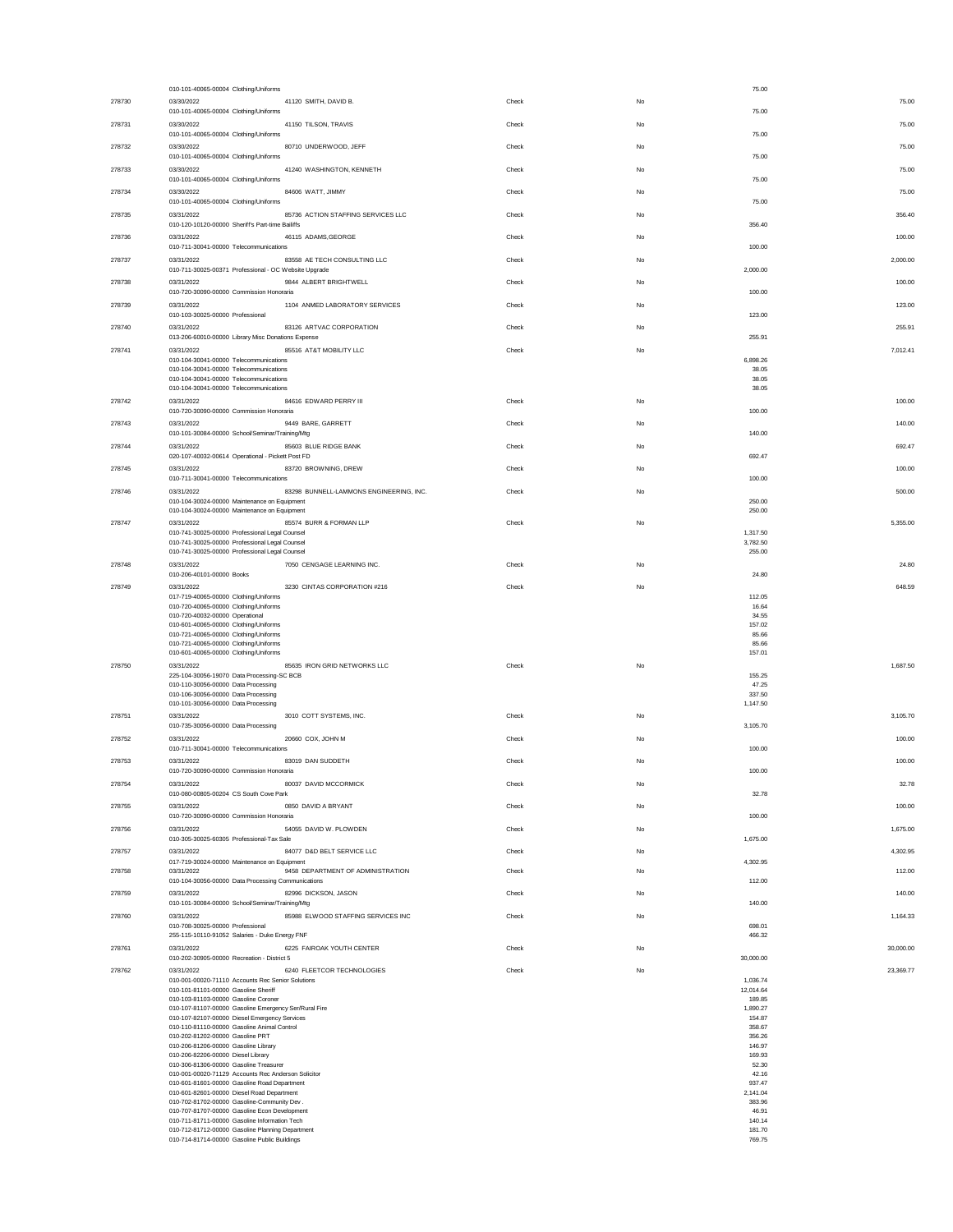|        | 010-101-40065-00004 Clothing/Uniforms                                                                 |       | 75.00              |           |
|--------|-------------------------------------------------------------------------------------------------------|-------|--------------------|-----------|
| 278730 | 03/30/2022<br>41120 SMITH, DAVID B.                                                                   | Check | No                 | 75.00     |
| 278731 | 010-101-40065-00004 Clothing/Uniforms<br>03/30/2022<br>41150 TILSON, TRAVIS                           | Check | 75.00<br>No        | 75.00     |
|        | 010-101-40065-00004 Clothing/Uniforms                                                                 |       | 75.00              |           |
| 278732 | 03/30/2022<br>80710 UNDERWOOD, JEFF                                                                   | Check | No                 | 75.00     |
|        | 010-101-40065-00004 Clothing/Uniforms                                                                 |       | 75.00              |           |
| 278733 | 03/30/2022<br>41240 WASHINGTON, KENNETH<br>010-101-40065-00004 Clothing/Uniforms                      | Check | No<br>75.00        | 75.00     |
| 278734 | 03/30/2022<br>84606 WATT, JIMMY                                                                       | Check | No                 | 75.00     |
|        | 010-101-40065-00004 Clothing/Uniforms                                                                 |       | 75.00              |           |
| 278735 | 85736 ACTION STAFFING SERVICES LLC<br>03/31/2022<br>010-120-10120-00000 Sheriff's Part-time Bailiffs  | Check | No<br>356.40       | 356.40    |
| 278736 | 03/31/2022<br>46115 ADAMS, GEORGE                                                                     | Check | No                 | 100.00    |
|        | 010-711-30041-00000 Telecommunications                                                                |       | 100.00             |           |
| 278737 | 83558 AE TECH CONSULTING LLC<br>03/31/2022<br>010-711-30025-00371 Professional - OC Website Upgrade   | Check | No<br>2,000.00     | 2,000.00  |
| 278738 | 9844 ALBERT BRIGHTWELL<br>03/31/2022                                                                  | Check | No                 | 100.00    |
|        | 010-720-30090-00000 Commission Honoraria                                                              |       | 100.00             |           |
| 278739 | 03/31/2022<br>1104 ANMED LABORATORY SERVICES<br>010-103-30025-00000 Professional                      | Check | No<br>123.00       | 123.00    |
| 278740 | 03/31/2022<br>83126 ARTVAC CORPORATION                                                                | Check | No                 | 255.91    |
|        | 013-206-60010-00000 Library Misc Donations Expense                                                    |       | 255.91             |           |
| 278741 | 03/31/2022<br>85516 AT&T MOBILITY LLC<br>010-104-30041-00000 Telecommunications                       | Check | No<br>6,898.26     | 7,012.41  |
|        | 010-104-30041-00000 Telecommunications                                                                |       | 38.05              |           |
|        | 010-104-30041-00000 Telecommunications<br>010-104-30041-00000 Telecommunications                      |       | 38.05<br>38.05     |           |
| 278742 | 03/31/2022<br>84616 EDWARD PERRY III                                                                  | Check | No                 | 100.00    |
|        | 010-720-30090-00000 Commission Honoraria                                                              |       | 100.00             |           |
| 278743 | 9449 BARE, GARRETT<br>03/31/2022                                                                      | Check | No                 | 140.00    |
| 278744 | 010-101-30084-00000 School/Seminar/Training/Mtg<br>03/31/2022<br>85603 BLUE RIDGE BANK                | Check | 140.00<br>No       | 692.47    |
|        | 020-107-40032-00614 Operational - Pickett Post FD                                                     |       | 692.47             |           |
| 278745 | 03/31/2022<br>83720 BROWNING, DREW                                                                    | Check | No                 | 100.00    |
|        | 010-711-30041-00000 Telecommunications                                                                |       | 100.00             |           |
| 278746 | 83298 BUNNELL-LAMMONS ENGINEERING, INC.<br>03/31/2022<br>010-104-30024-00000 Maintenance on Equipment | Check | No<br>250.00       | 500.00    |
|        | 010-104-30024-00000 Maintenance on Equipment                                                          |       | 250.00             |           |
| 278747 | 85574 BURR & FORMAN LLP<br>03/31/2022<br>010-741-30025-00000 Professional Legal Counsel               | Check | No<br>1,317.50     | 5,355.00  |
|        | 010-741-30025-00000 Professional Legal Counsel                                                        |       | 3,782.50           |           |
|        | 010-741-30025-00000 Professional Legal Counsel                                                        |       | 255.00             |           |
| 278748 | 7050 CENGAGE LEARNING INC.<br>03/31/2022<br>010-206-40101-00000 Books                                 | Check | No<br>24.80        | 24.80     |
| 278749 | 3230 CINTAS CORPORATION #216<br>03/31/2022                                                            | Check | No                 | 648.59    |
|        | 017-719-40065-00000 Clothing/Uniforms<br>010-720-40065-00000 Clothing/Uniforms                        |       | 112.05<br>16.64    |           |
|        | 010-720-40032-00000 Operational                                                                       |       | 34.55              |           |
|        | 010-601-40065-00000 Clothing/Uniforms<br>010-721-40065-00000 Clothing/Uniforms                        |       | 157.02<br>85.66    |           |
|        | 010-721-40065-00000 Clothing/Uniforms                                                                 |       | 85.66              |           |
|        | 010-601-40065-00000 Clothing/Uniforms                                                                 |       | 157.01             |           |
| 278750 | 03/31/2022<br>85635 IRON GRID NETWORKS LLC<br>225-104-30056-19070 Data Processing-SC BCB              | Check | No<br>155.25       | 1,687.50  |
|        | 010-110-30056-00000 Data Processing                                                                   |       | 47.25              |           |
|        | 010-106-30056-00000 Data Processing<br>010-101-30056-00000 Data Processing                            |       | 337.50<br>1,147.50 |           |
| 278751 | 3010 COTT SYSTEMS, INC.<br>03/31/2022                                                                 | Check | No                 | 3,105.70  |
|        | 010-735-30056-00000 Data Processing                                                                   |       | 3.105.70           |           |
| 278752 | 03/31/2022<br>20660 COX, JOHN M<br>010-711-30041-00000 Telecommunications                             | Check | No<br>100.00       | 100.00    |
| 278753 | 03/31/2022<br>83019 DAN SUDDETH                                                                       | Check | No                 | 100.00    |
|        | 010-720-30090-00000 Commission Honoraria                                                              |       | 100.00             |           |
| 278754 | 80037 DAVID MCCORMICK<br>03/31/2022<br>010-080-00805-00204 CS South Cove Park                         | Check | 32.78              | 32.78     |
| 278755 | 03/31/2022<br>0850 DAVID A BRYANT                                                                     | Check | No                 | 100.00    |
|        | 010-720-30090-00000 Commission Honoraria                                                              |       | 100.00             |           |
| 278756 | 03/31/2022<br>54055 DAVID W. PLOWDEN                                                                  | Check | No                 | 1,675.00  |
| 278757 | 010-305-30025-60305 Professional-Tax Sale<br>03/31/2022<br>84077 D&D BELT SERVICE LLC                 | Check | 1,675.00<br>No     | 4,302.95  |
|        | 017-719-30024-00000 Maintenance on Equipment                                                          |       | 4,302.95           |           |
| 278758 | 03/31/2022<br>9458 DEPARTMENT OF ADMINISTRATION<br>010-104-30056-00000 Data Processing Communications | Check | No<br>112.00       | 112.00    |
| 278759 | 03/31/2022<br>82996 DICKSON, JASON                                                                    | Check | No                 | 140.00    |
|        | 010-101-30084-00000 School/Seminar/Training/Mtg                                                       |       | 140.00             |           |
| 278760 | 85988 ELWOOD STAFFING SERVICES INC<br>03/31/2022                                                      | Check | No                 | 1,164.33  |
|        | 010-708-30025-00000 Professional<br>255-115-10110-91052 Salaries - Duke Energy FNF                    |       | 698.01<br>466.32   |           |
| 278761 | 03/31/2022<br>6225 FAIROAK YOUTH CENTER                                                               | Check | No                 | 30,000.00 |
|        | 010-202-30905-00000 Recreation - District 5                                                           |       | 30,000.00          |           |
| 278762 | 03/31/2022<br>6240 FLEETCOR TECHNOLOGIES<br>010-001-00020-71110 Accounts Rec Senior Solutions         | Check | No<br>1.036.74     | 23,369.77 |
|        | 010-101-81101-00000 Gasoline Sheriff                                                                  |       | 12.014.64          |           |
|        | 010-103-81103-00000 Gasoline Coroner<br>010-107-81107-00000 Gasoline Emergency Ser/Rural Fire         |       | 189.85<br>1,890.27 |           |
|        | 010-107-82107-00000 Diesel Emergency Services                                                         |       | 154,87             |           |
|        | 010-110-81110-00000 Gasoline Animal Control<br>010-202-81202-00000 Gasoline PRT                       |       | 358.67<br>356.26   |           |
|        | 010-206-81206-00000 Gasoline Library                                                                  |       | 146.97             |           |
|        | 010-206-82206-00000 Diesel Library<br>010-306-81306-00000 Gasoline Treasurer                          |       | 169.93<br>52.30    |           |
|        | 010-001-00020-71129 Accounts Rec Anderson Solicitor                                                   |       | 42.16<br>937.47    |           |
|        | 010-601-81601-00000 Gasoline Road Department<br>010-601-82601-00000 Diesel Road Department            |       | 2.141.04           |           |
|        | 010-702-81702-00000 Gasoline-Community Dev.<br>010-707-81707-00000 Gasoline Econ Development          |       | 383.96<br>46.91    |           |
|        | 010-711-81711-00000 Gasoline Information Tech                                                         |       | 140.14             |           |
|        | 010-712-81712-00000 Gasoline Planning Department                                                      |       | 181.70             |           |
|        | 010-714-81714-00000 Gasoline Public Buildings                                                         |       | 769.75             |           |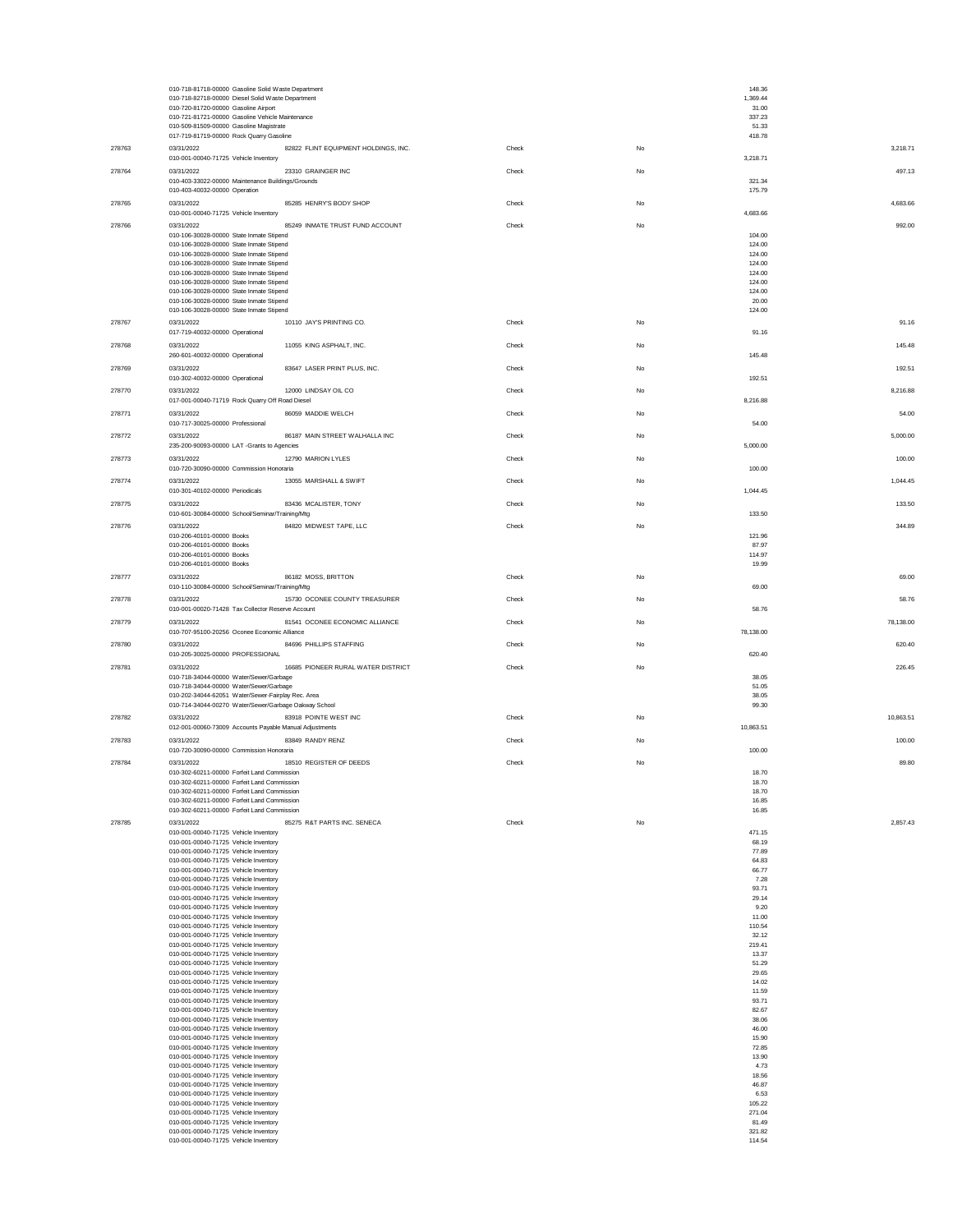|        | 010-718-81718-00000 Gasoline Solid Waste Department<br>010-718-82718-00000 Diesel Solid Waste Department |       |    | 148.36<br>1,369.44     |
|--------|----------------------------------------------------------------------------------------------------------|-------|----|------------------------|
|        | 010-720-81720-00000 Gasoline Airport                                                                     |       |    | 31.00                  |
|        | 010-721-81721-00000 Gasoline Vehicle Maintenance<br>010-509-81509-00000 Gasoline Magistrate              |       |    | 337.23<br>51.33        |
|        | 017-719-81719-00000 Rock Quarry Gasoline                                                                 |       |    | 418.78                 |
| 278763 | 82822 FLINT EQUIPMENT HOLDINGS, INC.<br>03/31/2022<br>010-001-00040-71725 Vehicle Inventory              | Check | No | 3,218.71<br>3,218.71   |
| 278764 | 03/31/2022<br>23310 GRAINGER INC                                                                         | Check | No | 497.13                 |
|        | 010-403-33022-00000 Maintenance Buildings/Grounds<br>010-403-40032-00000 Operation                       |       |    | 321.34<br>175.79       |
| 278765 | 03/31/2022<br>85285 HENRY'S BODY SHOP                                                                    | Check | No | 4,683.66               |
|        | 010-001-00040-71725 Vehicle Inventory                                                                    |       |    | 4,683.66               |
| 278766 | 03/31/2022<br>85249 INMATE TRUST FUND ACCOUNT<br>010-106-30028-00000 State Inmate Stipend                | Check | No | 992.00<br>104.00       |
|        | 010-106-30028-00000 State Inmate Stipend<br>010-106-30028-00000 State Inmate Stipend                     |       |    | 124.00<br>124.00       |
|        | 010-106-30028-00000 State Inmate Stipend                                                                 |       |    | 124.00                 |
|        | 010-106-30028-00000 State Inmate Stipend<br>010-106-30028-00000 State Inmate Stipend                     |       |    | 124.00<br>124.00       |
|        | 010-106-30028-00000 State Inmate Stipend<br>010-106-30028-00000 State Inmate Stipend                     |       |    | 124.00<br>20.00        |
|        | 010-106-30028-00000 State Inmate Stipend                                                                 |       |    | 124.00                 |
| 278767 | 03/31/2022<br>10110 JAY'S PRINTING CO.<br>017-719-40032-00000 Operational                                | Check | No | 91.16<br>91.16         |
| 278768 | 03/31/2022<br>11055 KING ASPHALT, INC.                                                                   | Check | No | 145.48                 |
|        | 260-601-40032-00000 Operational                                                                          |       |    | 145.48                 |
| 278769 | 03/31/2022<br>83647 LASER PRINT PLUS, INC.<br>010-302-40032-00000 Operational                            | Check | No | 192.51<br>192.51       |
| 278770 | 03/31/2022<br>12000 LINDSAY OIL CO                                                                       | Check | No | 8,216.88               |
|        | 017-001-00040-71719 Rock Quarry Off Road Diesel                                                          |       |    | 8,216.88               |
| 278771 | 03/31/2022<br>86059 MADDIE WELCH<br>010-717-30025-00000 Professional                                     | Check | No | 54.00<br>54.00         |
| 278772 | 03/31/2022<br>86187 MAIN STREET WALHALLA INC                                                             | Check | No | 5,000.00               |
|        | 235-200-90093-00000 LAT -Grants to Agencies                                                              |       |    | 5,000.00               |
| 278773 | 03/31/2022<br>12790 MARION LYLES<br>010-720-30090-00000 Commission Honoraria                             | Check | No | 100.00<br>100.00       |
| 278774 | 03/31/2022<br>13055 MARSHALL & SWIFT                                                                     | Check | No | 1.044.45               |
|        | 010-301-40102-00000 Periodicals                                                                          |       |    | 1,044.45               |
| 278775 | 03/31/2022<br>83436 MCALISTER, TONY<br>010-601-30084-00000 School/Seminar/Training/Mtg                   | Check | No | 133.50<br>133.50       |
| 278776 | 84820 MIDWEST TAPE, LLC<br>03/31/2022                                                                    | Check | No | 344.89                 |
|        | 010-206-40101-00000 Books<br>010-206-40101-00000 Books                                                   |       |    | 121.96<br>87.97        |
|        | 010-206-40101-00000 Books                                                                                |       |    | 114.97                 |
| 278777 | 010-206-40101-00000 Books<br>86182 MOSS, BRITTON<br>03/31/2022                                           | Check | No | 19.99<br>69.00         |
|        | 010-110-30084-00000 School/Seminar/Training/Mtg                                                          |       |    | 69.00                  |
| 278778 | 03/31/2022<br>15730 OCONEE COUNTY TREASURER<br>010-001-00020-71428 Tax Collector Reserve Account         | Check | No | 58.76<br>58.76         |
| 278779 | 03/31/2022<br>81541 OCONEE ECONOMIC ALLIANCE                                                             | Check | No | 78,138.00              |
|        | 010-707-95100-20256 Oconee Economic Alliance                                                             |       |    | 78,138.00              |
| 278780 | 03/31/2022<br>84696 PHILLIPS STAFFING<br>010-205-30025-00000 PROFESSIONAL                                | Check | No | 620.40<br>620.40       |
| 278781 | 03/31/2022<br>16685 PIONEER RURAL WATER DISTRICT                                                         | Check | No | 226.45                 |
|        | 010-718-34044-00000 Water/Sewer/Garbage                                                                  |       |    | 38.05                  |
|        | 010-718-34044-00000 Water/Sewer/Garbage<br>010-202-34044-62051 Water/Sewer-Fairplay Rec. Area            |       |    | 51.05<br>38.05         |
|        | 010-714-34044-00270 Water/Sewer/Garbage Oakway School<br>83918 POINTE WEST INC                           |       |    | 99.30                  |
| 278782 | 03/31/2022<br>012-001-00060-73009 Accounts Payable Manual Adjustments                                    | Check | No | 10,863.51<br>10,863.51 |
| 278783 | 03/31/2022<br>83849 RANDY RENZ                                                                           | Check | No | 100.00                 |
| 278784 | 010-720-30090-00000 Commission Honoraria<br>03/31/2022<br>18510 REGISTER OF DEEDS                        | Check | No | 100.00<br>89.80        |
|        | 010-302-60211-00000 Forfeit Land Commission                                                              |       |    | 18.70                  |
|        | 010-202-80211-00000 Eorfait Land Commissi<br>010-302-60211-00000 Forfeit Land Commission                 |       |    | 18.70<br>18.70         |
|        | 010-302-60211-00000 Forfeit Land Commission                                                              |       |    | 16.85                  |
| 278785 | 010-302-60211-00000 Forfeit Land Commission<br>03/31/2022<br>85275 R&T PARTS INC. SENECA                 | Check | No | 16.85<br>2,857.43      |
|        | 010-001-00040-71725 Vehicle Inventory                                                                    |       |    | 471.15                 |
|        | 010-001-00040-71725 Vehicle Inventory<br>010-001-00040-71725 Vehicle Inventory                           |       |    | 68.19<br>77.89         |
|        | 010-001-00040-71725 Vehicle Inventory<br>010-001-00040-71725 Vehicle Inventory                           |       |    | 64.83<br>66.77         |
|        | 010-001-00040-71725 Vehicle Inventory                                                                    |       |    | 7.28                   |
|        | 010-001-00040-71725 Vehicle Inventory<br>010-001-00040-71725 Vehicle Inventory                           |       |    | 93.71<br>29.14         |
|        | 010-001-00040-71725 Vehicle Inventory                                                                    |       |    | 9.20                   |
|        | 010-001-00040-71725 Vehicle Inventory<br>010-001-00040-71725 Vehicle Inventory                           |       |    | 11.00<br>110.54        |
|        | 010-001-00040-71725 Vehicle Inventory<br>010-001-00040-71725 Vehicle Inventory                           |       |    | 32.12<br>219.41        |
|        | 010-001-00040-71725 Vehicle Inventory                                                                    |       |    | 13.37                  |
|        | 010-001-00040-71725 Vehicle Inventory<br>010-001-00040-71725 Vehicle Inventory                           |       |    | 51.29<br>29.65         |
|        | 010-001-00040-71725 Vehicle Inventory<br>010-001-00040-71725 Vehicle Inventory                           |       |    | 14.02<br>11.59         |
|        | 010-001-00040-71725 Vehicle Inventory                                                                    |       |    | 93.71                  |
|        | 010-001-00040-71725 Vehicle Inventory<br>010-001-00040-71725 Vehicle Inventory                           |       |    | 82.67<br>38.06         |
|        | 010-001-00040-71725 Vehicle Inventory<br>010-001-00040-71725 Vehicle Inventory                           |       |    | 46.00<br>15.90         |
|        | 010-001-00040-71725 Vehicle Inventory                                                                    |       |    | 72.85                  |
|        | 010-001-00040-71725 Vehicle Inventory<br>010-001-00040-71725 Vehicle Inventory                           |       |    | 13.90<br>4.73          |
|        | 010-001-00040-71725 Vehicle Inventory                                                                    |       |    | 18.56                  |
|        | 010-001-00040-71725 Vehicle Inventory<br>010-001-00040-71725 Vehicle Inventory                           |       |    | 46.87<br>6.53          |
|        | 010-001-00040-71725 Vehicle Inventory<br>010-001-00040-71725 Vehicle Inventory                           |       |    | 105.22<br>271.04       |
|        | 010-001-00040-71725 Vehicle Inventory                                                                    |       |    | 81.49                  |
|        | 010-001-00040-71725 Vehicle Inventory<br>010-001-00040-71725 Vehicle Inventory                           |       |    | 321.82<br>114.54       |
|        |                                                                                                          |       |    |                        |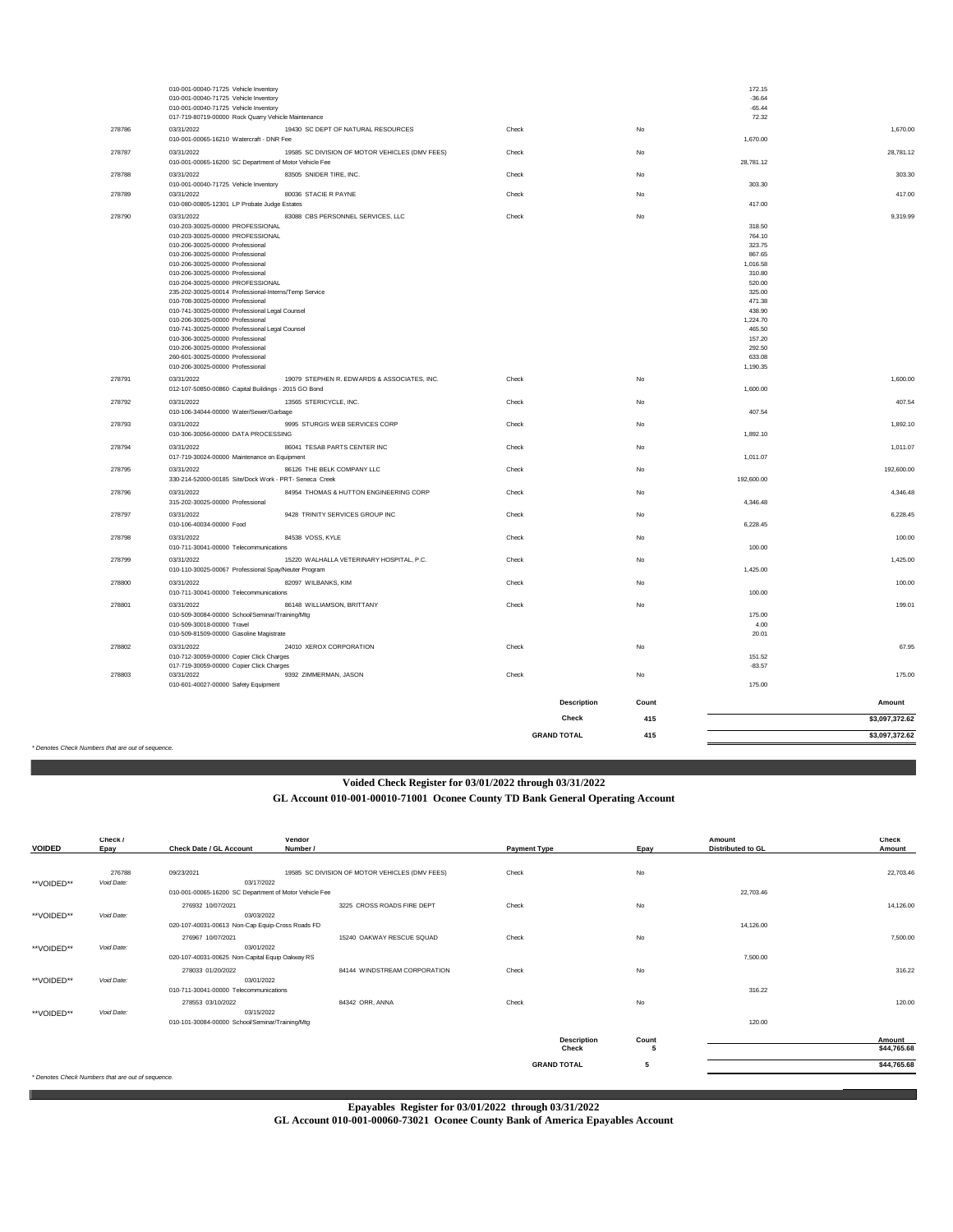|                              | 010-001-00040-71725 Vehicle Inventory<br>010-001-00040-71725 Vehicle Inventory                                         |       |                    |       | 172.15<br>$-36.64$ |                |
|------------------------------|------------------------------------------------------------------------------------------------------------------------|-------|--------------------|-------|--------------------|----------------|
|                              | 010-001-00040-71725 Vehicle Inventory<br>017-719-80719-00000 Rock Quarry Vehicle Maintenance                           |       |                    |       | $-65.44$<br>72.32  |                |
| 278786                       | 19430 SC DEPT OF NATURAL RESOURCES<br>03/31/2022<br>010-001-00065-16210 Watercraft - DNR Fee                           | Check | No                 |       | 1,670.00           | 1,670.00       |
| 278787                       | 19585 SC DIVISION OF MOTOR VEHICLES (DMV FEES)<br>03/31/2022<br>010-001-00065-16200 SC Department of Motor Vehicle Fee | Check | No                 |       | 28,781.12          | 28,781.12      |
| 278788                       | 03/31/2022<br>83505 SNIDER TIRE, INC.                                                                                  | Check | No                 |       |                    | 303.30         |
| 278789                       | 010-001-00040-71725 Vehicle Inventory<br>03/31/2022<br>80036 STACIE R PAYNE                                            | Check | No                 |       | 303.30             | 417.00         |
| 278790                       | 010-080-00805-12301 LP Probate Judge Estates<br>83088 CBS PERSONNEL SERVICES, LLC<br>03/31/2022                        | Check | No                 |       | 417.00             | 9,319.99       |
|                              | 010-203-30025-00000 PROFESSIONAL                                                                                       |       |                    |       | 318.50             |                |
|                              | 010-203-30025-00000 PROFESSIONAL                                                                                       |       |                    |       | 764.10             |                |
|                              | 010-206-30025-00000 Professional<br>010-206-30025-00000 Professional                                                   |       |                    |       | 323.75<br>867.65   |                |
|                              | 010-206-30025-00000 Professional                                                                                       |       |                    |       | 1,016.58           |                |
|                              | 010-206-30025-00000 Professional                                                                                       |       |                    |       | 310.80             |                |
|                              | 010-204-30025-00000 PROFESSIONAL                                                                                       |       |                    |       | 520.00             |                |
|                              | 235-202-30025-00014 Professional-Interns/Temp Service                                                                  |       |                    |       | 325.00<br>471.38   |                |
|                              | 010-708-30025-00000 Professional<br>010-741-30025-00000 Professional Legal Counsel                                     |       |                    |       | 438.90             |                |
|                              | 010-206-30025-00000 Professional                                                                                       |       |                    |       | 1,224.70           |                |
|                              | 010-741-30025-00000 Professional Legal Counsel                                                                         |       |                    |       | 465.50             |                |
|                              | 010-306-30025-00000 Professional                                                                                       |       |                    |       | 157.20             |                |
|                              | 010-206-30025-00000 Professional<br>260-601-30025-00000 Professional                                                   |       |                    |       | 292.50<br>633.08   |                |
|                              | 010-206-30025-00000 Professional                                                                                       |       |                    |       | 1,190.35           |                |
| 278791                       | 03/31/2022<br>19079 STEPHEN R. EDWARDS & ASSOCIATES, INC.                                                              | Check | No                 |       |                    | 1,600.00       |
|                              | 012-107-50850-00860 Capital Buildings - 2015 GO Bond                                                                   |       |                    |       | 1,600.00           |                |
| 278792                       | 03/31/2022<br>13565 STERICYCLE, INC.                                                                                   | Check | No                 |       |                    | 407.54         |
|                              | 010-106-34044-00000 Water/Sewer/Garbage                                                                                |       |                    |       | 407.54             |                |
| 278793                       | 9995 STURGIS WEB SERVICES CORP<br>03/31/2022<br>010-306-30056-00000 DATA PROCESSING                                    | Check | No                 |       | 1,892.10           | 1.892.10       |
| 278794                       | 03/31/2022<br>86041 TESAB PARTS CENTER INC                                                                             | Check | No                 |       |                    | 1,011.07       |
|                              | 017-719-30024-00000 Maintenance on Equipment                                                                           |       |                    |       | 1,011.07           |                |
| 278795                       | 03/31/2022<br>86126 THE BELK COMPANY LLC<br>330-214-52000-00185 Site/Dock Work - PRT- Seneca Creek                     | Check | No                 |       | 192,600.00         | 192,600.00     |
| 278796                       | 03/31/2022<br>84954 THOMAS & HUTTON ENGINEERING CORP<br>315-202-30025-00000 Professional                               | Check | No                 |       | 4.346.48           | 4,346.48       |
| 278797                       | 03/31/2022<br>9428 TRINITY SERVICES GROUP INC<br>010-106-40034-00000 Food                                              | Check | No                 |       | 6,228.45           | 6,228.45       |
| 278798                       | 84538 VOSS, KYLE<br>03/31/2022<br>010-711-30041-00000 Telecommunications                                               | Check | No                 |       | 100.00             | 100.00         |
| 278799                       | 15220 WALHALLA VETERINARY HOSPITAL, P.C.<br>03/31/2022                                                                 | Check | No                 |       |                    | 1,425.00       |
|                              | 010-110-30025-00067 Professional Spay/Neuter Program                                                                   |       |                    |       | 1,425.00           |                |
| 278800                       | 03/31/2022<br>82097 WILBANKS, KIM<br>010-711-30041-00000 Telecommunications                                            | Check | No                 |       | 100.00             | 100.00         |
| 278801                       | 03/31/2022<br>86148 WILLIAMSON, BRITTANY                                                                               | Check | No                 |       |                    | 199.01         |
|                              | 010-509-30084-00000 School/Seminar/Training/Mtg                                                                        |       |                    |       | 175.00             |                |
|                              | 010-509-30018-00000 Travel                                                                                             |       |                    |       | 4.00               |                |
|                              | 010-509-81509-00000 Gasoline Magistrate                                                                                |       |                    |       | 20.01              |                |
| 278802                       | 24010 XEROX CORPORATION<br>03/31/2022                                                                                  | Check | No                 |       |                    | 67.95          |
|                              | 010-712-30059-00000 Copier Click Charges<br>017-719-30059-00000 Copier Click Charges                                   |       |                    |       | 151.52<br>$-83.57$ |                |
| 278803                       | 03/31/2022<br>9392 ZIMMERMAN, JASON                                                                                    | Check | No                 |       |                    | 175.00         |
|                              | 010-601-40027-00000 Safety Equipment                                                                                   |       |                    |       | 175.00             |                |
|                              |                                                                                                                        |       | <b>Description</b> | Count |                    | Amount         |
|                              |                                                                                                                        |       | Check              | 415   |                    | \$3,097,372.62 |
|                              |                                                                                                                        |       | <b>GRAND TOTAL</b> | 415   |                    | \$3,097,372.62 |
| ers that are out of sequence |                                                                                                                        |       |                    |       |                    |                |

*\* Denotes Check Numbers that are out of sequence.*

# **Voided Check Register for 03/01/2022 through 03/31/2022**

**GL Account 010-001-00010-71001 Oconee County TD Bank General Operating Account**

| <b>VOIDED</b> | Check /<br>Epay                                   | <b>Check Date / GL Account</b>                         | vendor<br>Number /                             | <b>Payment Type</b>         | Epay        | Amount<br><b>Distributed to GL</b> | Check<br>Amount       |
|---------------|---------------------------------------------------|--------------------------------------------------------|------------------------------------------------|-----------------------------|-------------|------------------------------------|-----------------------|
| **VOIDED**    | 276788<br>Void Date:                              | 09/23/2021<br>03/17/2022                               | 19585 SC DIVISION OF MOTOR VEHICLES (DMV FEES) | Check                       | No          |                                    | 22,703.46             |
|               |                                                   | 010-001-00065-16200 SC Department of Motor Vehicle Fee |                                                |                             |             | 22,703.46                          |                       |
| **VOIDED**    | Void Date:                                        | 276932 10/07/2021<br>03/03/2022                        | 3225 CROSS ROADS FIRE DEPT                     | Check                       | No          |                                    | 14,126.00             |
|               |                                                   | 020-107-40031-00613 Non-Cap Equip-Cross Roads FD       |                                                |                             |             | 14,126,00                          |                       |
| **VOIDED**    | Void Date:                                        | 276967 10/07/2021<br>03/01/2022                        | 15240 OAKWAY RESCUE SQUAD                      | Check                       | No          |                                    | 7,500.00              |
|               |                                                   | 020-107-40031-00625 Non-Capital Equip Oakway RS        |                                                |                             |             | 7,500.00                           |                       |
|               |                                                   | 278033 01/20/2022<br>03/01/2022                        | 84144 WINDSTREAM CORPORATION                   | Check                       | No          |                                    | 316.22                |
| **VOIDED**    | Void Date:                                        | 010-711-30041-00000 Telecommunications                 |                                                |                             |             | 316.22                             |                       |
| **VOIDED**    | Void Date:                                        | 278553 03/10/2022<br>03/15/2022                        | 84342 ORR, ANNA                                | Check                       | No          |                                    | 120.00                |
|               |                                                   | 010-101-30084-00000 School/Seminar/Training/Mtg        |                                                |                             |             | 120.00                             |                       |
|               |                                                   |                                                        |                                                | <b>Description</b><br>Check | Count<br>-5 |                                    | Amount<br>\$44,765.68 |
|               |                                                   |                                                        |                                                | <b>GRAND TOTAL</b>          | 5           |                                    | \$44,765.68           |
|               | * Denotes Check Numbers that are out of sequence. |                                                        |                                                |                             |             |                                    |                       |

**Epayables Register for 03/01/2022 through 03/31/2022**

**GL Account 010-001-00060-73021 Oconee County Bank of America Epayables Account**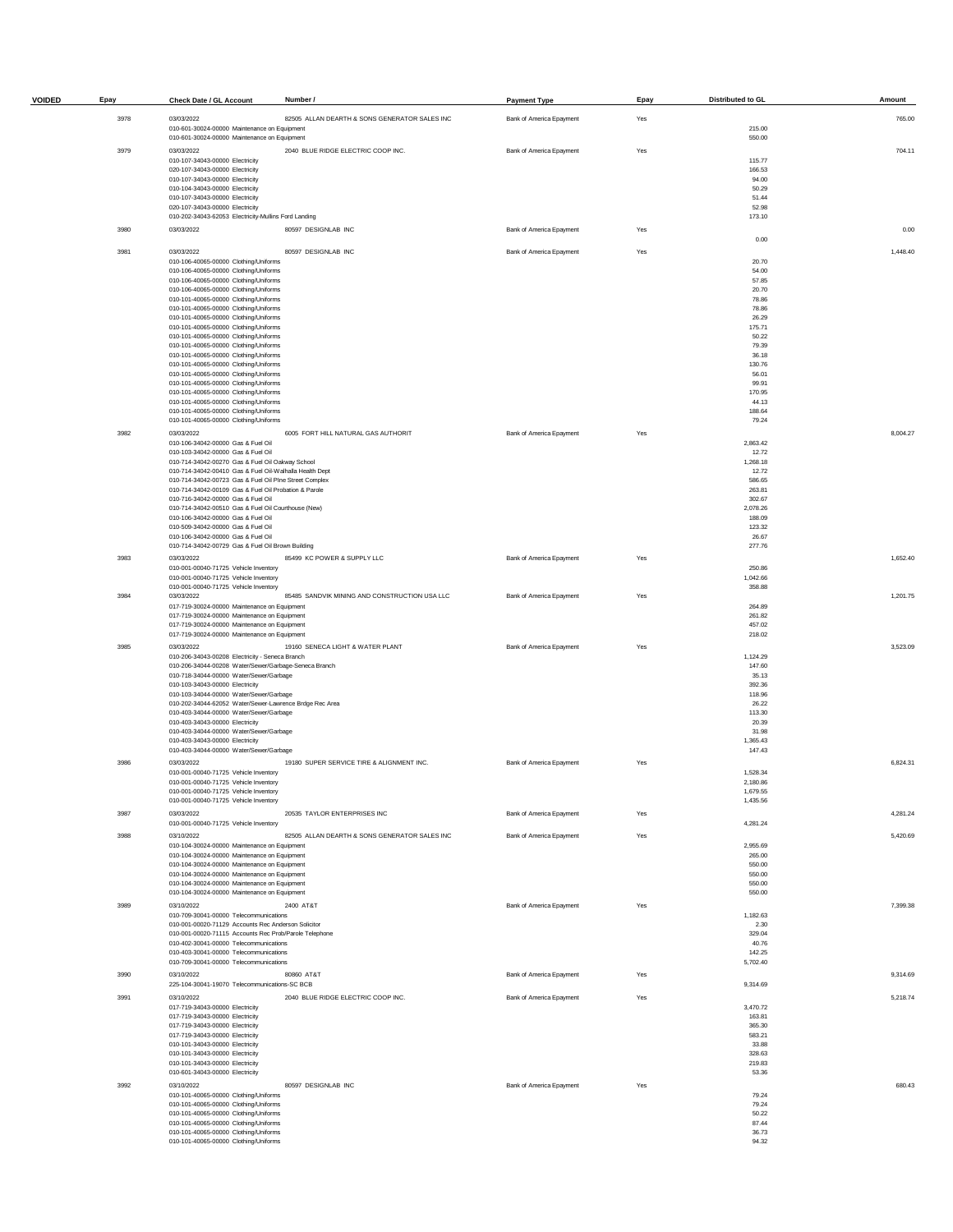| <b>VOIDED</b> | Epay | <b>Check Date / GL Account</b>                                                                                | Number /                                      | <b>Payment Type</b>      | Epay | Distributed to GL    | Amount   |
|---------------|------|---------------------------------------------------------------------------------------------------------------|-----------------------------------------------|--------------------------|------|----------------------|----------|
|               | 3978 | 03/03/2022                                                                                                    | 82505 ALLAN DEARTH & SONS GENERATOR SALES INC | Bank of America Epayment | Yes  |                      | 765.00   |
|               |      | 010-601-30024-00000 Maintenance on Equipment<br>010-601-30024-00000 Maintenance on Equipment                  |                                               |                          |      | 215.00<br>550.00     |          |
|               | 3979 | 03/03/2022                                                                                                    | 2040 BLUE RIDGE ELECTRIC COOP INC.            | Bank of America Epayment | Yes  |                      | 704.11   |
|               |      | 010-107-34043-00000 Electricity<br>020-107-34043-00000 Electricity                                            |                                               |                          |      | 115.77<br>166.53     |          |
|               |      | 010-107-34043-00000 Electricity                                                                               |                                               |                          |      | 94.00                |          |
|               |      | 010-104-34043-00000 Electricity<br>010-107-34043-00000 Electricity                                            |                                               |                          |      | 50.29<br>51.44       |          |
|               |      | 020-107-34043-00000 Electricity                                                                               |                                               |                          |      | 52.98                |          |
|               | 3980 | 010-202-34043-62053 Electricity-Mullins Ford Landing<br>03/03/2022                                            | 80597 DESIGNLAB INC                           | Bank of America Epayment | Yes  | 173.10               | 0.00     |
|               |      |                                                                                                               |                                               |                          |      | 0.00                 |          |
|               | 3981 | 03/03/2022                                                                                                    | 80597 DESIGNLAB INC                           | Bank of America Epayment | Yes  |                      | 1,448.40 |
|               |      | 010-106-40065-00000 Clothing/Uniforms<br>010-106-40065-00000 Clothing/Uniforms                                |                                               |                          |      | 20.70<br>54.00       |          |
|               |      | 010-106-40065-00000 Clothing/Uniforms<br>010-106-40065-00000 Clothing/Uniforms                                |                                               |                          |      | 57.85<br>20.70       |          |
|               |      | 010-101-40065-00000 Clothing/Uniforms                                                                         |                                               |                          |      | 78.86                |          |
|               |      | 010-101-40065-00000 Clothing/Uniforms<br>010-101-40065-00000 Clothing/Uniforms                                |                                               |                          |      | 78.86<br>26.29       |          |
|               |      | 010-101-40065-00000 Clothing/Uniforms                                                                         |                                               |                          |      | 175.71<br>50.22      |          |
|               |      | 010-101-40065-00000 Clothing/Uniforms<br>010-101-40065-00000 Clothing/Uniforms                                |                                               |                          |      | 79.39                |          |
|               |      | 010-101-40065-00000 Clothing/Uniforms<br>010-101-40065-00000 Clothing/Uniforms                                |                                               |                          |      | 36.18<br>130.76      |          |
|               |      | 010-101-40065-00000 Clothing/Uniforms                                                                         |                                               |                          |      | 56.01                |          |
|               |      | 010-101-40065-00000 Clothing/Uniforms<br>010-101-40065-00000 Clothing/Uniforms                                |                                               |                          |      | 99.91<br>170.95      |          |
|               |      | 010-101-40065-00000 Clothing/Uniforms<br>010-101-40065-00000 Clothing/Uniforms                                |                                               |                          |      | 44.13<br>188.64      |          |
|               |      | 010-101-40065-00000 Clothing/Uniforms                                                                         |                                               |                          |      | 79.24                |          |
|               | 3982 | 03/03/2022<br>010-106-34042-00000 Gas & Fuel Oil                                                              | 6005 FORT HILL NATURAL GAS AUTHORIT           | Bank of America Epayment | Yes  | 2,863.42             | 8,004.27 |
|               |      | 010-103-34042-00000 Gas & Fuel Oil                                                                            |                                               |                          |      | 12.72                |          |
|               |      | 010-714-34042-00270 Gas & Fuel Oil Oakway School<br>010-714-34042-00410 Gas & Fuel Oil-Walhalla Health Dept   |                                               |                          |      | 1,268.18<br>12.72    |          |
|               |      | 010-714-34042-00723 Gas & Fuel Oil PIne Street Complex                                                        |                                               |                          |      | 586.65<br>263.81     |          |
|               |      | 010-714-34042-00109 Gas & Fuel Oil Probation & Parole<br>010-716-34042-00000 Gas & Fuel Oil                   |                                               |                          |      | 302.67               |          |
|               |      | 010-714-34042-00510 Gas & Fuel Oil Courthouse (New)<br>010-106-34042-00000 Gas & Fuel Oil                     |                                               |                          |      | 2,078.26<br>188.09   |          |
|               |      | 010-509-34042-00000 Gas & Fuel Oil                                                                            |                                               |                          |      | 123.32               |          |
|               |      | 010-106-34042-00000 Gas & Fuel Oil<br>010-714-34042-00729 Gas & Fuel Oil Brown Building                       |                                               |                          |      | 26.67<br>277.76      |          |
|               | 3983 | 03/03/2022                                                                                                    | 85499 KC POWER & SUPPLY LLC                   | Bank of America Epayment | Yes  |                      | 1,652.40 |
|               |      | 010-001-00040-71725 Vehicle Inventory<br>010-001-00040-71725 Vehicle Inventory                                |                                               |                          |      | 250.86<br>1,042.66   |          |
|               | 3984 | 010-001-00040-71725 Vehicle Inventory<br>03/03/2022                                                           | 85485 SANDVIK MINING AND CONSTRUCTION USA LLC | Bank of America Epayment | Yes  | 358.88               | 1,201.75 |
|               |      | 017-719-30024-00000 Maintenance on Equipment                                                                  |                                               |                          |      | 264.89               |          |
|               |      | 017-719-30024-00000 Maintenance on Equipment<br>017-719-30024-00000 Maintenance on Equipment                  |                                               |                          |      | 261.82<br>457.02     |          |
|               |      | 017-719-30024-00000 Maintenance on Equipment                                                                  |                                               |                          |      | 218.02               |          |
|               | 3985 | 03/03/2022<br>010-206-34043-00208 Electricity - Seneca Branch                                                 | 19160 SENECA LIGHT & WATER PLANT              | Bank of America Epayment | Yes  | 1,124.29             | 3,523.09 |
|               |      | 010-206-34044-00208 Water/Sewer/Garbage-Seneca Branch                                                         |                                               |                          |      | 147.60               |          |
|               |      | 010-718-34044-00000 Water/Sewer/Garbage<br>010-103-34043-00000 Electricity                                    |                                               |                          |      | 35.13<br>392.36      |          |
|               |      | 010-103-34044-00000 Water/Sewer/Garbage<br>010-202-34044-62052 Water/Sewer-Lawrence Brdge Rec Area            |                                               |                          |      | 118.96<br>26.22      |          |
|               |      | 010-403-34044-00000 Water/Sewer/Garbage                                                                       |                                               |                          |      | 113.30               |          |
|               |      | 010-403-34043-00000 Electricity<br>010-403-34044-00000 Water/Sewer/Garbage                                    |                                               |                          |      | 20.39<br>31.98       |          |
|               |      | 010-403-34043-00000 Electricity<br>010-403-34044-00000 Water/Sewer/Garbage                                    |                                               |                          |      | 1,365.43<br>147.43   |          |
|               | 3986 | 03/03/2022                                                                                                    | 19180 SUPER SERVICE TIRE & ALIGNMENT INC.     | Bank of America Epayment | Yes  |                      | 6,824.31 |
|               |      | 010-001-00040-71725 Vehicle Inventory<br>010-001-00040-71725 Vehicle Inventory                                |                                               |                          |      | 1,528.34<br>2,180.86 |          |
|               |      | 010-001-00040-71725 Vehicle Inventory                                                                         |                                               |                          |      | 1,679.55             |          |
|               | 3987 | 010-001-00040-71725 Vehicle Inventory<br>03/03/2022                                                           | 20535 TAYLOR ENTERPRISES INC                  | Bank of America Epayment | Yes  | 1,435.56             | 4,281.24 |
|               |      | 010-001-00040-71725 Vehicle Inventory                                                                         |                                               |                          |      | 4,281.24             |          |
|               | 3988 | 03/10/2022<br>010-104-30024-00000 Maintenance on Equipment                                                    | 82505 ALLAN DEARTH & SONS GENERATOR SALES INC | Bank of America Epayment | Yes  | 2,955.69             | 5,420.69 |
|               |      | 010-104-30024-00000 Maintenance on Equipment                                                                  |                                               |                          |      | 265.00               |          |
|               |      | 010-104-30024-00000 Maintenance on Equipment<br>010-104-30024-00000 Maintenance on Equipment                  |                                               |                          |      | 550.00<br>550.00     |          |
|               |      | 010-104-30024-00000 Maintenance on Equipment<br>010-104-30024-00000 Maintenance on Equipment                  |                                               |                          |      | 550.00               |          |
|               | 3989 | 03/10/2022                                                                                                    | 2400 AT&T                                     | Bank of America Epayment | Yes  | 550.00               | 7,399.38 |
|               |      | 010-709-30041-00000 Telecommunications                                                                        |                                               |                          |      | 1,182.63             |          |
|               |      | 010-001-00020-71129 Accounts Rec Anderson Solicitor<br>010-001-00020-71115 Accounts Rec Prob/Parole Telephone |                                               |                          |      | 2.30<br>329.04       |          |
|               |      | 010-402-30041-00000 Telecommunications<br>010-403-30041-00000 Telecommunications                              |                                               |                          |      | 40.76<br>142.25      |          |
|               |      | 010-709-30041-00000 Telecommunications                                                                        |                                               |                          |      | 5,702.40             |          |
|               | 3990 | 03/10/2022<br>225-104-30041-19070 Telecommunications-SC BCB                                                   | 80860 AT&T                                    | Bank of America Epayment | Yes  | 9,314.69             | 9,314.69 |
|               | 3991 | 03/10/2022                                                                                                    | 2040 BLUE RIDGE ELECTRIC COOP INC.            | Bank of America Epayment | Yes  |                      | 5,218.74 |
|               |      | 017-719-34043-00000 Electricity<br>017-719-34043-00000 Electricity                                            |                                               |                          |      | 3,470.72<br>163.81   |          |
|               |      | 017-719-34043-00000 Electricity                                                                               |                                               |                          |      | 365.30               |          |
|               |      | 017-719-34043-00000 Electricity<br>010-101-34043-00000 Electricity                                            |                                               |                          |      | 583.21<br>33.88      |          |
|               |      | 010-101-34043-00000 Electricity                                                                               |                                               |                          |      | 328.63               |          |
|               |      | 010-101-34043-00000 Electricity<br>010-601-34043-00000 Electricity                                            |                                               |                          |      | 219.83<br>53.36      |          |
|               | 3992 | 03/10/2022                                                                                                    | 80597 DESIGNLAB INC                           | Bank of America Epayment | Yes  |                      | 680.43   |
|               |      | 010-101-40065-00000 Clothing/Uniforms<br>010-101-40065-00000 Clothing/Uniforms                                |                                               |                          |      | 79.24<br>79.24       |          |
|               |      | 010-101-40065-00000 Clothing/Uniforms<br>010-101-40065-00000 Clothing/Uniforms                                |                                               |                          |      | 50.22<br>87.44       |          |
|               |      | 010-101-40065-00000 Clothing/Uniforms                                                                         |                                               |                          |      | 36.73                |          |
|               |      | 010-101-40065-00000 Clothing/Uniforms                                                                         |                                               |                          |      | 94.32                |          |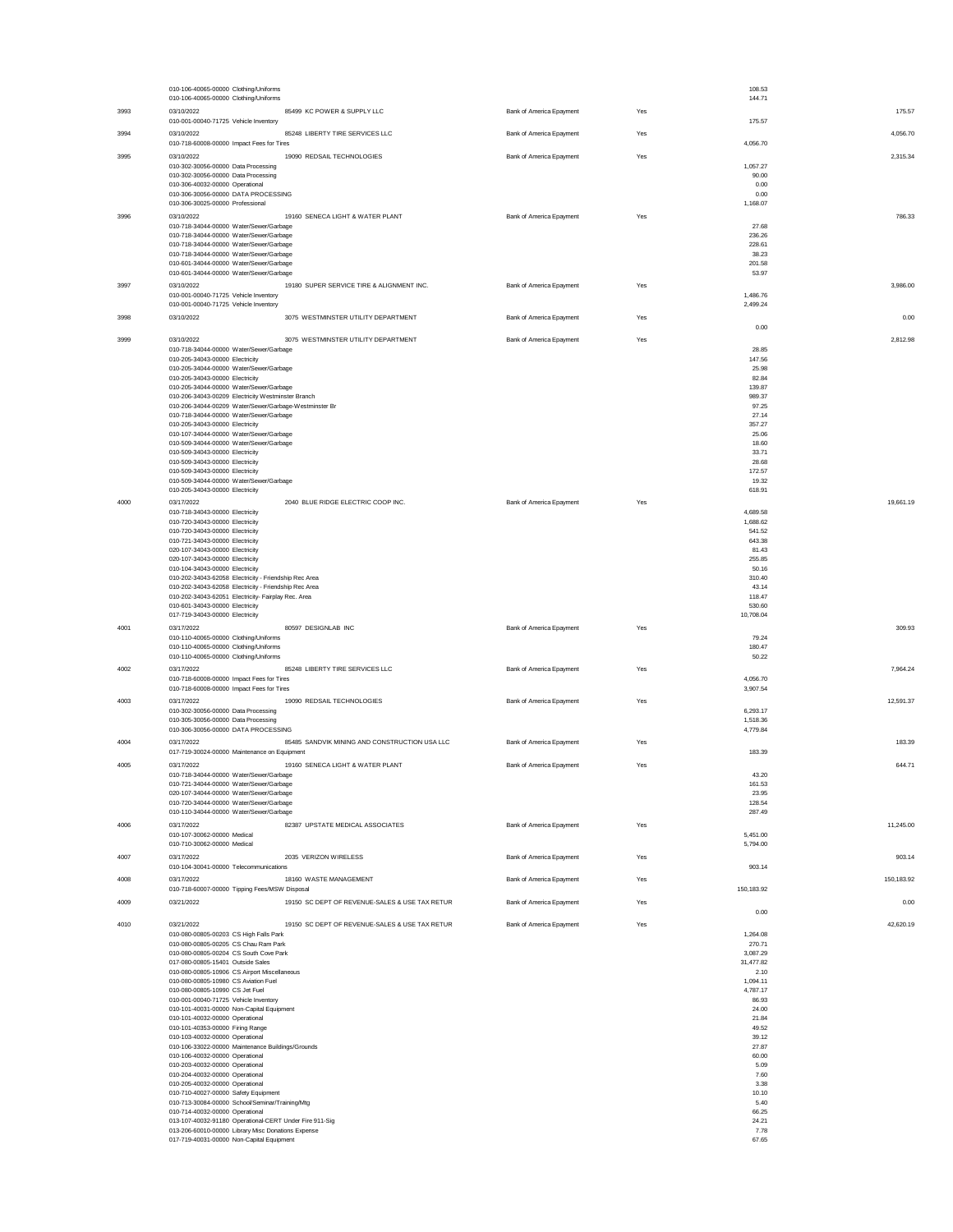|      | 010-106-40065-00000 Clothing/Uniforms                                                                         |                          |     | 108.53               |            |
|------|---------------------------------------------------------------------------------------------------------------|--------------------------|-----|----------------------|------------|
| 3993 | 010-106-40065-00000 Clothing/Uniforms<br>03/10/2022<br>85499 KC POWER & SUPPLY LLC                            | Bank of America Epayment | Yes | 144.71               | 175.57     |
|      | 010-001-00040-71725 Vehicle Inventory                                                                         |                          |     | 175.57               |            |
| 3994 | 03/10/2022<br>85248 LIBERTY TIRE SERVICES LLC                                                                 | Bank of America Epayment | Yes |                      | 4,056.70   |
| 3995 | 010-718-60008-00000 Impact Fees for Tires<br>19090 REDSAIL TECHNOLOGIES<br>03/10/2022                         | Bank of America Epayment | Yes | 4,056.70             | 2.315.34   |
|      | 010-302-30056-00000 Data Processing                                                                           |                          |     | 1,057.27             |            |
|      | 010-302-30056-00000 Data Processing<br>010-306-40032-00000 Operational                                        |                          |     | 90.00<br>0.00        |            |
|      | 010-306-30056-00000 DATA PROCESSING                                                                           |                          |     | 0.00                 |            |
|      | 010-306-30025-00000 Professional                                                                              |                          |     | 1,168.07             |            |
| 3996 | 03/10/2022<br>19160 SENECA LIGHT & WATER PLANT<br>010-718-34044-00000 Water/Sewer/Garbage                     | Bank of America Epayment | Yes | 27.68                | 786.33     |
|      | 010-718-34044-00000 Water/Sewer/Garbage                                                                       |                          |     | 236.26               |            |
|      | 010-718-34044-00000 Water/Sewer/Garbage<br>010-718-34044-00000 Water/Sewer/Garbage                            |                          |     | 228.61<br>38.23      |            |
|      | 010-601-34044-00000 Water/Sewer/Garbage                                                                       |                          |     | 201.58               |            |
|      | 010-601-34044-00000 Water/Sewer/Garbage                                                                       |                          |     | 53.97                |            |
| 3997 | 03/10/2022<br>19180 SUPER SERVICE TIRE & ALIGNMENT INC.<br>010-001-00040-71725 Vehicle Inventory              | Bank of America Epayment | Yes | 1,486.76             | 3,986.00   |
|      | 010-001-00040-71725 Vehicle Inventory                                                                         |                          |     | 2,499.24             |            |
| 3998 | 3075 WESTMINSTER UTILITY DEPARTMENT<br>03/10/2022                                                             | Bank of America Epayment | Yes | 0.00                 | 0.00       |
| 3999 | 03/10/2022<br>3075 WESTMINSTER UTILITY DEPARTMENT                                                             | Bank of America Epayment | Yes |                      | 2,812.98   |
|      | 010-718-34044-00000 Water/Sewer/Garbage                                                                       |                          |     | 28.85                |            |
|      | 010-205-34043-00000 Electricity<br>010-205-34044-00000 Water/Sewer/Garbage                                    |                          |     | 147.56<br>25.98      |            |
|      | 010-205-34043-00000 Electricity                                                                               |                          |     | 82.84                |            |
|      | 010-205-34044-00000 Water/Sewer/Garbage<br>010-206-34043-00209 Electricity Westminster Branch                 |                          |     | 139.87<br>989.37     |            |
|      | 010-206-34044-00209 Water/Sewer/Garbage-Westminster Br                                                        |                          |     | 97.25                |            |
|      | 010-718-34044-00000 Water/Sewer/Garbage<br>010-205-34043-00000 Electricity                                    |                          |     | 27.14<br>357.27      |            |
|      | 010-107-34044-00000 Water/Sewer/Garbage                                                                       |                          |     | 25.06                |            |
|      | 010-509-34044-00000 Water/Sewer/Garbage<br>010-509-34043-00000 Electricity                                    |                          |     | 18.60<br>33.71       |            |
|      | 010-509-34043-00000 Electricity                                                                               |                          |     | 28.68                |            |
|      | 010-509-34043-00000 Electricity<br>010-509-34044-00000 Water/Sewer/Garbage                                    |                          |     | 172.57<br>19.32      |            |
|      | 010-205-34043-00000 Electricity                                                                               |                          |     | 618.91               |            |
| 4000 | 2040 BLUE RIDGE ELECTRIC COOP INC.<br>03/17/2022                                                              | Bank of America Epayment | Yes |                      | 19,661.19  |
|      | 010-718-34043-00000 Electricity<br>010-720-34043-00000 Electricity                                            |                          |     | 4,689.58<br>1,688.62 |            |
|      | 010-720-34043-00000 Electricity                                                                               |                          |     | 541.52               |            |
|      | 010-721-34043-00000 Electricity<br>020-107-34043-00000 Electricity                                            |                          |     | 643.38<br>81.43      |            |
|      | 020-107-34043-00000 Electricity                                                                               |                          |     | 255.85               |            |
|      | 010-104-34043-00000 Electricity<br>010-202-34043-62058 Electricity - Friendship Rec Area                      |                          |     | 50.16<br>310.40      |            |
|      | 010-202-34043-62058 Electricity - Friendship Rec Area                                                         |                          |     | 43.14                |            |
|      | 010-202-34043-62051 Electricity- Fairplay Rec. Area<br>010-601-34043-00000 Electricity                        |                          |     | 118.47<br>530.60     |            |
|      |                                                                                                               |                          |     |                      |            |
|      | 017-719-34043-00000 Electricity                                                                               |                          |     | 10,708.04            |            |
| 4001 | 03/17/2022<br>80597 DESIGNLAB INC                                                                             | Bank of America Epayment | Yes |                      | 309.93     |
|      | 010-110-40065-00000 Clothing/Uniforms<br>010-110-40065-00000 Clothing/Uniforms                                |                          |     | 79.24<br>180.47      |            |
|      | 010-110-40065-00000 Clothing/Uniforms                                                                         |                          |     | 50.22                |            |
| 4002 | 03/17/2022<br>85248 LIBERTY TIRE SERVICES LLC                                                                 | Bank of America Epayment | Yes |                      | 7.964.24   |
|      | 010-718-60008-00000 Impact Fees for Tires<br>010-718-60008-00000 Impact Fees for Tires                        |                          |     | 4,056.70<br>3,907.54 |            |
| 4003 | 03/17/2022<br>19090 REDSAIL TECHNOLOGIES                                                                      | Bank of America Epayment | Yes |                      | 12,591.37  |
|      | 010-302-30056-00000 Data Processing                                                                           |                          |     | 6,293.17             |            |
|      | 010-305-30056-00000 Data Processing<br>010-306-30056-00000 DATA PROCESSING                                    |                          |     | 1,518.36<br>4,779.84 |            |
| 4004 | 03/17/2022<br>85485 SANDVIK MINING AND CONSTRUCTION USA LLC                                                   | Bank of America Epayment | Yes |                      | 183.39     |
|      | 017-719-30024-00000 Maintenance on Equipment                                                                  |                          |     | 183.39               |            |
| 4005 | 03/17/2022<br>19160 SENECA LIGHT & WATER PLANT<br>010-718-34044-00000 Water/Sewer/Garbage                     | Bank of America Epayment | Yes | 43.20                | 644.71     |
|      | 010-721-34044-00000 Water/Sewer/Garbage                                                                       |                          |     | 161.53               |            |
|      | 020-107-34044-00000 Water/Sewer/Garbage<br>010-720-34044-00000 Water/Sewer/Garbage                            |                          |     | 23.95<br>128.54      |            |
|      | 010-110-34044-00000 Water/Sewer/Garbage                                                                       |                          |     | 287.49               |            |
| 4006 | 03/17/2022<br>82387 UPSTATE MEDICAL ASSOCIATES<br>010-107-30062-00000 Medical                                 | Bank of America Epayment | Yes | 5,451.00             | 11,245.00  |
|      | 010-710-30062-00000 Medical                                                                                   |                          |     | 5,794.00             |            |
| 4007 | 2035 VERIZON WIRELESS<br>03/17/2022                                                                           | Bank of America Epayment | Yes |                      | 903.14     |
|      | 010-104-30041-00000 Telecommunications                                                                        |                          |     | 903.14               |            |
| 4008 | 18160 WASTE MANAGEMENT<br>03/17/2022<br>010-718-60007-00000 Tipping Fees/MSW Disposal                         | Bank of America Epayment | Yes | 150,183.92           | 150,183.92 |
| 4009 | 03/21/2022<br>19150 SC DEPT OF REVENUE-SALES & USE TAX RETUR                                                  | Bank of America Epayment | Yes |                      | 0.00       |
|      |                                                                                                               |                          |     | 0.00                 |            |
| 4010 | 19150 SC DEPT OF REVENUE-SALES & USE TAX RETUR<br>03/21/2022                                                  | Bank of America Epayment | Yes |                      | 42,620.19  |
|      | 010-080-00805-00203 CS High Falls Park<br>010-080-00805-00205 CS Chau Ram Park                                |                          |     | 1,264.08<br>270.71   |            |
|      | 010-080-00805-00204 CS South Cove Park                                                                        |                          |     | 3,087.29             |            |
|      | 017-080-00805-15401 Outside Sales<br>010-080-00805-10906 CS Airport Miscellaneous                             |                          |     | 31,477.82<br>2.10    |            |
|      | 010-080-00805-10980 CS Aviation Fuel                                                                          |                          |     | 1,094.11             |            |
|      | 010-080-00805-10990 CS Jet Fuel<br>010-001-00040-71725 Vehicle Inventory                                      |                          |     | 4,787.17<br>86.93    |            |
|      | 010-101-40031-00000 Non-Capital Equipment                                                                     |                          |     | 24.00                |            |
|      | 010-101-40032-00000 Operational<br>010-101-40353-00000 Firing Range                                           |                          |     | 21.84<br>49.52       |            |
|      | 010-103-40032-00000 Operational<br>010-106-33022-00000 Maintenance Buildings/Grounds                          |                          |     | 39.12<br>27.87       |            |
|      | 010-106-40032-00000 Operational                                                                               |                          |     | 60.00                |            |
|      | 010-203-40032-00000 Operational<br>010-204-40032-00000 Operational                                            |                          |     | 5.09<br>7.60         |            |
|      | 010-205-40032-00000 Operational                                                                               |                          |     | 3.38                 |            |
|      | 010-710-40027-00000 Safety Equipment<br>010-713-30084-00000 School/Seminar/Training/Mtg                       |                          |     | 10.10<br>5.40        |            |
|      | 010-714-40032-00000 Operational                                                                               |                          |     | 66.25                |            |
|      | 013-107-40032-91180 Operational-CERT Under Fire 911-Sig<br>013-206-60010-00000 Library Misc Donations Expense |                          |     | 24.21<br>7.78        |            |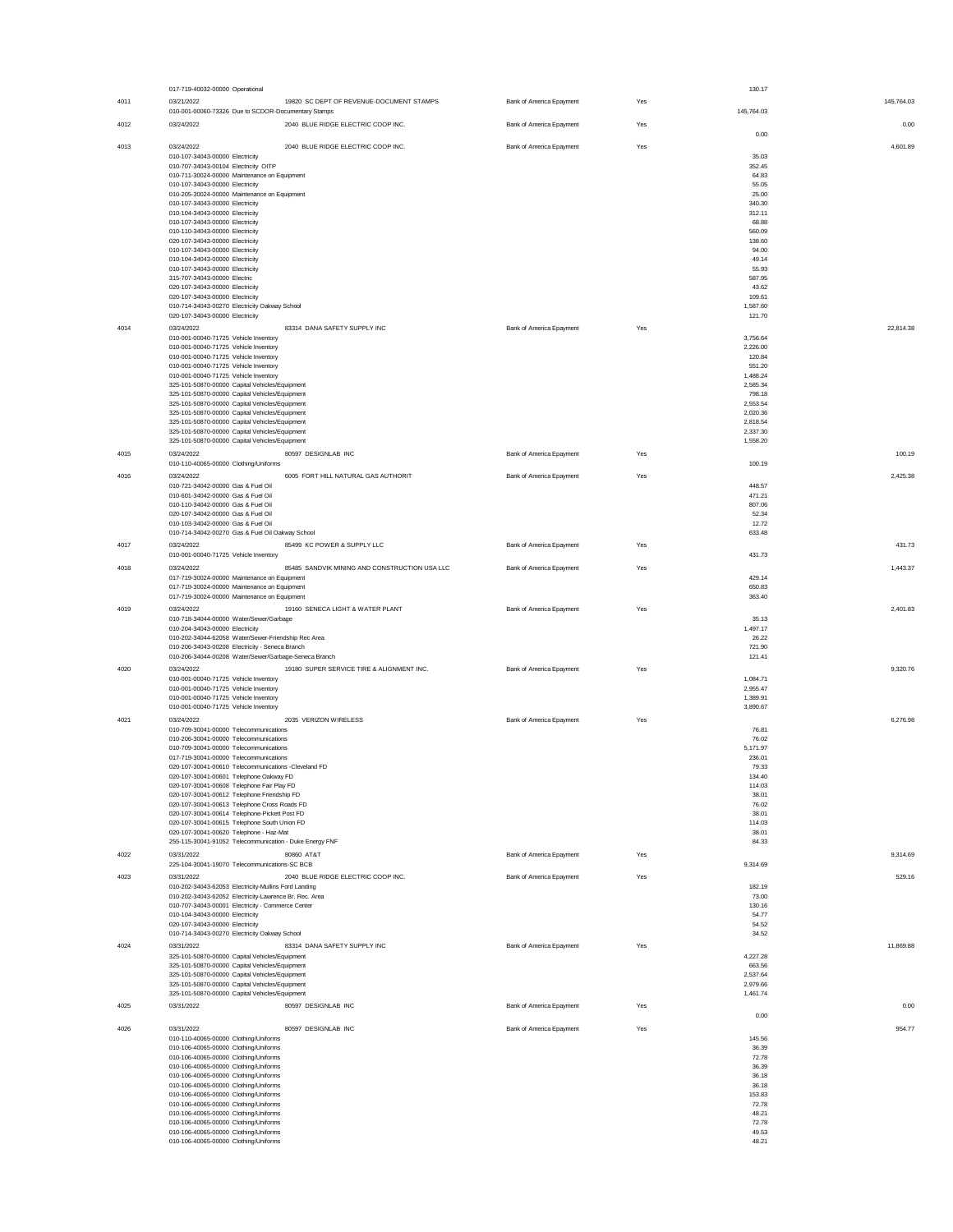|      | 017-719-40032-00000 Operational                                                                  |                          |     | 130.17               |
|------|--------------------------------------------------------------------------------------------------|--------------------------|-----|----------------------|
| 4011 | 19820 SC DEPT OF REVENUE-DOCUMENT STAMPS<br>03/21/2022                                           | Bank of America Epayment | Yes | 145.764.03           |
|      | 010-001-00060-73326 Due to SCDOR-Documentary Stamps                                              |                          |     | 145,764.03           |
| 4012 | 03/24/2022<br>2040 BLUE RIDGE ELECTRIC COOP INC.                                                 | Bank of America Epayment | Yes | 0.00                 |
|      |                                                                                                  |                          |     | 0.00                 |
| 4013 | 2040 BLUE RIDGE ELECTRIC COOP INC.<br>03/24/2022                                                 | Bank of America Epayment | Yes | 4.601.89             |
|      | 010-107-34043-00000 Electricity<br>010-707-34043-00104 Electricity OITP                          |                          |     | 35.03<br>352.45      |
|      | 010-711-30024-00000 Maintenance on Equipment                                                     |                          |     | 64.83                |
|      | 010-107-34043-00000 Electricity                                                                  |                          |     | 55.05                |
|      | 010-205-30024-00000 Maintenance on Equipment                                                     |                          |     | 25.00                |
|      | 010-107-34043-00000 Electricity<br>010-104-34043-00000 Electricity                               |                          |     | 340.30<br>312.11     |
|      | 010-107-34043-00000 Electricity                                                                  |                          |     | 68.88                |
|      | 010-110-34043-00000 Electricity                                                                  |                          |     | 560.09               |
|      | 020-107-34043-00000 Electricity                                                                  |                          |     | 138.60               |
|      | 010-107-34043-00000 Electricity                                                                  |                          |     | 94.00                |
|      | 010-104-34043-00000 Electricity<br>010-107-34043-00000 Electricity                               |                          |     | 49.14<br>55.93       |
|      | 315-707-34043-00000 Electric                                                                     |                          |     | 587.95               |
|      | 020-107-34043-00000 Electricity                                                                  |                          |     | 43.62                |
|      | 020-107-34043-00000 Electricity                                                                  |                          |     | 109.61               |
|      | 010-714-34043-00270 Electricity Oakway School<br>020-107-34043-00000 Electricity                 |                          |     | 1,587.60<br>121.70   |
| 4014 | 03/24/2022<br>83314 DANA SAFETY SUPPLY INC                                                       | Bank of America Epayment | Yes | 22,814.38            |
|      | 010-001-00040-71725 Vehicle Inventory                                                            |                          |     | 3,756.64             |
|      | 010-001-00040-71725 Vehicle Inventory                                                            |                          |     | 2.226.00             |
|      | 010-001-00040-71725 Vehicle Inventory                                                            |                          |     | 120.84               |
|      | 010-001-00040-71725 Vehicle Inventory                                                            |                          |     | 551.20               |
|      | 010-001-00040-71725 Vehicle Inventory<br>325-101-50870-00000 Capital Vehicles/Equipment          |                          |     | 1,488.24<br>2.585.34 |
|      | 325-101-50870-00000 Capital Vehicles/Equipment                                                   |                          |     | 798.18               |
|      | 325-101-50870-00000 Capital Vehicles/Equipment                                                   |                          |     | 2.553.54             |
|      | 325-101-50870-00000 Capital Vehicles/Equipment<br>325-101-50870-00000 Capital Vehicles/Equipment |                          |     | 2,020.36<br>2.818.54 |
|      | 325-101-50870-00000 Capital Vehicles/Equipment                                                   |                          |     | 2,337.30             |
|      | 325-101-50870-00000 Capital Vehicles/Equipment                                                   |                          |     | 1,558.20             |
| 4015 | 80597 DESIGNLAB INC<br>03/24/2022                                                                | Bank of America Epayment | Yes | 100.19               |
|      | 010-110-40065-00000 Clothing/Uniforms                                                            |                          |     | 100.19               |
| 4016 | 6005 FORT HILL NATURAL GAS AUTHORIT<br>03/24/2022                                                | Bank of America Epayment | Yes | 2.425.38             |
|      | 010-721-34042-00000 Gas & Fuel Oil                                                               |                          |     | 448.57               |
|      | 010-601-34042-00000 Gas & Fuel Oil                                                               |                          |     | 471.21               |
|      | 010-110-34042-00000 Gas & Fuel Oil<br>020-107-34042-00000 Gas & Fuel Oil                         |                          |     | 807.06<br>52.34      |
|      | 010-103-34042-00000 Gas & Fuel Oil                                                               |                          |     | 12.72                |
|      | 010-714-34042-00270 Gas & Fuel Oil Oakway School                                                 |                          |     | 633.48               |
| 4017 | 85499 KC POWER & SUPPLY LLC<br>03/24/2022                                                        | Bank of America Epayment | Yes | 431.73               |
|      | 010-001-00040-71725 Vehicle Inventory                                                            |                          |     | 431.73               |
| 4018 | 85485 SANDVIK MINING AND CONSTRUCTION USA LLC<br>03/24/2022                                      | Bank of America Epayment | Yes | 1,443.37             |
|      | 017-719-30024-00000 Maintenance on Equipment                                                     |                          |     | 429.14               |
|      | 017-719-30024-00000 Maintenance on Equipment<br>017-719-30024-00000 Maintenance on Equipment     |                          |     | 650.83<br>363.40     |
| 4019 | 19160 SENECA LIGHT & WATER PLANT<br>03/24/2022                                                   | Bank of America Epayment | Yes | 2.401.83             |
|      | 010-718-34044-00000 Water/Sewer/Garbage                                                          |                          |     | 35.13                |
|      | 010-204-34043-00000 Electricity                                                                  |                          |     | 1,497.17             |
|      | 010-202-34044-62058 Water/Sewer-Friendship Rec Area                                              |                          |     | 26.22                |
|      | 010-206-34043-00208 Electricity - Seneca Branch                                                  |                          |     | 721.90               |
|      | 010-206-34044-00208 Water/Sewer/Garbage-Seneca Branch                                            |                          |     | 121.41               |
| 4020 | 03/24/2022<br>19180 SUPER SERVICE TIRE & ALIGNMENT INC.<br>010-001-00040-71725 Vehicle Inventory | Bank of America Epayment | Yes | 9,320.76<br>1,084.71 |
|      | 010-001-00040-71725 Vehicle Inventory                                                            |                          |     | 2.955.47             |
|      | 010-001-00040-71725 Vehicle Inventory                                                            |                          |     | 1,389.91             |
|      | 010-001-00040-71725 Vehicle Inventory                                                            |                          |     | 3,890.67             |
| 4021 | 2035 VERIZON WIRELESS<br>03/24/2022                                                              | Bank of America Epayment | Yes | 6,276.98             |
|      | 010-709-30041-00000 Telecommunications                                                           |                          |     | 76.81                |
|      | 010-206-30041-00000 Telecommunications<br>010-709-30041-00000 Telecommunications                 |                          |     | 76.02<br>5,171.97    |
|      | 017-719-30041-00000 Telecommunications                                                           |                          |     | 236.01               |
|      | 020-107-30041-00610 Telecommunications -Cleveland FD                                             |                          |     | 79.33                |
|      | 020-107-30041-00601 Telephone Oakway FD                                                          |                          |     | 134.40               |
|      | 020-107-30041-00608 Telephone Fair Play FD                                                       |                          |     | 114.03               |
|      | 020-107-30041-00612 Telephone Friendship FD<br>020-107-30041-00613 Telephone Cross Roads FD      |                          |     | 38.01<br>76.02       |
|      | 020-107-30041-00614 Telephone-Pickett Post FD                                                    |                          |     | 38.01                |
|      | 020-107-30041-00615 Telephone South Union FD                                                     |                          |     | 114.03               |
|      | 020-107-30041-00620 Telephone - Haz-Mat                                                          |                          |     | 38.01<br>84.33       |
|      | 255-115-30041-91052 Telecommunication - Duke Energy FNF                                          |                          |     |                      |
| 4022 | 03/31/2022<br>80860 AT&T<br>225-104-30041-19070 Telecommunications-SC BCB                        | Bank of America Epayment | Yes | 9.314.69<br>9,314.69 |
| 4023 | 03/31/2022<br>2040 BLUE RIDGE ELECTRIC COOP INC.                                                 | Bank of America Epayment | Yes | 529.16               |
|      | 010-202-34043-62053 Electricity-Mullins Ford Landing                                             |                          |     | 182.19               |
|      | 010-202-34043-62052 Electricity-Lawrence Br. Rec. Area                                           |                          |     | 73.00                |
|      | 010-707-34043-00001 Electricity - Commerce Center                                                |                          |     | 130.16               |
|      | 010-104-34043-00000 Electricity<br>020-107-34043-00000 Electricity                               |                          |     | 54.77<br>54.52       |
|      | 010-714-34043-00270 Electricity Oakway School                                                    |                          |     | 34.52                |
| 4024 | 83314 DANA SAFETY SUPPLY INC<br>03/31/2022                                                       | Bank of America Epayment | Yes | 11,869.88            |
|      | 325-101-50870-00000 Capital Vehicles/Equipment                                                   |                          |     | 4,227.28             |
|      | 325-101-50870-00000 Capital Vehicles/Equipment                                                   |                          |     | 663.56               |
|      | 325-101-50870-00000 Capital Vehicles/Equipment<br>325-101-50870-00000 Capital Vehicles/Equipment |                          |     | 2,537.64<br>2,979.66 |
|      | 325-101-50870-00000 Capital Vehicles/Equipment                                                   |                          |     | 1,461.74             |
| 4025 | 03/31/2022<br>80597 DESIGNLAB INC                                                                | Bank of America Epayment | Yes | 0.00                 |
|      |                                                                                                  |                          |     | 0.00                 |
| 4026 | 03/31/2022<br>80597 DESIGNLAB INC                                                                | Bank of America Epayment | Yes | 954.77               |
|      | 010-110-40065-00000 Clothing/Uniforms                                                            |                          |     | 145.56               |
|      | 010-106-40065-00000 Clothing/Uniforms                                                            |                          |     | 36.39                |
|      | 010-106-40065-00000 Clothing/Uniforms<br>010-106-40065-00000 Clothing/Uniforms                   |                          |     | 72.78<br>36.39       |
|      | 010-106-40065-00000 Clothing/Uniforms                                                            |                          |     | 36.18                |
|      | 010-106-40065-00000 Clothing/Uniforms                                                            |                          |     | 36.18                |
|      | 010-106-40065-00000 Clothing/Uniforms                                                            |                          |     | 153.83               |
|      | 010-106-40065-00000 Clothing/Uniforms                                                            |                          |     | 72.78<br>48.21       |
|      | 010-106-40065-00000 Clothing/Uniforms<br>010-106-40065-00000 Clothing/Uniforms                   |                          |     | 72.78                |
|      | 010-106-40065-00000 Clothing/Uniforms                                                            |                          |     | 49.53                |
|      | 010-106-40065-00000 Clothing/Uniforms                                                            |                          |     | 48.21                |